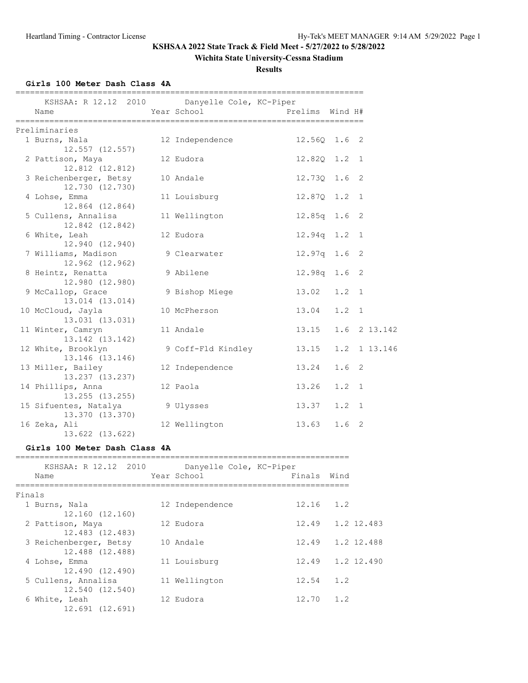## **Wichita State University-Cessna Stadium**

**Results**

## **Girls 100 Meter Dash Class 4A**

| KSHSAA: R 12.12 2010 Danyelle Cole, KC-Piper<br>Name | Year School        | Prelims Wind H# |                  |   |
|------------------------------------------------------|--------------------|-----------------|------------------|---|
| Preliminaries                                        |                    |                 |                  |   |
| 1 Burns, Nala<br>12.557 (12.557)                     | 12 Independence    | 12.560 1.6 2    |                  |   |
| 2 Pattison, Maya<br>12.812 (12.812)                  | 12 Eudora          | 12.820 1.2 1    |                  |   |
| 3 Reichenberger, Betsy<br>12.730 (12.730)            | 10 Andale          | 12.730 1.6 2    |                  |   |
| 4 Lohse, Emma<br>12.864 (12.864)                     | 11 Louisburg       | 12.870 1.2 1    |                  |   |
| 5 Cullens, Annalisa<br>12.842 (12.842)               | 11 Wellington      | 12.85q 1.6 2    |                  |   |
| 6 White, Leah<br>12.940 (12.940)                     | 12 Eudora          | $12.94q$ 1.2    |                  | 1 |
| 7 Williams, Madison<br>12.962 (12.962)               | 9 Clearwater       | 12.97q 1.6      |                  | 2 |
| 8 Heintz, Renatta<br>12.980 (12.980)                 | 9 Abilene          | 12.98q 1.6      |                  | 2 |
| 9 McCallop, Grace<br>13.014 (13.014)                 | 9 Bishop Miege     | 13.02           | $1.2 \quad 1$    |   |
| 10 McCloud, Jayla<br>13.031 (13.031)                 | 10 McPherson       | 13.04           | $1.2 \quad 1$    |   |
| 11 Winter, Camryn<br>13.142 (13.142)                 | 11 Andale          | 13.15           | 1.6 2 13.142     |   |
| 12 White, Brooklyn<br>13.146 (13.146)                | 9 Coff-Fld Kindley | 13.15           | 1.2 1 13.146     |   |
| 13 Miller, Bailey<br>13.237 (13.237)                 | 12 Independence    | 13.24           | 1.6 <sub>2</sub> |   |
| 14 Phillips, Anna<br>13.255 (13.255)                 | 12 Paola           | 13.26           | $1.2 \quad 1$    |   |
| 15 Sifuentes, Natalya<br>13.370 (13.370)             | 9 Ulysses          | 13.37           | $1.2 \quad 1$    |   |
| 16 Zeka, Ali<br>13.622 (13.622)                      | 12 Wellington      | 13.63           | 1.6              | 2 |

### **Girls 100 Meter Dash Class 4A**

|        | KSHSAA: R 12.12 2010<br>Name              | Danyelle Cole, KC-Piper<br>Year School | Finals            | Wind |  |
|--------|-------------------------------------------|----------------------------------------|-------------------|------|--|
| Finals |                                           |                                        |                   |      |  |
|        | 1 Burns, Nala<br>12.160 (12.160)          | 12 Independence                        | 12.16             | 1.2  |  |
|        | 2 Pattison, Maya<br>12.483 (12.483)       | 12 Eudora                              | 12.49 1.2 12.483  |      |  |
|        | 3 Reichenberger, Betsy<br>12.488 (12.488) | 10 Andale                              | 12.49 1.2 12.488  |      |  |
|        | 4 Lohse, Emma<br>12.490 (12.490)          | 11 Louisburg                           | 12.49 1.2 12.490  |      |  |
|        | 5 Cullens, Annalisa<br>12.540 (12.540)    | 11 Wellington                          | 12.54             | 1.2  |  |
|        | 6 White, Leah<br>12.691 (12.691)          | 12 Eudora                              | $12.70 \quad 1.2$ |      |  |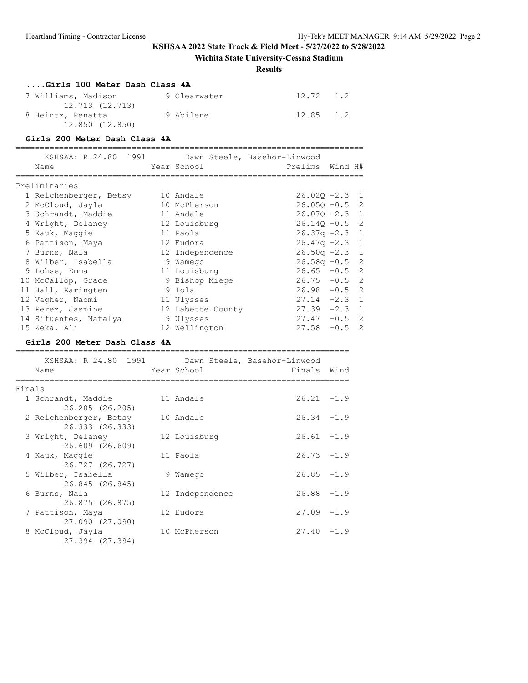# **Wichita State University-Cessna Stadium**

## **Results**

|        | Girls 100 Meter Dash Class 4A                     |                              |                                                 |        |                |
|--------|---------------------------------------------------|------------------------------|-------------------------------------------------|--------|----------------|
|        | 7 Williams, Madison<br>12.713 (12.713)            | 9 Clearwater                 | $12.72 \t1.2$                                   |        |                |
|        | 8 Heintz, Renatta<br>12.850 (12.850)              | 9 Abilene                    | 12.85 1.2                                       |        |                |
|        | Girls 200 Meter Dash Class 4A                     |                              |                                                 |        |                |
|        |                                                   |                              |                                                 |        |                |
|        | KSHSAA: R 24.80 1991<br>Name                      | Year School                  | Dawn Steele, Basehor-Linwood<br>Prelims Wind H# |        |                |
|        | =====================                             | , __________________________ | ._____________________                          |        |                |
|        | Preliminaries                                     |                              |                                                 |        |                |
|        | 1 Reichenberger, Betsy                            | 10 Andale                    | $26.02Q -2.3$                                   |        | 1              |
|        | 2 McCloud, Jayla                                  | 10 McPherson                 | $26.05Q - 0.5$ 2                                |        |                |
|        | 3 Schrandt, Maddie                                | 11 Andale                    | $26.07Q - 2.3$ 1                                |        |                |
|        | 4 Wright, Delaney                                 | 12 Louisburg                 | $26.14Q - 0.5$ 2                                |        |                |
|        | 5 Kauk, Maggie                                    | 11 Paola                     | $26.37q -2.3$                                   |        | $\mathbf{1}$   |
|        | 6 Pattison, Maya                                  | 12 Eudora                    | $26.47q -2.3$                                   |        | $\mathbf{1}$   |
|        | 7 Burns, Nala                                     | 12 Independence              | $26.50q -2.3$                                   |        | 1              |
|        | 8 Wilber, Isabella                                | 9 Wamego                     | $26.58q - 0.5$                                  |        | $\overline{2}$ |
|        | 9 Lohse, Emma                                     | 11 Louisburg                 | $26.65 - 0.5$                                   |        | $\overline{c}$ |
|        | 10 McCallop, Grace                                | 9 Bishop Miege               | $26.75 - 0.5$                                   |        | 2              |
|        | 11 Hall, Karingten                                | 9 Iola                       | $26.98 - 0.5$                                   |        | $\overline{c}$ |
|        | 12 Vagher, Naomi                                  | 11 Ulysses                   | $27.14 - 2.3$                                   |        | $\mathbf{1}$   |
|        | 13 Perez, Jasmine                                 | 12 Labette County            | $27.39 -2.3$                                    |        | 1              |
|        | 14 Sifuentes, Natalya                             | 9 Ulysses                    | $27.47 - 0.5$ 2                                 |        |                |
|        | 15 Zeka, Ali                                      | 12 Wellington                | $27.58 - 0.5$ 2                                 |        |                |
|        | Girls 200 Meter Dash Class 4A                     |                              |                                                 |        |                |
|        | ;============================                     |                              |                                                 |        |                |
|        | KSHSAA: R 24.80 1991 Dawn Steele, Basehor-Linwood | Year School                  |                                                 |        |                |
|        | Name                                              |                              | Finals Wind                                     |        |                |
| Finals |                                                   |                              |                                                 |        |                |
|        | 1 Schrandt, Maddie                                | 11 Andale                    | $26.21 - 1.9$                                   |        |                |
|        | 26.205 (26.205)                                   |                              |                                                 |        |                |
|        | 2 Reichenberger, Betsy                            | 10 Andale                    | $26.34 -1.9$                                    |        |                |
|        | 26.333 (26.333)                                   |                              |                                                 |        |                |
|        | 3 Wright, Delaney                                 | 12 Louisburg                 | $26.61 - 1.9$                                   |        |                |
|        | 26.609 (26.609)                                   |                              |                                                 |        |                |
|        | 4 Kauk, Maggie                                    | 11 Paola                     | $26.73 - 1.9$                                   |        |                |
|        | 26.727 (26.727)                                   |                              |                                                 |        |                |
|        | 5 Wilber, Isabella                                | 9 Wamego                     | 26.85                                           | $-1.9$ |                |
|        | 26.845 (26.845)                                   |                              |                                                 |        |                |
|        | 6 Burns, Nala                                     | 12 Independence              | 26.88                                           | $-1.9$ |                |
|        | 26.875 (26.875)                                   |                              |                                                 |        |                |
|        | 7 Pattison, Maya                                  | 12 Eudora                    | 27.09                                           | $-1.9$ |                |
|        | 27.090 (27.090)                                   |                              |                                                 |        |                |
|        | 8 McCloud, Jayla                                  | 10 McPherson                 | 27.40                                           | $-1.9$ |                |
|        | 27.394 (27.394)                                   |                              |                                                 |        |                |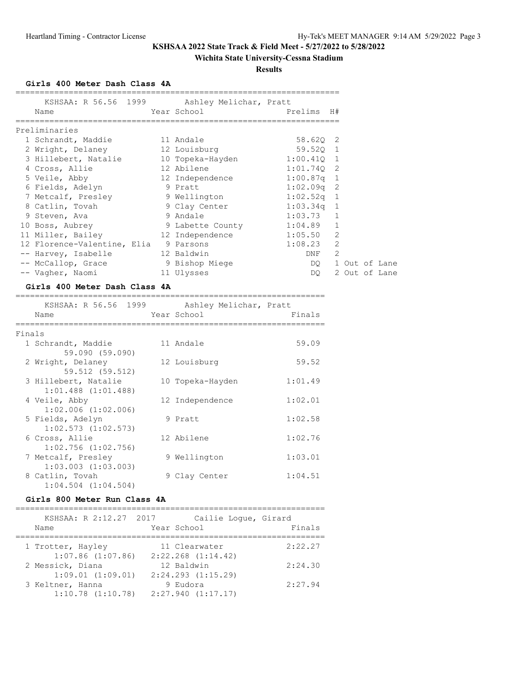## **Wichita State University-Cessna Stadium**

**Results**

**Girls 400 Meter Dash Class 4A**

| Name                                        |  | KSHSAA: R 56.56 1999 Ashley Melichar, Pratt |                  |               |  |
|---------------------------------------------|--|---------------------------------------------|------------------|---------------|--|
| Preliminaries                               |  |                                             |                  |               |  |
| 1 Schrandt, Maddie 11 Andale                |  |                                             | 58.620 2         |               |  |
| 2 Wright, Delaney                           |  | 12 Louisburg                                | 59.520 1         |               |  |
| 3 Hillebert, Natalie                        |  | 10 Topeka-Hayden 1:00.410 1                 |                  |               |  |
| 4 Cross, Allie                              |  | 12 Abilene 1:01.740 2                       |                  |               |  |
| 5 Veile, Abby 12 Independence 1:00.87q 1    |  |                                             |                  |               |  |
| 6 Fields, Adelyn 9 Pratt                    |  |                                             | $1:02.09q$ 2     |               |  |
| 7 Metcalf, Presley 3 Wellington 1:02.52q 1  |  |                                             |                  |               |  |
| 8 Catlin, Tovah                             |  | 9 Clay Center 1:03.34q 1                    |                  |               |  |
| 9 Steven, Ava                               |  | 9 Andale                                    | $1:03.73$ 1      |               |  |
| 10 Boss, Aubrey 3 Labette County 1:04.89 1  |  |                                             |                  |               |  |
| 11 Miller, Bailey 12 Independence 1:05.50 2 |  |                                             |                  |               |  |
| 12 Florence-Valentine, Elia                 |  | 9 Parsons                                   | $1:08.23$ 2      |               |  |
| -- Harvey, Isabelle                         |  | 12 Baldwin                                  | DNF <sub>2</sub> |               |  |
| -- McCallop, Grace 5 9 Bishop Miege         |  |                                             | DQ 1 Out of Lane |               |  |
| -- Vagher, Naomi                            |  | 11 Ulysses                                  | DQ.              | 2 Out of Lane |  |
|                                             |  |                                             |                  |               |  |

## **Girls 400 Meter Dash Class 4A**

|        | KSHSAA: R 56.56 1999<br>Name               | Ashley Melichar, Pratt<br>Year School | Finals  |
|--------|--------------------------------------------|---------------------------------------|---------|
| Finals |                                            |                                       |         |
|        | 1 Schrandt, Maddie                         | 11 Andale                             | 59.09   |
|        | 59.090 (59.090)                            |                                       |         |
|        | 2 Wright, Delaney                          | 12 Louisburg                          | 59.52   |
|        | 59.512 (59.512)                            |                                       |         |
|        | 3 Hillebert, Natalie                       | 10 Topeka-Hayden                      | 1:01.49 |
|        | $1:01.488$ $(1:01.488)$                    |                                       |         |
|        | 4 Veile, Abby                              | 12 Independence                       | 1:02.01 |
|        | $1:02.006$ $(1:02.006)$                    |                                       |         |
|        | 5 Fields, Adelyn                           | 9 Pratt                               | 1:02.58 |
|        | $1:02.573$ $(1:02.573)$                    |                                       |         |
|        | 6 Cross, Allie                             | 12 Abilene                            | 1:02.76 |
|        | $1:02.756$ $(1:02.756)$                    |                                       |         |
|        | 7 Metcalf, Presley                         | 9 Wellington                          | 1:03.01 |
|        | $1:03.003$ $(1:03.003)$                    |                                       |         |
|        | 8 Catlin, Tovah<br>$1:04.504$ $(1:04.504)$ | 9 Clay Center                         | 1:04.51 |
|        |                                            |                                       |         |

### **Girls 800 Meter Run Class 4A**

| KSHSAA: R 2:12.27 2017<br>Name | Cailie Loque, Girard<br>Year School | Finals  |
|--------------------------------|-------------------------------------|---------|
|                                |                                     |         |
| 1 Trotter, Hayley              | 11 Clearwater                       | 2:22.27 |
| $1:07.86$ $(1:07.86)$          | $2:22.268$ $(1:14.42)$              |         |
| 2 Messick, Diana               | 12 Baldwin                          | 2:24.30 |
| $1:09.01$ $(1:09.01)$          | $2:24.293$ $(1:15.29)$              |         |
| 3 Keltner, Hanna               | 9 Eudora                            | 2:27.94 |
| $1:10.78$ $(1:10.78)$          | $2:27.940$ $(1:17.17)$              |         |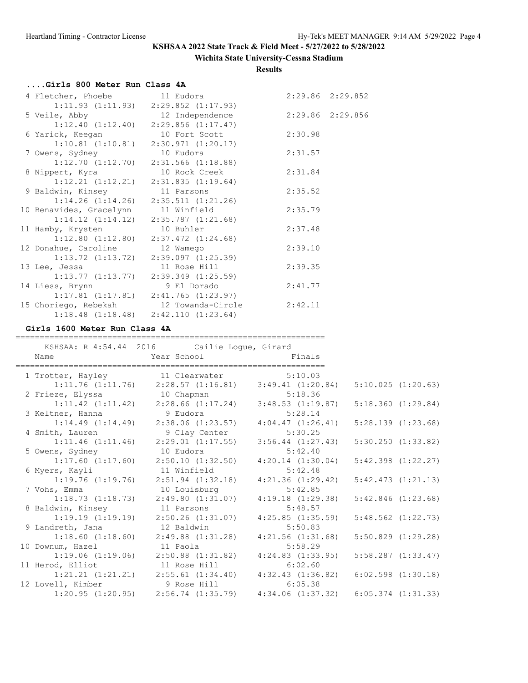# **Wichita State University-Cessna Stadium**

**Results**

# **....Girls 800 Meter Run Class 4A**

| 4 Fletcher, Phoebe 11 Eudora           |                                              |                  | 2:29.86 2:29.852 |
|----------------------------------------|----------------------------------------------|------------------|------------------|
|                                        | $1:11.93$ $(1:11.93)$ $2:29.852$ $(1:17.93)$ |                  |                  |
| 5 Veile, Abby                          | 12 Independence                              | 2:29.86 2:29.856 |                  |
|                                        | $1:12.40$ $(1:12.40)$ $2:29.856$ $(1:17.47)$ |                  |                  |
| 6 Yarick, Keegan                       | 10 Fort Scott                                | 2:30.98          |                  |
|                                        | $1:10.81$ $(1:10.81)$ $2:30.971$ $(1:20.17)$ |                  |                  |
| 7 Owens, Sydney                        | 10 Eudora                                    | 2:31.57          |                  |
|                                        | $1:12.70$ $(1:12.70)$ $2:31.566$ $(1:18.88)$ |                  |                  |
| 8 Nippert, Kyra                        | 10 Rock Creek                                | 2:31.84          |                  |
|                                        | $1:12.21$ $(1:12.21)$ $2:31.835$ $(1:19.64)$ |                  |                  |
| 9 Baldwin, Kinsey                      | 11 Parsons                                   | 2:35.52          |                  |
|                                        | $1:14.26$ $(1:14.26)$ $2:35.511$ $(1:21.26)$ |                  |                  |
| 10 Benavides, Gracelynn 11 Winfield    |                                              | 2:35.79          |                  |
|                                        | $1:14.12$ $(1:14.12)$ $2:35.787$ $(1:21.68)$ |                  |                  |
| 11 Hamby, Krysten                      | 10 Buhler                                    | 2:37.48          |                  |
|                                        | $1:12.80$ $(1:12.80)$ $2:37.472$ $(1:24.68)$ |                  |                  |
| 12 Donahue, Caroline                   | 12 Wamego                                    | 2:39.10          |                  |
|                                        | $1:13.72$ $(1:13.72)$ $2:39.097$ $(1:25.39)$ |                  |                  |
| 13 Lee, Jessa                          | 11 Rose Hill                                 | 2:39.35          |                  |
|                                        | $1:13.77$ $(1:13.77)$ $2:39.349$ $(1:25.59)$ |                  |                  |
| 14 Liess, Brynn                        | 9 El Dorado                                  | 2:41.77          |                  |
|                                        | $1:17.81$ $(1:17.81)$ $2:41.765$ $(1:23.97)$ |                  |                  |
| 15 Choriego, Rebekah 12 Towanda-Circle |                                              | 2:42.11          |                  |
|                                        | $1:18.48$ $(1:18.48)$ $2:42.110$ $(1:23.64)$ |                  |                  |

## **Girls 1600 Meter Run Class 4A**

|                               | KSHSAA: R 4:54.44 2016 Cailie Logue, Girard                        |                       |                        |  |
|-------------------------------|--------------------------------------------------------------------|-----------------------|------------------------|--|
| Name                          | Year School Finals                                                 |                       |                        |  |
|                               | 1 Trotter, Hayley 11 Clearwater                                    | 5:10.03               |                        |  |
|                               | $1:11.76$ $(1:11.76)$ $2:28.57$ $(1:16.81)$ $3:49.41$ $(1:20.84)$  |                       | 5:10.025(1:20.63)      |  |
|                               |                                                                    |                       |                        |  |
|                               | $1:11.42$ $(1:11.42)$ $2:28.66$ $(1:17.24)$ $3:48.53$ $(1:19.87)$  |                       | $5:18.360$ $(1:29.84)$ |  |
| 3 Keltner, Hanna              | 9 Eudora                                                           | 5:28.14               |                        |  |
| 1:14.49(1:14.49)              | 2:38.06 (1:23.57)                                                  | 4:04.47(1:26.41)      | 5:28.139(1:23.68)      |  |
| 4 Smith, Lauren               | 9 Clay Center                                                      | 5:30.25               |                        |  |
| 1:11.46(1:11.46)              | 2:29.01(1:17.55)                                                   | $3:56.44$ $(1:27.43)$ | $5:30.250$ $(1:33.82)$ |  |
| 5 Owens, Sydney               | 10 Eudora                                                          | 5:42.40               |                        |  |
|                               | $1:17.60$ $(1:17.60)$ $2:50.10$ $(1:32.50)$ $4:20.14$ $(1:30.04)$  |                       | $5:42.398$ $(1:22.27)$ |  |
| 6 Myers, Kayli                | 11 Winfield                                                        | 5:42.48               |                        |  |
|                               | $1:19.76$ $(1:19.76)$ $2:51.94$ $(1:32.18)$                        | $4:21.36$ $(1:29.42)$ | $5:42.473$ $(1:21.13)$ |  |
| 7 Vohs, Emma                  | 10 Louisburg                                                       | 5:42.85               |                        |  |
|                               | $1:18.73$ $(1:18.73)$ $2:49.80$ $(1:31.07)$                        | 4:19.18(1:29.38)      | $5:42.846$ $(1:23.68)$ |  |
| 8 Baldwin, Kinsey             | 11 Parsons                                                         | 5:48.57               |                        |  |
|                               | $1:19.19(1:19.19)$ $2:50.26(1:31.07)$                              | 4:25.85(1:35.59)      | $5:48.562$ $(1:22.73)$ |  |
| 9 Landreth, Jana              | 12 Baldwin                                                         | 5:50.83               |                        |  |
|                               | $1:18.60$ $(1:18.60)$ $2:49.88$ $(1:31.28)$                        | $4:21.56$ $(1:31.68)$ | $5:50.829$ $(1:29.28)$ |  |
| 10 Downum, Hazel              | 11 Paola                                                           | 5:58.29               |                        |  |
|                               | $1:19.06$ (1:19.06) $2:50.88$ (1:31.82) $4:24.83$ (1:33.95)        |                       | $5:58.287$ $(1:33.47)$ |  |
| 11 Herod, Elliot 11 Rose Hill |                                                                    | 6:02.60               |                        |  |
|                               | $1:21.21$ $(1:21.21)$ $2:55.61$ $(1:34.40)$                        | 4:32.43(1:36.82)      | $6:02.598$ $(1:30.18)$ |  |
| 12 Lovell, Kimber             | 9 Rose Hill                                                        | 6:05.38               |                        |  |
| 1:20.95(1:20.95)              | $2:56.74$ $(1:35.79)$ $4:34.06$ $(1:37.32)$ $6:05.374$ $(1:31.33)$ |                       |                        |  |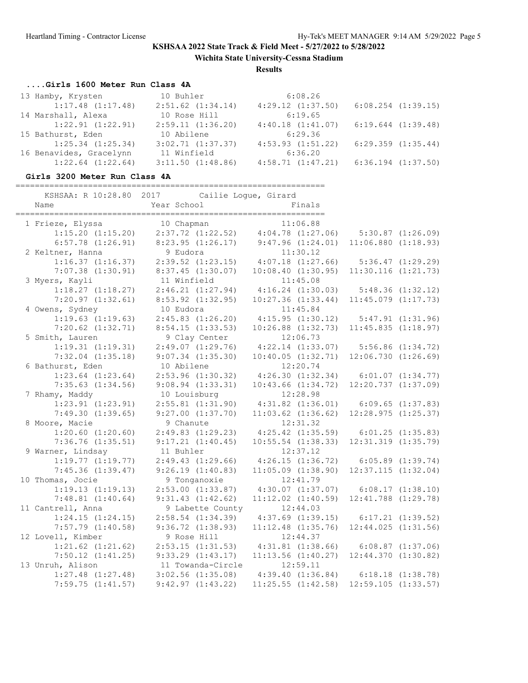**Wichita State University-Cessna Stadium**

**Results**

## **....Girls 1600 Meter Run Class 4A**

| 13 Hamby, Krysten       | 10 Buhler             | 6:08.26               |                        |
|-------------------------|-----------------------|-----------------------|------------------------|
| $1:17.48$ $(1:17.48)$   | $2:51.62$ $(1:34.14)$ | $4:29.12$ $(1:37.50)$ | $6:08.254$ $(1:39.15)$ |
| 14 Marshall, Alexa      | 10 Rose Hill          | 6:19.65               |                        |
| $1:22.91$ $(1:22.91)$   | 2:59.11(1:36.20)      | 4:40.18(1:41.07)      | $6:19.644$ $(1:39.48)$ |
| 15 Bathurst, Eden       | 10 Abilene            | 6:29.36               |                        |
| $1:25.34$ $(1:25.34)$   | $3:02.71$ $(1:37.37)$ | $4:53.93$ $(1:51.22)$ | $6:29.359$ $(1:35.44)$ |
| 16 Benavides, Gracelynn | 11 Winfield           | 6:36.20               |                        |
| $1:22.64$ $(1:22.64)$   | $3:11.50$ $(1:48.86)$ | 4:58.71(1:47.21)      | $6:36.194$ $(1:37.50)$ |

### **Girls 3200 Meter Run Class 4A**

| KSHSAA: R 10:28.80 2017<br>Name | Cailie Loque, Girard<br>Year School         | =====================<br>Finals                           |                         |                       |
|---------------------------------|---------------------------------------------|-----------------------------------------------------------|-------------------------|-----------------------|
|                                 |                                             |                                                           |                         |                       |
| 1 Frieze, Elyssa                | 10 Chapman                                  | 11:06.88                                                  |                         |                       |
| $1:15.20$ $(1:15.20)$           | $2:37.72$ $(1:22.52)$ $4:04.78$ $(1:27.06)$ |                                                           | 5:30.87(1:26.09)        |                       |
| $6:57.78$ $(1:26.91)$           | $8:23.95$ $(1:26.17)$ $9:47.96$ $(1:24.01)$ |                                                           | $11:06.880$ $(1:18.93)$ |                       |
| 2 Keltner, Hanna                | 9 Eudora                                    | 11:30.12                                                  |                         |                       |
| $1:16.37$ $(1:16.37)$           | $2:39.52$ $(1:23.15)$                       | $4:07.18$ $(1:27.66)$ $5:36.47$ $(1:29.29)$               |                         |                       |
| $7:07.38$ $(1:30.91)$           | 8:37.45(1:30.07)                            | 10:08.40(1:30.95)                                         | $11:30.116$ $(1:21.73)$ |                       |
| 3 Myers, Kayli                  | 11 Winfield                                 | 11:45.08                                                  |                         |                       |
| $1:18.27$ $(1:18.27)$           | 2:46.21(1:27.94)                            | 4:16.24(1:30.03)                                          |                         | $5:48.36$ $(1:32.12)$ |
| $7:20.97$ $(1:32.61)$           | $8:53.92$ $(1:32.95)$                       | $10:27.36$ $(1:33.44)$                                    | $11:45.079$ $(1:17.73)$ |                       |
| 4 Owens, Sydney                 | 10 Eudora                                   | 11:45.84                                                  |                         |                       |
| $1:19.63$ $(1:19.63)$           | $2:45.83$ $(1:26.20)$                       | $4:15.95$ $(1:30.12)$ $5:47.91$ $(1:31.96)$               |                         |                       |
| $7:20.62$ $(1:32.71)$           | 8:54.15(1:33.53)                            | $10:26.88$ $(1:32.73)$                                    | 11:45.835(1:18.97)      |                       |
| 5 Smith, Lauren                 | 9 Clay Center                               | 12:06.73                                                  |                         |                       |
| 1:19.31(1:19.31)                | 2:49.07(1:29.76)                            | $4:22.14$ $(1:33.07)$ $5:56.86$ $(1:34.72)$               |                         |                       |
| $7:32.04$ $(1:35.18)$           | $9:07.34$ $(1:35.30)$                       | $10:40.05$ $(1:32.71)$ $12:06.730$ $(1:26.69)$            |                         |                       |
| 6 Bathurst, Eden                | 10 Abilene                                  | 12:20.74                                                  |                         |                       |
| $1:23.64$ $(1:23.64)$           | $2:53.96$ $(1:30.32)$                       | $4:26.30$ $(1:32.34)$ $6:01.07$ $(1:34.77)$               |                         |                       |
| $7:35.63$ $(1:34.56)$           | $9:08.94$ $(1:33.31)$                       | $10:43.66$ $(1:34.72)$                                    | 12:20.737(1:37.09)      |                       |
| 7 Rhamy, Maddy                  | 10 Louisburg                                | 12:28.98                                                  |                         |                       |
| $1:23.91$ $(1:23.91)$           |                                             | $2:55.81$ (1:31.90) $4:31.82$ (1:36.01) 6:09.65 (1:37.83) |                         |                       |
| 7:49.30(1:39.65)                | $9:27.00$ $(1:37.70)$                       | $11:03.62$ $(1:36.62)$                                    | $12:28.975$ $(1:25.37)$ |                       |
| 8 Moore, Macie                  | 9 Chanute                                   | 12:31.32                                                  |                         |                       |
| $1:20.60$ $(1:20.60)$           | 2:49.83(1:29.23)                            | $4:25.42$ $(1:35.59)$ $6:01.25$ $(1:35.83)$               |                         |                       |
| $7:36.76$ $(1:35.51)$           | 9:17.21(1:40.45)                            | $10:55.54$ $(1:38.33)$                                    | $12:31.319$ $(1:35.79)$ |                       |
| 9 Warner, Lindsay               | 11 Buhler                                   | 12:37.12                                                  |                         |                       |
| $1:19.77$ $(1:19.77)$           | 2:49.43(1:29.66)                            | 4:26.15(1:36.72)                                          | $6:05.89$ $(1:39.74)$   |                       |
| $7:45.36$ $(1:39.47)$           | 9:26.19(1:40.83)                            | $11:05.09$ $(1:38.90)$                                    | $12:37.115$ $(1:32.04)$ |                       |
| 10 Thomas, Jocie                | 9 Tonganoxie                                | 12:41.79                                                  |                         |                       |
| 1:19.13(1:19.13)                | $2:53.00$ $(1:33.87)$                       | $4:30.07$ $(1:37.07)$ $6:08.17$ $(1:38.10)$               |                         |                       |
| $7:48.81$ $(1:40.64)$           | $9:31.43$ $(1:42.62)$                       | $11:12.02$ $(1:40.59)$                                    | $12:41.788$ $(1:29.78)$ |                       |
| 11 Cantrell, Anna               | 9 Labette County                            | 12:44.03                                                  |                         |                       |
| 1:24.15(1:24.15)                | $2:58.54$ $(1:34.39)$                       | $4:37.69$ $(1:39.15)$                                     |                         | $6:17.21$ $(1:39.52)$ |
| $7:57.79$ $(1:40.58)$           | $9:36.72$ $(1:38.93)$                       | $11:12.48$ $(1:35.76)$                                    | $12:44.025$ $(1:31.56)$ |                       |
| 12 Lovell, Kimber               | 9 Rose Hill                                 | 12:44.37                                                  |                         |                       |
| $1:21.62$ $(1:21.62)$           | 2:53.15(1:31.53)                            | $4:31.81$ $(1:38.66)$ $6:08.87$ $(1:37.06)$               |                         |                       |
| $7:50.12$ $(1:41.25)$           | $9:33.29$ $(1:43.17)$                       | $11:13.56$ $(1:40.27)$                                    | $12:44.370$ $(1:30.82)$ |                       |
| 13 Unruh, Alison                | 11 Towanda-Circle                           | 12:59.11                                                  |                         |                       |
| $1:27.48$ $(1:27.48)$           | $3:02.56$ $(1:35.08)$                       | $4:39.40$ $(1:36.84)$ $6:18.18$ $(1:38.78)$               |                         |                       |
| 7:59.75(1:41.57)                | 9:42.97(1:43.22)                            | $11:25.55$ $(1:42.58)$ $12:59.105$ $(1:33.57)$            |                         |                       |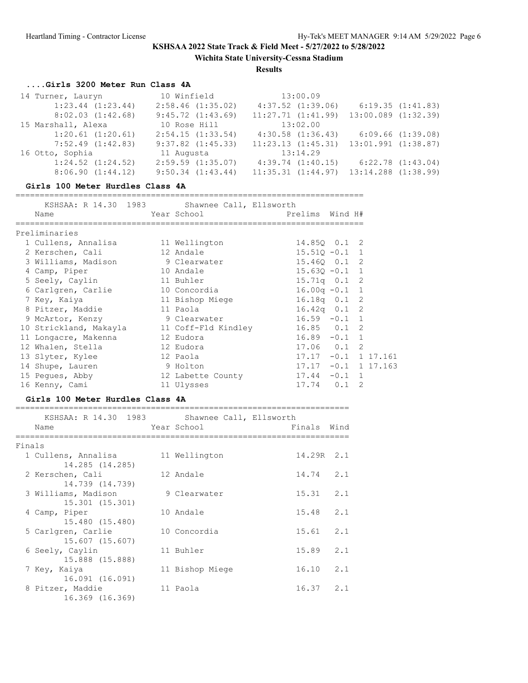**Wichita State University-Cessna Stadium**

**Results**

## **....Girls 3200 Meter Run Class 4A**

| 14 Turner, Lauryn     | 10 Winfield           | 13:00.09               |                         |
|-----------------------|-----------------------|------------------------|-------------------------|
| $1:23.44$ $(1:23.44)$ | $2:58.46$ $(1:35.02)$ | $4:37.52$ $(1:39.06)$  | 6:19.35(1:41.83)        |
| $8:02.03$ $(1:42.68)$ | 9:45.72(1:43.69)      | $11:27.71$ $(1:41.99)$ | $13:00.089$ $(1:32.39)$ |
| 15 Marshall, Alexa    | 10 Rose Hill          | 13:02.00               |                         |
| $1:20.61$ $(1:20.61)$ | 2:54.15(1:33.54)      | $4:30.58$ $(1:36.43)$  | 6:09.66(1:39.08)        |
| $7:52.49$ $(1:42.83)$ | $9:37.82$ $(1:45.33)$ | $11:23.13$ $(1:45.31)$ | $13:01.991$ $(1:38.87)$ |
| 16 Otto, Sophia       | 11 Augusta            | 13:14.29               |                         |
| $1:24.52$ $(1:24.52)$ | $2:59.59$ $(1:35.07)$ | 4:39.74(1:40.15)       | $6:22.78$ $(1:43.04)$   |
| 8:06.90(1:44.12)      | $9:50.34$ $(1:43.44)$ | $11:35.31$ $(1:44.97)$ | $13:14.288$ $(1:38.99)$ |

#### **Girls 100 Meter Hurdles Class 4A**

| Name                             | KSHSAA: R 14.30 1983 Shawnee Call, Ellsworth<br>Year School | Prelims Wind H#        |               |
|----------------------------------|-------------------------------------------------------------|------------------------|---------------|
|                                  |                                                             |                        |               |
| Preliminaries                    |                                                             |                        |               |
| 1 Cullens, Annalisa              | 11 Wellington                                               | 14.850 0.1 2           |               |
| 2 Kerschen, Cali                 | 12 Andale                                                   | $15.51Q - 0.11$        |               |
| 3 Williams, Madison 9 Clearwater |                                                             | 15.460 0.1 2           |               |
| 4 Camp, Piper                    | 10 Andale                                                   | $15.630 - 0.1$ 1       |               |
| 5 Seely, Caylin                  | 11 Buhler                                                   | $15.71q$ 0.1 2         |               |
| 6 Carlgren, Carlie               | 10 Concordia                                                | $16.00q - 0.1$ 1       |               |
| 7 Key, Kaiya                     | 11 Bishop Miege                                             | $16.18q$ 0.1 2         |               |
| 8 Pitzer, Maddie                 | 11 Paola                                                    | $16.42q$ 0.1 2         |               |
| 9 McArtor, Kenzy                 | 9 Clearwater                                                | $16.59 - 0.1 1$        |               |
| 10 Strickland, Makayla           | 11 Coff-Fld Kindley                                         | $16.85$ 0.1 2          |               |
| 11 Longacre, Makenna             | 12 Eudora                                                   | $16.89 - 0.1 1$        |               |
| 12 Whalen, Stella                | 12 Eudora                                                   | $17.06$ 0.1 2          |               |
| 13 Slyter, Kylee                 | 12 Paola                                                    | $17.17 - 0.1 1 17.161$ |               |
| 14 Shupe, Lauren                 | 9 Holton                                                    | $17.17 - 0.1 1 17.163$ |               |
| 15 Peques, Abby                  | 12 Labette County                                           | $17.44 - 0.1$ 1        |               |
| 16 Kenny, Cami                   | 11 Ulysses                                                  | $17.74$ 0.1            | $\mathcal{L}$ |

### **Girls 100 Meter Hurdles Class 4A**

|        | KSHSAA: R 14.30 1983 Shawnee Call, Ellsworth |                 |               |     |
|--------|----------------------------------------------|-----------------|---------------|-----|
|        | Name                                         | Year School     | Finals Wind   |     |
| Finals |                                              |                 |               |     |
|        | 1 Cullens, Annalisa<br>14.285 (14.285)       | 11 Wellington   | 14.29R 2.1    |     |
|        | 2 Kerschen, Cali                             | 12 Andale       | $14.74$ 2.1   |     |
|        | 14.739 (14.739)<br>3 Williams, Madison       | 9 Clearwater    | 15.31         | 2.1 |
|        | 15.301 (15.301)<br>4 Camp, Piper             | 10 Andale       | 15.48         | 2.1 |
|        | 15.480 (15.480)<br>5 Carlgren, Carlie        | 10 Concordia    | 15.61         | 2.1 |
|        | 15.607 (15.607)                              | 11 Buhler       | 15.89         | 2.1 |
|        | 6 Seely, Caylin<br>15.888 (15.888)           |                 |               |     |
|        | 7 Key, Kaiya<br>16.091 (16.091)              | 11 Bishop Miege | 16.10         | 2.1 |
|        | 8 Pitzer, Maddie<br>16.369 (16.369)          | 11 Paola        | $16.37$ $2.1$ |     |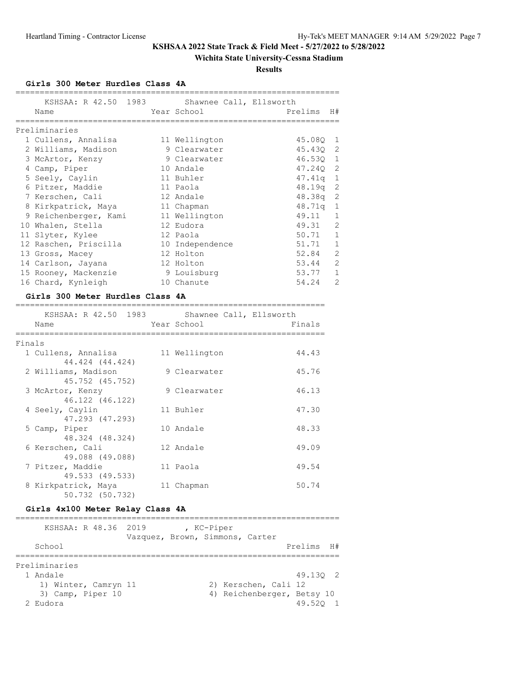## **Wichita State University-Cessna Stadium**

**Results**

**Girls 300 Meter Hurdles Class 4A**

| KSHSAA: R 42.50 1983<br>Name |  | Shawnee Call, Ellsworth<br>Year School | Prelims H# |                |
|------------------------------|--|----------------------------------------|------------|----------------|
|                              |  |                                        |            |                |
| Preliminaries                |  |                                        |            |                |
| 1 Cullens, Annalisa          |  | 11 Wellington                          | 45.080 1   |                |
| 2 Williams, Madison          |  | 9 Clearwater                           | 45.430 2   |                |
| 3 McArtor, Kenzy             |  | 9 Clearwater                           | 46.530 1   |                |
| 4 Camp, Piper                |  | 10 Andale                              | 47.240 2   |                |
| 5 Seely, Caylin              |  | 11 Buhler                              | $47.41q$ 1 |                |
| 6 Pitzer, Maddie             |  | 11 Paola                               | $48.19q$ 2 |                |
| 7 Kerschen, Cali             |  | 12 Andale                              | $48.38q$ 2 |                |
| 8 Kirkpatrick, Maya          |  | 11 Chapman                             | $48.71q$ 1 |                |
| 9 Reichenberger, Kami        |  | 11 Wellington                          | 49.11      | $\mathbf{1}$   |
| 10 Whalen, Stella            |  | 12 Eudora                              | 49.31 2    |                |
| 11 Slyter, Kylee             |  | 12 Paola                               | 50.71 1    |                |
| 12 Raschen, Priscilla        |  | 10 Independence                        | $51.71$ 1  |                |
| 13 Gross, Macey              |  | 12 Holton                              | 52.84      | 2              |
| 14 Carlson, Jayana           |  | 12 Holton                              | 53.44      | $\overline{2}$ |
| 15 Rooney, Mackenzie         |  | 9 Louisburg                            | 53.77      | $\mathbf{1}$   |
| 16 Chard, Kynleigh           |  | 10 Chanute                             | 54.24      | $\overline{2}$ |
|                              |  |                                        |            |                |

#### **Girls 300 Meter Hurdles Class 4A**

|        | KSHSAA: R 42.50 1983<br>Name           | Shawnee Call, Ellsworth<br>Year School | Finals |
|--------|----------------------------------------|----------------------------------------|--------|
| Finals |                                        |                                        |        |
|        | 1 Cullens, Annalisa<br>44.424 (44.424) | 11 Wellington                          | 44.43  |
|        | 2 Williams, Madison<br>45.752 (45.752) | 9 Clearwater                           | 45.76  |
|        | 3 McArtor, Kenzy<br>46.122 (46.122)    | 9 Clearwater                           | 46.13  |
|        | 4 Seely, Caylin<br>47.293 (47.293)     | 11 Buhler                              | 47.30  |
|        | 5 Camp, Piper<br>48.324 (48.324)       | 10 Andale                              | 48.33  |
|        | 6 Kerschen, Cali<br>49.088 (49.088)    | 12 Andale                              | 49.09  |
|        | 7 Pitzer, Maddie<br>49.533 (49.533)    | 11 Paola                               | 49.54  |
|        | 8 Kirkpatrick, Maya<br>50.732 (50.732) | 11 Chapman                             | 50.74  |

# **Girls 4x100 Meter Relay Class 4A**

| KSHSAA: R 48.36 2019                                                                 | , KC-Piper<br>Vazquez, Brown, Simmons, Carter |                                                    |                    |  |
|--------------------------------------------------------------------------------------|-----------------------------------------------|----------------------------------------------------|--------------------|--|
| School                                                                               |                                               |                                                    | Prelims H#         |  |
| Preliminaries<br>1 Andale<br>1) Winter, Camryn 11<br>3) Camp, Piper 10<br>$2$ Eudora |                                               | 2) Kerschen, Cali 12<br>4) Reichenberger, Betsy 10 | 49.130 2<br>49.520 |  |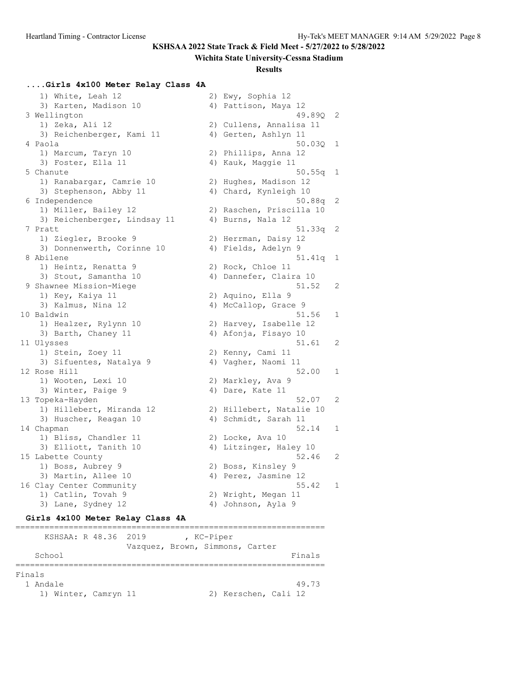#### **Wichita State University-Cessna Stadium**

#### **Results**

#### **....Girls 4x100 Meter Relay Class 4A**

1) White, Leah 12 2) Ewy, Sophia 12 3) Karten, Madison 10 (4) Pattison, Maya 12 3 Wellington 49.890 2<br>1) Zeka, Ali 12 2) Cullens, Annalisa 11 1) Zeka, Ali 12 2) Cullens, Annalisa 11 3) Reichenberger, Kami 11  $\hspace{1cm}$  4) Gerten, Ashlyn 11 4 Paola 50.03Q 1 1) Marcum, Taryn 10 2) Phillips, Anna 12 3) Foster, Ella 11 4) Kauk, Maggie 11 50.55q 1 Shanute 50.55q 1 1) Ranabargar, Camrie 10 2) Hughes, Madison 12 3) Stephenson, Abby 11 4) Chard, Kynleigh 10 6 Independence 50.88q 2 1) Miller, Bailey 12 2) Raschen, Priscilla 10 3) Reichenberger, Lindsay 11 (4) Burns, Nala 12 7 Pratt 51.33q 2 1) Ziegler, Brooke 9 2) Herrman, Daisy 12 3) Donnenwerth, Corinne 10 (4) Fields, Adelyn 9 8 Abilene 51.41q 1 1) Heintz, Renatta 9 2) Rock, Chloe 11 3) Stout, Samantha 10 4) Dannefer, Claira 10 9 Shawnee Mission-Miege 51.52 2 1) Key, Kaiya 11 2) Aquino, Ella 9 1) Key, Kaiya 11 22 2) Aquino, Ella 9<br>3) Kalmus, Nina 12 4) McCallop, Grace 9 10 Baldwin 51.56 1 1) Healzer, Rylynn 10 2) Harvey, Isabelle 12 3) Barth, Chaney 11 4) Afonja, Fisayo 10 11 Ulysses 51.61 2 1) Stein, Zoey 11 2) Kenny, Cami 11 3) Sifuentes, Natalya 9 (4) Vagher, Naomi 11 12 Rose Hill 52.00 1 1) Wooten, Lexi 10 2) Markley, Ava 9 3) Winter, Paige 9 4) Dare, Kate 11 13 Topeka-Hayden 52.07 2 1) Hillebert, Miranda 12 2) Hillebert, Natalie 10 3) Huscher, Reagan 10 4) Schmidt, Sarah 11 14 Chapman 52.14 1 1) Bliss, Chandler 11 2) Locke, Ava 10 3) Elliott, Tanith 10 4) Litzinger, Haley 10 15 Labette County 62.46 2 1) Boss, Aubrey 9 2) Boss, Kinsley 9 3) Martin, Allee 10 (4) Perez, Jasmine 12 16 Clay Center Community 55.42 1 1) Catlin, Tovah 9 2) Wright, Megan 11 3) Lane, Sydney 12 (4) Johnson, Ayla 9

#### **Girls 4x100 Meter Relay Class 4A**

| KSHSAA: R 48.36 2019 | Vazquez, Brown, Simmons, Carter | , KC-Piper |  |                      |        |
|----------------------|---------------------------------|------------|--|----------------------|--------|
| School               |                                 |            |  |                      | Finals |
| Finals<br>1 Andale   |                                 |            |  |                      | 49.73  |
| 1) Winter, Camryn 11 |                                 |            |  | 2) Kerschen, Cali 12 |        |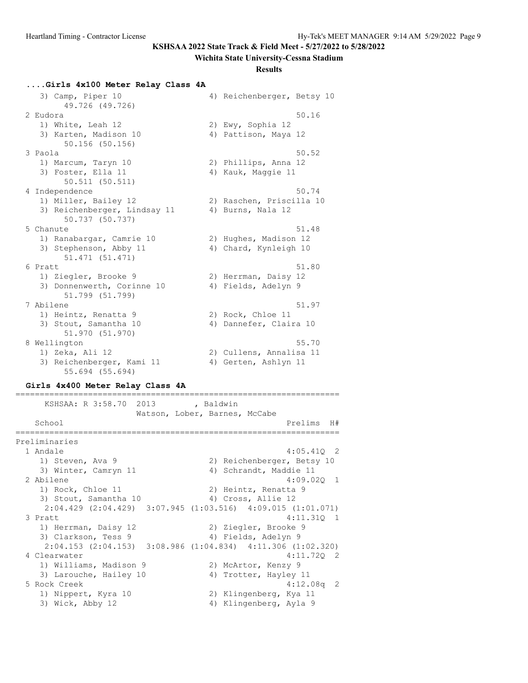#### **Wichita State University-Cessna Stadium**

#### **Results**

#### **....Girls 4x100 Meter Relay Class 4A**

 3) Camp, Piper 10 4) Reichenberger, Betsy 10 49.726 (49.726) 2 Eudora 50.16 1) White, Leah 12 2) Ewy, Sophia 12 3) Karten, Madison 10 (4) Pattison, Maya 12 50.156 (50.156)  $3$  Paola  $50.52$  1) Marcum, Taryn 10 2) Phillips, Anna 12 3) Foster, Ella 11 4) Kauk, Maggie 11 50.511 (50.511) 4 Independence 50.74 1) Miller, Bailey 12 2) Raschen, Priscilla 10 3) Reichenberger, Lindsay 11  $\hskip10mm$  4) Burns, Nala 12 50.737 (50.737) 5 Chanute 51.48 1) Ranabargar, Camrie 10 2) Hughes, Madison 12 3) Stephenson, Abby 11 4) Chard, Kynleigh 10 51.471 (51.471) 6 Pratt  $51.80$ 1) Ziegler, Brooke 9 2) Herrman, Daisy 12 3) Donnenwerth, Corinne 10 (4) Fields, Adelyn 9 51.799 (51.799) 7 Abilene 51.97 1) Heintz, Renatta 9 2) Rock, Chloe 11 3) Stout, Samantha 10 (4) Dannefer, Claira 10 51.970 (51.970) 8 Wellington 55.70 1) Zeka, Ali 12 2) Cullens, Annalisa 11 3) Reichenberger, Kami 11  $\hspace{1cm}$  4) Gerten, Ashlyn 11 55.694 (55.694)

#### **Girls 4x400 Meter Relay Class 4A**

=================================================================== KSHSAA: R 3:58.70 2013 , Baldwin Watson, Lober, Barnes, McCabe School **Prelims** H# =================================================================== Preliminaries 1 Andale 4:05.41Q 2 1) Steven, Ava 9 2) Reichenberger, Betsy 10 3) Winter, Camryn 11 4) Schrandt, Maddie 11 2 Abilene 4:09.02Q 1 1) Rock, Chloe 11 2) Heintz, Renatta 9 3) Stout, Samantha 10 (4) Cross, Allie 12 2:04.429 (2:04.429) 3:07.945 (1:03.516) 4:09.015 (1:01.071) 3 Pratt 4:11.31Q 1 1) Herrman, Daisy 12 **2018** 2) Ziegler, Brooke 9 3) Clarkson, Tess 9 4) Fields, Adelyn 9 2:04.153 (2:04.153) 3:08.986 (1:04.834) 4:11.306 (1:02.320) 4 Clearwater 4:11.72Q 2 1) Williams, Madison 9 2) McArtor, Kenzy 9 3) Larouche, Hailey 10 4) Trotter, Hayley 11 5 Rock Creek 4:12.08q 2 1) Nippert, Kyra 10 2) Klingenberg, Kya 11 3) Wick, Abby 12 4) Klingenberg, Ayla 9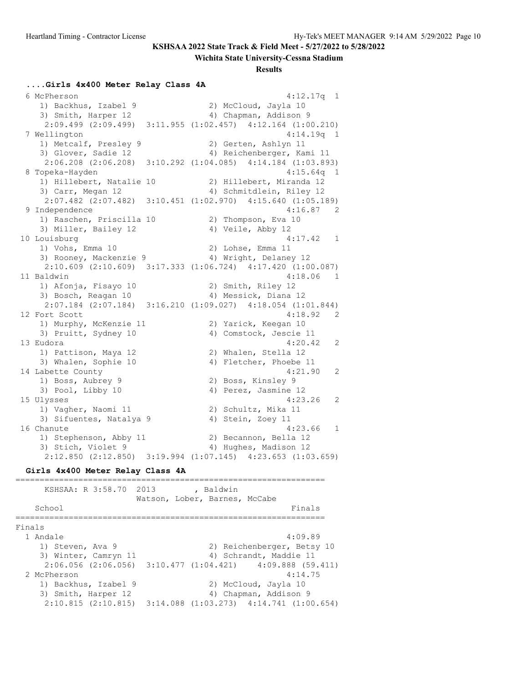#### **Wichita State University-Cessna Stadium**

#### **Results**

#### **....Girls 4x400 Meter Relay Class 4A**

 6 McPherson 4:12.17q 1 1) Backhus, Izabel 9 2) McCloud, Jayla 10 3) Smith, Harper 12 4) Chapman, Addison 9 2:09.499 (2:09.499) 3:11.955 (1:02.457) 4:12.164 (1:00.210) 7 Wellington 4:14.19q 1 1) Metcalf, Presley 9 2) Gerten, Ashlyn 11 3) Glover, Sadie 12 4) Reichenberger, Kami 11 2:06.208 (2:06.208) 3:10.292 (1:04.085) 4:14.184 (1:03.893) 8 Topeka-Hayden 4:15.64q 1 1) Hillebert, Natalie 10 2) Hillebert, Miranda 12 3) Carr, Megan 12 4) Schmitdlein, Riley 12 2:07.482 (2:07.482) 3:10.451 (1:02.970) 4:15.640 (1:05.189) 9 Independence 4:16.87 2 1) Raschen, Priscilla 10 2) Thompson, Eva 10 3) Miller, Bailey 12 (4) Veile, Abby 12 10 Louisburg 4:17.42 1 1) Vohs, Emma 10 2) Lohse, Emma 11 3) Rooney, Mackenzie 9 4) Wright, Delaney 12 2:10.609 (2:10.609) 3:17.333 (1:06.724) 4:17.420 (1:00.087) 11 Baldwin 4:18.06 1 1) Afonja, Fisayo 10 2) Smith, Riley 12 3) Bosch, Reagan 10 4) Messick, Diana 12 2:07.184 (2:07.184) 3:16.210 (1:09.027) 4:18.054 (1:01.844) 12 Fort Scott 3.18.92 2 1) Murphy, McKenzie 11 2) Yarick, Keegan 10 3) Pruitt, Sydney 10 4) Comstock, Jescie 11 13 Eudora 4:20.42 2 1) Pattison, Maya 12 2) Whalen, Stella 12 3) Whalen, Sophie 10 4) Fletcher, Phoebe 11 14 Labette County 2014 121.90 2 1) Boss, Aubrey 9 2) Boss, Kinsley 9 3) Pool, Libby 10 4) Perez, Jasmine 12 15 Ulysses 4:23.26 2 1) Vagher, Naomi 11 2) Schultz, Mika 11 3) Sifuentes, Natalya 9 (4) Stein, Zoey 11 16 Chanute 4:23.66 1 1) Stephenson, Abby 11 2) Becannon, Bella 12 3) Stich, Violet 9 4) Hughes, Madison 12 2:12.850 (2:12.850) 3:19.994 (1:07.145) 4:23.653 (1:03.659) **Girls 4x400 Meter Relay Class 4A** ================================================================ KSHSAA: R 3:58.70 2013 , Baldwin

Watson, Lober, Barnes, McCabe School Finals ================================================================ Finals 1 Andale 4:09.89 1) Steven, Ava 9 2) Reichenberger, Betsy 10 3) Winter, Camryn 11 4) Schrandt, Maddie 11 2:06.056 (2:06.056) 3:10.477 (1:04.421) 4:09.888 (59.411) 2 McPherson 4:14.75 1) Backhus, Izabel 9 2) McCloud, Jayla 10 3) Smith, Harper 12 4) Chapman, Addison 9 2:10.815 (2:10.815) 3:14.088 (1:03.273) 4:14.741 (1:00.654)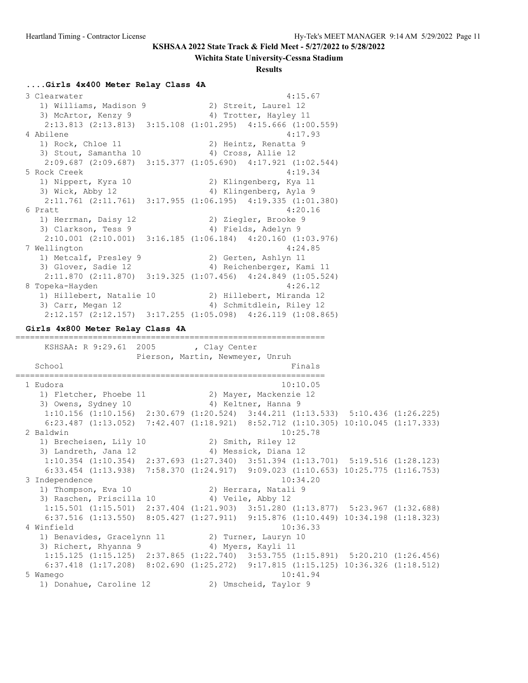#### **Wichita State University-Cessna Stadium**

#### **Results**

#### **....Girls 4x400 Meter Relay Class 4A**

 3 Clearwater 4:15.67 1) Williams, Madison 9 2) Streit, Laurel 12 3) McArtor, Kenzy 9 4) Trotter, Hayley 11 2:13.813 (2:13.813) 3:15.108 (1:01.295) 4:15.666 (1:00.559) 4 Abilene 4:17.93 1) Rock, Chloe 11 2) Heintz, Renatta 9 3) Stout, Samantha 10 4) Cross, Allie 12 2:09.687 (2:09.687) 3:15.377 (1:05.690) 4:17.921 (1:02.544) 5 Rock Creek 4:19.34 1) Nippert, Kyra 10 2) Klingenberg, Kya 11 3) Wick, Abby 12 4) Klingenberg, Ayla 9 2:11.761 (2:11.761) 3:17.955 (1:06.195) 4:19.335 (1:01.380) 6 Pratt 4:20.16 1) Herrman, Daisy 12 **2018** 2) Ziegler, Brooke 9 3) Clarkson, Tess 9 1988 4) Fields, Adelyn 9 2:10.001 (2:10.001) 3:16.185 (1:06.184) 4:20.160 (1:03.976) 7 Wellington 4:24.85 1) Metcalf, Presley 9 2) Gerten, Ashlyn 11 3) Glover, Sadie 12 4) Reichenberger, Kami 11 2:11.870 (2:11.870) 3:19.325 (1:07.456) 4:24.849 (1:05.524) 8 Topeka-Hayden 4:26.12 1) Hillebert, Natalie 10 2) Hillebert, Miranda 12 3) Carr, Megan 12 4) Schmitdlein, Riley 12 2:12.157 (2:12.157) 3:17.255 (1:05.098) 4:26.119 (1:08.865) **Girls 4x800 Meter Relay Class 4A** ================================================================ KSHSAA: R 9:29.61 2005 , Clay Center Pierson, Martin, Newmeyer, Unruh School **Finals** ================================================================ 1 Eudora 10:10.05 1) Fletcher, Phoebe 11 2) Mayer, Mackenzie 12 3) Owens, Sydney 10 (4) Keltner, Hanna 9 1:10.156 (1:10.156) 2:30.679 (1:20.524) 3:44.211 (1:13.533) 5:10.436 (1:26.225) 6:23.487 (1:13.052) 7:42.407 (1:18.921) 8:52.712 (1:10.305) 10:10.045 (1:17.333) 2 Baldwin 10:25.78 1) Brecheisen, Lily 10 2) Smith, Riley 12 3) Landreth, Jana 12  $\hskip10mm$  4) Messick, Diana 12 1:10.354 (1:10.354) 2:37.693 (1:27.340) 3:51.394 (1:13.701) 5:19.516 (1:28.123) 6:33.454 (1:13.938) 7:58.370 (1:24.917) 9:09.023 (1:10.653) 10:25.775 (1:16.753) 3 Independence 10:34.20 1) Thompson, Eva 10 2) Herrara, Natali 9 3) Raschen, Priscilla 10 4) Veile, Abby 12 1:15.501 (1:15.501) 2:37.404 (1:21.903) 3:51.280 (1:13.877) 5:23.967 (1:32.688) 6:37.516 (1:13.550) 8:05.427 (1:27.911) 9:15.876 (1:10.449) 10:34.198 (1:18.323) 4 Winfield 10:36.33 1) Benavides, Gracelynn 11 2) Turner, Lauryn 10 3) Richert, Rhyanna 9  $\hskip1cm$  4) Myers, Kayli 11 1:15.125 (1:15.125) 2:37.865 (1:22.740) 3:53.755 (1:15.891) 5:20.210 (1:26.456) 6:37.418 (1:17.208) 8:02.690 (1:25.272) 9:17.815 (1:15.125) 10:36.326 (1:18.512) 5 Wamego 10:41.94 1) Donahue, Caroline 12 2) Umscheid, Taylor 9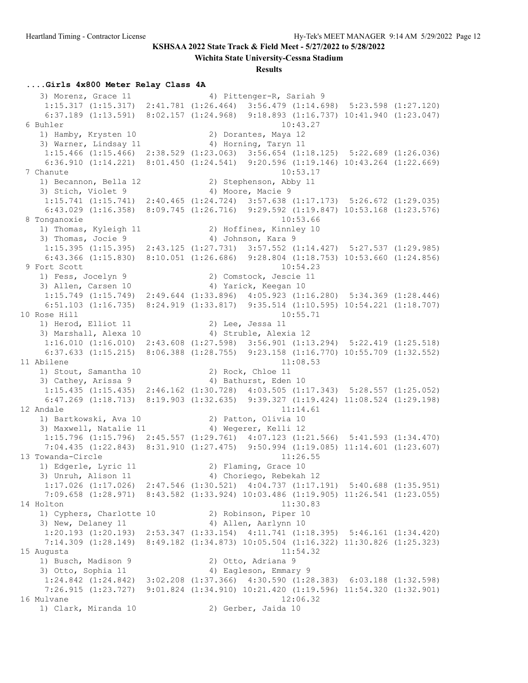**Wichita State University-Cessna Stadium**

**Results**

#### **....Girls 4x800 Meter Relay Class 4A**

3) Morenz, Grace 11 4) Pittenger-R, Sariah 9 1:15.317 (1:15.317) 2:41.781 (1:26.464) 3:56.479 (1:14.698) 5:23.598 (1:27.120) 6:37.189 (1:13.591) 8:02.157 (1:24.968) 9:18.893 (1:16.737) 10:41.940 (1:23.047) 6 Buhler 10:43.27 1) Hamby, Krysten 10 2) Dorantes, Maya 12 3) Warner, Lindsay 11 (4) Horning, Taryn 11 1:15.466 (1:15.466) 2:38.529 (1:23.063) 3:56.654 (1:18.125) 5:22.689 (1:26.036) 6:36.910 (1:14.221) 8:01.450 (1:24.541) 9:20.596 (1:19.146) 10:43.264 (1:22.669) 7 Chanute 10:53.17<br>1) Becannon, Bella 12 (2) Stephenson, Abby 11 1) Becannon, Bella 12 2) Stephenson, Abby 11 3) Stich, Violet 9 4) Moore, Macie 9 1:15.741 (1:15.741) 2:40.465 (1:24.724) 3:57.638 (1:17.173) 5:26.672 (1:29.035) 6:43.029 (1:16.358) 8:09.745 (1:26.716) 9:29.592 (1:19.847) 10:53.168 (1:23.576) 8 Tonganoxie 10:53.66 1) Thomas, Kyleigh 11 2) Hoffines, Kinnley 10 3) Thomas, Jocie 9 4) Johnson, Kara 9 1:15.395 (1:15.395) 2:43.125 (1:27.731) 3:57.552 (1:14.427) 5:27.537 (1:29.985) 6:43.366 (1:15.830) 8:10.051 (1:26.686) 9:28.804 (1:18.753) 10:53.660 (1:24.856) 9 Fort Scott 10:54.23 1) Fess, Jocelyn 9 2) Comstock, Jescie 11 3) Allen, Carsen 10 (4) Yarick, Keegan 10 1:15.749 (1:15.749) 2:49.644 (1:33.896) 4:05.923 (1:16.280) 5:34.369 (1:28.446) 6:51.103 (1:16.735) 8:24.919 (1:33.817) 9:35.514 (1:10.595) 10:54.221 (1:18.707) 10 Rose Hill 10:55.71 1) Herod, Elliot 11 2) Lee, Jessa 11 3) Marshall, Alexa 10 4) Struble, Alexia 12 1:16.010 (1:16.010) 2:43.608 (1:27.598) 3:56.901 (1:13.294) 5:22.419 (1:25.518) 6:37.633 (1:15.215) 8:06.388 (1:28.755) 9:23.158 (1:16.770) 10:55.709 (1:32.552) 11 Abilene 11:08.53<br>1) Stout, Samantha 10 2) Rock, Chloe 11 1) Stout, Samantha 10 2) Rock, Chloe 11 3) Cathey, Arissa 9 4) Bathurst, Eden 10 1:15.435 (1:15.435) 2:46.162 (1:30.728) 4:03.505 (1:17.343) 5:28.557 (1:25.052) 6:47.269 (1:18.713) 8:19.903 (1:32.635) 9:39.327 (1:19.424) 11:08.524 (1:29.198) 12 Andale 11:14.61 1) Bartkowski, Ava 10 2) Patton, Olivia 10 3) Maxwell, Natalie 11 (4) Wegerer, Kelli 12 1:15.796 (1:15.796) 2:45.557 (1:29.761) 4:07.123 (1:21.566) 5:41.593 (1:34.470) 7:04.435 (1:22.843) 8:31.910 (1:27.475) 9:50.994 (1:19.085) 11:14.601 (1:23.607) 13 Towanda-Circle 11:26.55 1) Edgerle, Lyric 11 2) Flaming, Grace 10 3) Unruh, Alison 11 4) Choriego, Rebekah 12 1:17.026 (1:17.026) 2:47.546 (1:30.521) 4:04.737 (1:17.191) 5:40.688 (1:35.951) 7:09.658 (1:28.971) 8:43.582 (1:33.924) 10:03.486 (1:19.905) 11:26.541 (1:23.055) 14 Holton 11:30.83 1) Cyphers, Charlotte 10 2) Robinson, Piper 10 3) New, Delaney 11 4) Allen, Aarlynn 10 1:20.193 (1:20.193) 2:53.347 (1:33.154) 4:11.741 (1:18.395) 5:46.161 (1:34.420) 7:14.309 (1:28.149) 8:49.182 (1:34.873) 10:05.504 (1:16.322) 11:30.826 (1:25.323) 15 Augusta 11:54.32 1) Busch, Madison 9 2) Otto, Adriana 9 3) Otto, Sophia 11 4) Eagleson, Emmary 9 1:24.842 (1:24.842) 3:02.208 (1:37.366) 4:30.590 (1:28.383) 6:03.188 (1:32.598) 7:26.915 (1:23.727) 9:01.824 (1:34.910) 10:21.420 (1:19.596) 11:54.320 (1:32.901) 16 Mulvane 12:06.32 1) Clark, Miranda 10 2) Gerber, Jaida 10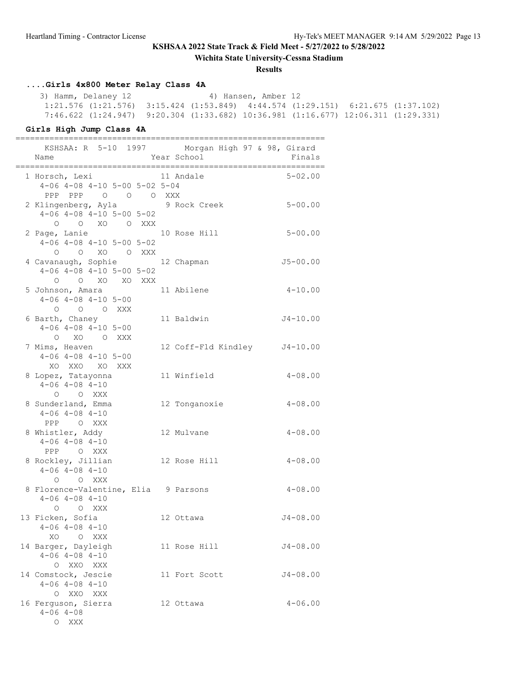**Wichita State University-Cessna Stadium**

#### **Results**

# **....Girls 4x800 Meter Relay Class 4A**

3) Hamm, Delaney 12 4) Hansen, Amber 12 1:21.576 (1:21.576) 3:15.424 (1:53.849) 4:44.574 (1:29.151) 6:21.675 (1:37.102) 7:46.622 (1:24.947) 9:20.304 (1:33.682) 10:36.981 (1:16.677) 12:06.311 (1:29.331)

================================================================

#### **Girls High Jump Class 4A**

| KSHSAA: R 5-10 1997 Morgan High 97 & 98, Girard<br>Name                                                                                          | Year School                  | Finals       |
|--------------------------------------------------------------------------------------------------------------------------------------------------|------------------------------|--------------|
| 1 Horsch, Lexi<br>$4-06$ $4-08$ $4-10$ $5-00$ $5-02$ $5-04$<br>PPP PPP 0 0 0 XXX                                                                 | 11 Andale                    | $5 - 02.00$  |
| 2 Klingenberg, Ayla 9 Rock Creek<br>$4-06$ $4-08$ $4-10$ $5-00$ $5-02$<br>O O XO O XXX                                                           |                              | $5 - 00.00$  |
| 2 Page, Lanie<br>$4-06$ $4-08$ $4-10$ $5-00$ $5-02$<br>O O XO O XXX                                                                              | 10 Rose Hill                 | $5 - 00.00$  |
| 4 Cavanaugh, Sophie 12 Chapman<br>$4-06$ $4-08$ $4-10$ $5-00$ $5-02$<br>$\begin{matrix}0&0&\text{X}0&\text{X}0&\text{X}0&\text{XXX}\end{matrix}$ |                              | $J5 - 00.00$ |
| 5 Johnson, Amara<br>$4-06$ $4-08$ $4-10$ $5-00$<br>0 0 0 XXX                                                                                     | 11 Abilene                   | $4 - 10.00$  |
| 6 Barth, Chaney<br>$4-06$ $4-08$ $4-10$ $5-00$<br>O XO O XXX                                                                                     | 11 Baldwin                   | $J4 - 10.00$ |
| 7 Mims, Heaven<br>$4-06$ $4-08$ $4-10$ $5-00$<br>XO XXO XO XXX                                                                                   | 12 Coff-Fld Kindley J4-10.00 |              |
| 8 Lopez, Tatayonna<br>$4 - 06$ $4 - 08$ $4 - 10$<br>O O XXX                                                                                      | 11 Winfield                  | $4 - 08.00$  |
| 8 Sunderland, Emma<br>$4 - 06$ $4 - 08$ $4 - 10$<br>PPP O XXX                                                                                    | 12 Tonganoxie                | $4 - 08.00$  |
| 8 Whistler, Addy<br>$4 - 06$ $4 - 08$ $4 - 10$<br>PPP OXXX                                                                                       | 12 Mulvane                   | $4 - 08.00$  |
| 8 Rockley, Jillian<br>$4 - 06$ $4 - 08$ $4 - 10$<br>O O XXX                                                                                      | 12 Rose Hill                 | $4 - 08.00$  |
| 8 Florence-Valentine, Elia 9 Parsons<br>$4 - 06$ $4 - 08$ $4 - 10$<br>O O XXX                                                                    |                              | $4 - 08.00$  |
| 13 Ficken, Sofia<br>$4 - 06$ $4 - 08$ $4 - 10$<br>XO O XXX                                                                                       | 12 Ottawa                    | $J4 - 08.00$ |
| 14 Barger, Dayleigh<br>$4 - 06$ $4 - 08$ $4 - 10$<br>O XXO XXX                                                                                   | 11 Rose Hill                 | $J4 - 08.00$ |
| 14 Comstock, Jescie<br>$4 - 06$ $4 - 08$ $4 - 10$<br>O XXO XXX                                                                                   | 11 Fort Scott                | $J4 - 08.00$ |
| 16 Ferguson, Sierra<br>$4 - 06$ $4 - 08$<br>O XXX                                                                                                | 12 Ottawa                    | $4 - 06.00$  |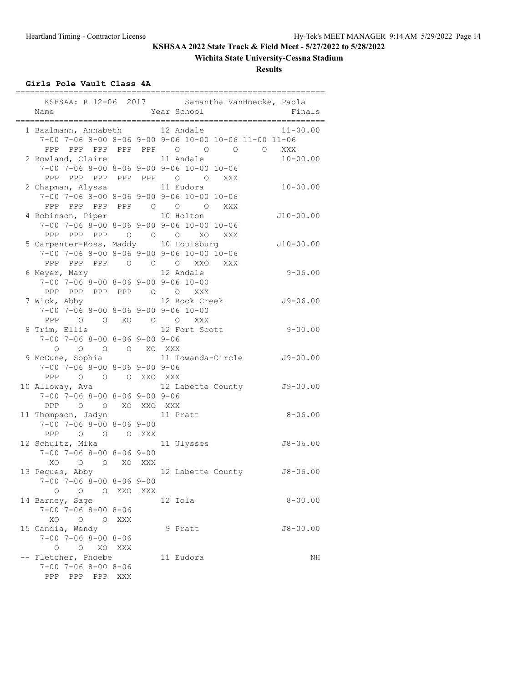# **Wichita State University-Cessna Stadium**

**Results**

## **Girls Pole Vault Class 4A**

|                                                       |            |     | KSHSAA: R 12-06 2017 Samantha VanHoecke, Paola        |              |
|-------------------------------------------------------|------------|-----|-------------------------------------------------------|--------------|
| Name                                                  |            |     | Year School                                           | Finals       |
| 1 Baalmann, Annabeth                                  |            |     | 12 Andale                                             | $11 - 00.00$ |
|                                                       |            |     | 7-00 7-06 8-00 8-06 9-00 9-06 10-00 10-06 11-00 11-06 |              |
| PPP PPP PPP PPP PPP 0 0                               |            |     | $\begin{matrix} 0 & 0 \\ 0 & 0 \end{matrix}$          | XXX          |
| 2 Rowland, Claire                                     |            |     | 11 Andale                                             | $10 - 00.00$ |
|                                                       |            |     | 7-00 7-06 8-00 8-06 9-00 9-06 10-00 10-06             |              |
| PPP PPP PPP PPP PPP 0 0                               |            |     | XXX                                                   |              |
| 2 Chapman, Alyssa                                     |            |     | 11 Eudora                                             | $10 - 00.00$ |
|                                                       |            |     | 7-00 7-06 8-00 8-06 9-00 9-06 10-00 10-06             |              |
| PPP PPP PPP PPP 0 0 0                                 |            |     | XXX                                                   |              |
| 4 Robinson, Piper                                     |            |     | 10 Holton                                             | $J10-00.00$  |
|                                                       |            |     | 7-00 7-06 8-00 8-06 9-00 9-06 10-00 10-06             |              |
| PPP PPP PPP 0 0 0 XO                                  |            |     | XXX                                                   |              |
| 5 Carpenter-Ross, Maddy 10 Louisburg                  |            |     |                                                       | $J10-00.00$  |
|                                                       |            |     | 7-00 7-06 8-00 8-06 9-00 9-06 10-00 10-06             |              |
| PPP PPP PPP 0 0 0                                     |            |     | XXO<br>XXX                                            |              |
| 6 Meyer, Mary                                         |            |     | 12 Andale                                             | $9 - 06.00$  |
| $7-00$ $7-06$ $8-00$ $8-06$ $9-00$ $9-06$ $10-00$     |            |     |                                                       |              |
| PPP PPP PPP PPP 0 0 XXX                               |            |     |                                                       |              |
| 7 Wick, Abby                                          |            |     | 12 Rock Creek                                         | $J9 - 06.00$ |
| 7-00 7-06 8-00 8-06 9-00 9-06 10-00                   |            |     |                                                       |              |
| PPP 0 0 XO 0 0                                        |            |     | XXX                                                   |              |
| 8 Trim, Ellie                                         |            |     | 12 Fort Scott                                         | $9 - 00.00$  |
| 7-00 7-06 8-00 8-06 9-00 9-06                         |            |     |                                                       |              |
| $\circ$<br>$\circ$                                    | O O XO XXX |     |                                                       |              |
| 9 McCune, Sophia                                      |            |     | 11 Towanda-Circle                                     | $J9 - 00.00$ |
| $7-00$ $7-06$ $8-00$ $8-06$ $9-00$ $9-06$             |            |     |                                                       |              |
| PPP 0 0 0 XXO XXX                                     |            |     |                                                       |              |
| 10 Alloway, Ava                                       |            |     | 12 Labette County                                     | $J9 - 00.00$ |
| $7-00$ $7-06$ $8-00$ $8-06$ $9-00$ $9-06$             |            |     |                                                       |              |
| PPP<br>O O XO XXO XXX                                 |            |     |                                                       |              |
| 11 Thompson, Jadyn                                    |            |     | 11 Pratt                                              | $8 - 06.00$  |
| $7-00$ $7-06$ $8-00$ $8-06$ $9-00$                    |            |     |                                                       |              |
| O O O XXX<br>PPP                                      |            |     |                                                       |              |
| 12 Schultz, Mika                                      |            |     | 11 Ulysses                                            | $J8 - 06.00$ |
| $7-00$ $7-06$ $8-00$ $8-06$ $9-00$                    |            |     |                                                       |              |
| XO.<br>O O XO XXX                                     |            |     |                                                       |              |
| 13 Peques, Abby                                       |            |     | 12 Labette County                                     | $J8 - 06.00$ |
| $7 - 00$ $7 - 06$ $8 - 00$ $8 - 06$ $9 - 00$          |            |     |                                                       |              |
| O XXO<br>$\circ$<br>$\overline{O}$                    |            | XXX |                                                       |              |
| 14 Barney, Sage                                       |            |     | 12 Iola                                               | $8 - 00.00$  |
| $7 - 00$ $7 - 06$ $8 - 00$ $8 - 06$                   |            |     |                                                       |              |
| XO<br>$\circ$<br>$\circ$                              | XXX        |     |                                                       |              |
| 15 Candia, Wendy                                      |            |     | 9 Pratt                                               | $J8 - 00.00$ |
| $7 - 00$ $7 - 06$ $8 - 00$ $8 - 06$                   |            |     |                                                       |              |
| $\overline{O}$<br>$\circ$                             | XO XXX     |     |                                                       |              |
| -- Fletcher, Phoebe                                   |            |     | 11 Eudora                                             | ΝH           |
| $7 - 00$ $7 - 06$ $8 - 00$ $8 - 06$<br>PPP<br>PPP PPP | XXX        |     |                                                       |              |
|                                                       |            |     |                                                       |              |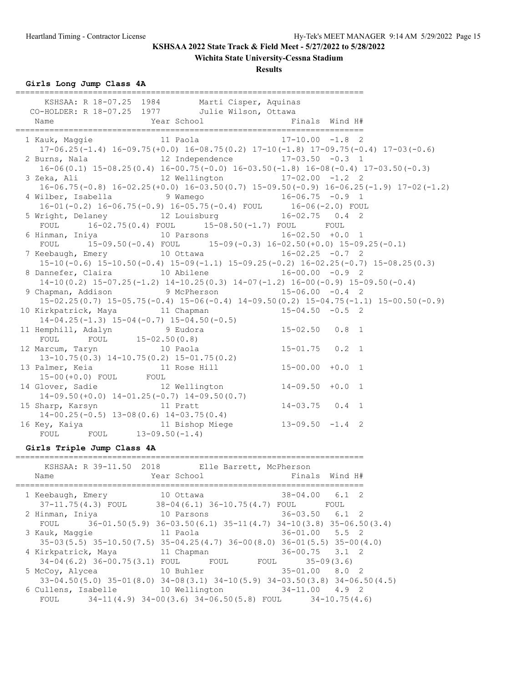## **Wichita State University-Cessna Stadium**

### **Results**

**Girls Long Jump Class 4A**

| KSHSAA: R 18-07.25 1984 Marti Cisper, Aquinas                                                                        |  |  |
|----------------------------------------------------------------------------------------------------------------------|--|--|
| CO-HOLDER: R 18-07.25 1977 Julie Wilson, Ottawa                                                                      |  |  |
|                                                                                                                      |  |  |
|                                                                                                                      |  |  |
| 1 Kauk, Maggie 11 Paola 17-10.00 -1.8 2                                                                              |  |  |
| $17-06.25(-1.4)$ $16-09.75(+0.0)$ $16-08.75(0.2)$ $17-10(-1.8)$ $17-09.75(-0.4)$ $17-03(-0.6)$                       |  |  |
| 2 Burns, Nala $12$ Independence $17-03.50$ -0.3 1                                                                    |  |  |
| $16-06(0.1)$ $15-08.25(0.4)$ $16-00.75(-0.0)$ $16-03.50(-1.8)$ $16-08(-0.4)$ $17-03.50(-0.3)$                        |  |  |
| 3 Zeka, Ali               12 Wellington           17-02.00 -1.2   2                                                  |  |  |
| $16-06.75(-0.8)$ $16-02.25(+0.0)$ $16-03.50(0.7)$ $15-09.50(-0.9)$ $16-06.25(-1.9)$ $17-02(-1.2)$                    |  |  |
|                                                                                                                      |  |  |
| 4 Wilber, Isabella 9 Wamego 16-06.75 -0.9 1<br>16-01(-0.2) 16-06.75(-0.9) 16-05.75(-0.4) FOUL 16-06(-2.0) FOUL       |  |  |
| 5 Wright, Delaney 12 Louisburg 16-02.75 0.4 2                                                                        |  |  |
| FOUL 16-02.75(0.4) FOUL 15-08.50(-1.7) FOUL FOUL                                                                     |  |  |
| 6 Hinman, Iniya                 10 Parsons                 16-02.50 +0.0   1                                         |  |  |
| FOUL $15-09.50(-0.4)$ FOUL $15-09(-0.3)$ $16-02.50(+0.0)$ $15-09.25(-0.1)$                                           |  |  |
| 7 Keebaugh, Emery 10 Ottawa 16-02.25 -0.7 2                                                                          |  |  |
| $15-10(-0.6)$ $15-10.50(-0.4)$ $15-09(-1.1)$ $15-09.25(-0.2)$ $16-02.25(-0.7)$ $15-08.25(0.3)$                       |  |  |
|                                                                                                                      |  |  |
| $14-10(0.2)$ $15-07.25(-1.2)$ $14-10.25(0.3)$ $14-07(-1.2)$ $16-00(-0.9)$ $15-09.50(-0.4)$                           |  |  |
| 9 Chapman, Addison 9 McPherson 15-06.00 -0.4 2                                                                       |  |  |
| $15-02.25(0.7)$ $15-05.75(-0.4)$ $15-06(-0.4)$ $14-09.50(0.2)$ $15-04.75(-1.1)$ $15-00.50(-0.9)$                     |  |  |
| 10 Kirkpatrick, Maya 11 Chapman 15-04.50 -0.5 2                                                                      |  |  |
| $14-04.25(-1.3)$ $15-04(-0.7)$ $15-04.50(-0.5)$                                                                      |  |  |
|                                                                                                                      |  |  |
|                                                                                                                      |  |  |
| 12 Marcum, Taryn 10 Paola 15-01.75 0.2 1<br>13-10.75(0.3) 14-10.75(0.2) 15-01.75(0.2)                                |  |  |
|                                                                                                                      |  |  |
| 13 Palmer, Keia (11 Rose Hill (15-00.00 +0.0 1)                                                                      |  |  |
| 15-00 (+0.0) FOUL FOUL                                                                                               |  |  |
| 14 Glover, Sadie 12 Wellington 14-09.50 +0.0 1                                                                       |  |  |
| 14-09.50(+0.0) $14-01.25(-0.7)$ $14-09.50(0.7)$<br>15 Sharp, Karsyn 11 Pratt 14-00.25(-0.5) 13-08(0.6) 14-03.75(0.4) |  |  |
|                                                                                                                      |  |  |
|                                                                                                                      |  |  |
|                                                                                                                      |  |  |
|                                                                                                                      |  |  |

### **Girls Triple Jump Class 4A**

| Name                | KSHSAA: R 39-11.50 2018 Elle Barrett, McPherson<br>Year School                         | Finals Wind H#     |
|---------------------|----------------------------------------------------------------------------------------|--------------------|
| 1 Keebaugh, Emery   | 10 Ottawa                                                                              | $38 - 04.00$ 6.1 2 |
|                     | $37-11.75(4.3)$ FOUL $38-04(6.1)$ $36-10.75(4.7)$ FOUL                                 | FOUL               |
| 2 Hinman, Iniya     | 10 Parsons                                                                             | $36 - 03.50$ 6.1 2 |
|                     | FOUL $36-01.50(5.9) 36-03.50(6.1) 35-11(4.7) 34-10(3.8) 35-06.50(3.4)$                 |                    |
| 3 Kauk, Maggie      | 11 Paola                                                                               | $36 - 01.00$ 5.5 2 |
|                     | $35-03(5.5)$ $35-10.50(7.5)$ $35-04.25(4.7)$ $36-00(8.0)$ $36-01(5.5)$ $35-00(4.0)$    |                    |
| 4 Kirkpatrick, Maya | 11 Chapman                                                                             | $36 - 00.75$ 3.1 2 |
|                     | 34-04(6.2) 36-00.75(3.1) FOUL FOUL FOUL FOUL                                           | $35 - 09(3.6)$     |
| 5 McCoy, Alycea     | 10 Buhler                                                                              | $35 - 01.00$ 8.0 2 |
|                     | $33-04.50(5.0)$ $35-01(8.0)$ $34-08(3.1)$ $34-10(5.9)$ $34-03.50(3.8)$ $34-06.50(4.5)$ |                    |
|                     | 6 Cullens, Isabelle 10 Wellington 34-11.00 4.9 2                                       |                    |
| FOUL                | 34-11(4.9) 34-00(3.6) 34-06.50(5.8) FOUL                                               | $34 - 10.75(4.6)$  |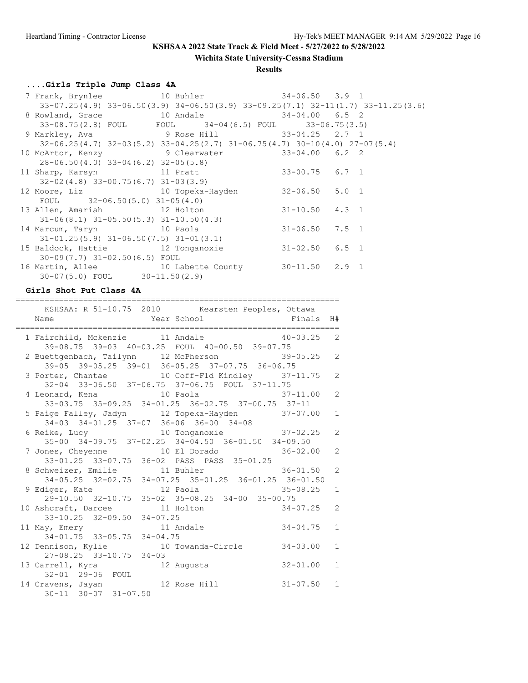**Wichita State University-Cessna Stadium**

### **Results**

# **....Girls Triple Jump Class 4A**

|                                                                             | $33-07.25(4.9)$ $33-06.50(3.9)$ $34-06.50(3.9)$ $33-09.25(7.1)$ $32-11(1.7)$ $33-11.25(3.6)$ |                    |  |
|-----------------------------------------------------------------------------|----------------------------------------------------------------------------------------------|--------------------|--|
| 8 Rowland, Grace 10 Andale 34-04.00 6.5 2                                   |                                                                                              |                    |  |
|                                                                             | 33-06.75(2.8) FOUL FOUL 34-04(6.5) FOUL 33-06.75(3.5)                                        |                    |  |
| 9 Markley, Ava           9 Rose Hill         33-04.25   2.7 1               |                                                                                              |                    |  |
|                                                                             | $32-06.25(4.7)$ $32-03(5.2)$ $33-04.25(2.7)$ $31-06.75(4.7)$ $30-10(4.0)$ $27-07(5.4)$       |                    |  |
| 10 McArtor, Kenzy 9 Clearwater 33-04.00 6.2 2                               |                                                                                              |                    |  |
| $28 - 06.50(4.0)$ 33-04(6.2) 32-05(5.8)                                     |                                                                                              |                    |  |
| 11 Sharp, Karsyn 11 Pratt                                                   |                                                                                              | $33 - 00.75$ 6.7 1 |  |
| $32-02(4.8)$ $33-00.75(6.7)$ $31-03(3.9)$                                   |                                                                                              |                    |  |
| 12 Moore, Liz                   10 Topeka-Hayden         32-06.50   5.0   1 |                                                                                              |                    |  |
| FOUL $32-06.50(5.0) 31-05(4.0)$                                             |                                                                                              |                    |  |
| 13 Allen, Amariah 12 Holton 31-10.50 4.3 1                                  |                                                                                              |                    |  |
| $31-06(8.1)$ $31-05.50(5.3)$ $31-10.50(4.3)$                                |                                                                                              |                    |  |
| 14 Marcum, Taryn 10 Paola                                                   |                                                                                              | $31 - 06.50$ 7.5 1 |  |
| $31-01.25(5.9)$ $31-06.50(7.5)$ $31-01(3.1)$                                |                                                                                              |                    |  |
| 15 Baldock, Hattie $12$ Tonganoxie $31-02.50$ 6.5 1                         |                                                                                              |                    |  |
| $30-09(7.7)$ $31-02.50(6.5)$ FOUL                                           |                                                                                              |                    |  |
| 16 Martin, Allee 30-11.50 2.9 1                                             |                                                                                              |                    |  |
| $30-07(5.0)$ FOUL $30-11.50(2.9)$                                           |                                                                                              |                    |  |

## **Girls Shot Put Class 4A**

|                                                                                  | KSHSAA: R 51-10.75 2010 Kearsten Peoples, Ottawa                                                             |
|----------------------------------------------------------------------------------|--------------------------------------------------------------------------------------------------------------|
|                                                                                  | 1 Fairchild, Mckenzie 11 Andale 40-03.25 2<br>39-08.75 39-03 40-03.25 FOUL 40-00.50 39-07.75                 |
| 39-05 39-05.25 39-01 36-05.25 37-07.75 36-06.75                                  | 2 Buettgenbach, Tailynn 12 McPherson 39-05.25 2                                                              |
|                                                                                  | 3 Porter, Chantae 10 Coff-Fld Kindley 37-11.75 2<br>32-04 33-06.50 37-06.75 37-06.75 FOUL 37-11.75           |
|                                                                                  | 4 Leonard, Kena (10 Paola (37-11.00 2)<br>33-03.75 35-09.25 34-01.25 36-02.75 37-00.75 37-11                 |
| 34-03 34-01.25 37-07 36-06 36-00 34-08                                           | 5 Paige Falley, Jadyn 12 Topeka-Hayden 37-07.00 1                                                            |
|                                                                                  | 6 Reike, Lucy 10 Tonganoxie 37-02.25 2<br>35-00 34-09.75 37-02.25 34-04.50 36-01.50 34-09.50                 |
| 33-01.25 33-07.75 36-02 PASS PASS 35-01.25                                       | $\overline{2}$<br>7 Jones, Cheyenne 10 El Dorado 36-02.00                                                    |
|                                                                                  | 8 Schweizer, Emilie 11 Buhler 11 Steller 36-01.50 2<br>34-05.25 32-02.75 34-07.25 35-01.25 36-01.25 36-01.50 |
|                                                                                  | 9 Ediger, Kate 12 Paola 35-08.25 1                                                                           |
| 29-10.50 32-10.75 35-02 35-08.25 34-00 35-00.75                                  | 10 Ashcraft, Darcee 11 Holton 34-07.25 2                                                                     |
|                                                                                  | 11 May, Emery<br>$34-01.75$<br>$33-05.75$<br>$34-04.75$<br>12 Dennison $x^{n+1}$<br>$\mathbf{1}$             |
|                                                                                  | 12 Dennison, Kylie 10 Towanda-Circle 34-03.00<br>$\mathbf{1}$                                                |
| 27-08.25 33-10.75 34-03<br>13 Carrell, Kyra 12 Augusta                           | $32 - 01.00$<br>$\mathbf{1}$                                                                                 |
| 32-01 29-06 FOUL<br>14 Cravens, Jayan 12 Rose Hill<br>$30-11$ $30-07$ $31-07.50$ | $31 - 07.50$ 1                                                                                               |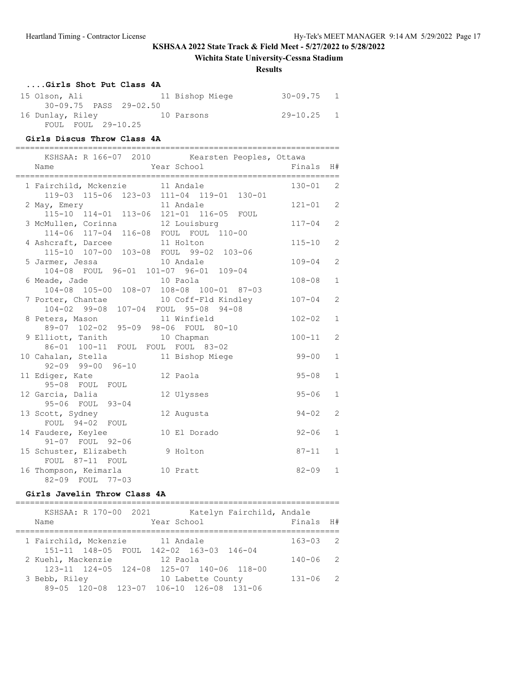## **Wichita State University-Cessna Stadium**

### **Results**

| Girls Shot Put Class 4A |                 |                |  |
|-------------------------|-----------------|----------------|--|
| 15 Olson, Ali           | 11 Bishop Miege | $30 - 09.75$ 1 |  |
| 30-09.75 PASS 29-02.50  |                 |                |  |
| 16 Dunlay, Riley        | 10 Parsons      | $29 - 10.25$ 1 |  |
| FOUL FOUL 29-10.25      |                 |                |  |

# **Girls Discus Throw Class 4A**

| KSHSAA: R 166-07 2010 Kearsten Peoples, Ottawa<br>Year School<br>Name            | Finals     | H#             |
|----------------------------------------------------------------------------------|------------|----------------|
| 1 Fairchild, Mckenzie 11 Andale<br>119-03 115-06 123-03 111-04 119-01 130-01     | $130 - 01$ | $\overline{2}$ |
| 11 Andale<br>2 May, Emery<br>115-10 114-01 113-06 121-01 116-05 FOUL             | $121 - 01$ | 2              |
| 3 McMullen, Corinna 12 Louisburg<br>114-06 117-04 116-08 FOUL FOUL 110-00        | $117 - 04$ | $\overline{c}$ |
| 4 Ashcraft, Darcee 11 Holton<br>115-10 107-00 103-08 FOUL 99-02 103-06           | $115 - 10$ | $\overline{2}$ |
| 5 Jarmer, Jessa 10 Andale<br>104-08 FOUL 96-01 101-07 96-01 109-04               | $109 - 04$ | 2              |
| 6 Meade, Jade<br>10 Paola<br>104-08 105-00 108-07 108-08 100-01 87-03            | $108 - 08$ | $\mathbf{1}$   |
| 10 Coff-Fld Kindley<br>7 Porter, Chantae<br>104-02 99-08 107-04 FOUL 95-08 94-08 | $107 - 04$ | 2              |
| 8 Peters, Mason<br>11 Winfield<br>89-07 102-02 95-09 98-06 FOUL 80-10            | $102 - 02$ | $\mathbf{1}$   |
| 9 Elliott, Tanith<br>10 Chapman<br>86-01 100-11 FOUL FOUL FOUL 83-02             | $100 - 11$ | $\overline{2}$ |
| 10 Cahalan, Stella<br>11 Bishop Miege<br>$92 - 09$ $99 - 00$ $96 - 10$           | $99 - 00$  | $\mathbf{1}$   |
| 11 Ediger, Kate<br>12 Paola<br>95-08 FOUL FOUL                                   | $95 - 08$  | $\mathbf{1}$   |
| 12 Garcia, Dalia<br>12 Ulysses<br>95-06 FOUL 93-04                               | $95 - 06$  | $\mathbf{1}$   |
| 13 Scott, Sydney<br>12 Augusta<br>FOUL 94-02 FOUL                                | $94 - 02$  | $\overline{2}$ |
| 14 Faudere, Keylee<br>10 El Dorado<br>91-07 FOUL 92-06                           | $92 - 06$  | $\mathbf{1}$   |
| 15 Schuster, Elizabeth<br>9 Holton<br>FOUL 87-11 FOUL                            | $87 - 11$  | $\mathbf{1}$   |
| 16 Thompson, Keimarla<br>10 Pratt<br>82-09 FOUL<br>$77 - 03$                     | $82 - 09$  | $\mathbf{1}$   |

### **Girls Javelin Throw Class 4A**

| KSHSAA: R 170-00 2021                     |                   | Katelyn Fairchild, Andale |              |                |
|-------------------------------------------|-------------------|---------------------------|--------------|----------------|
| Name                                      | Year School       |                           | Finals H#    |                |
|                                           |                   |                           |              |                |
| 1 Fairchild, Mckenzie                     | 11 Andale         |                           | $163 - 03$ 2 |                |
| 151-11 148-05 FOUL 142-02 163-03 146-04   |                   |                           |              |                |
| 2 Kuehl, Mackenzie                        | 12 Paola          |                           | $140 - 06$   | $\overline{2}$ |
| 123-11 124-05 124-08 125-07 140-06 118-00 |                   |                           |              |                |
| 3 Bebb, Riley                             | 10 Labette County |                           | $131 - 06$   | $\overline{2}$ |
| 89-05 120-08 123-07 106-10 126-08 131-06  |                   |                           |              |                |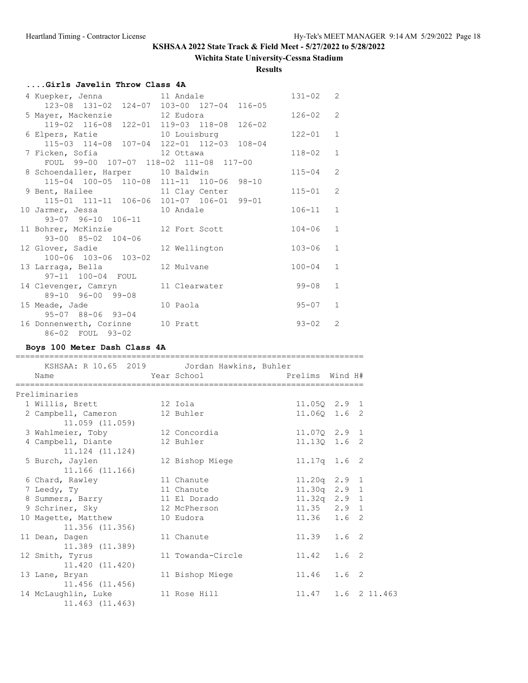## **Wichita State University-Cessna Stadium**

**Results**

# **....Girls Javelin Throw Class 4A**

|                                                                           |                                           | $131 - 02$ 2 |                |
|---------------------------------------------------------------------------|-------------------------------------------|--------------|----------------|
|                                                                           | 123-08 131-02 124-07 103-00 127-04 116-05 |              |                |
| 5 Mayer, Mackenzie 12 Eudora                                              |                                           | $126 - 02$   | 2              |
|                                                                           | 119-02 116-08 122-01 119-03 118-08 126-02 |              |                |
| 6 Elpers, Katie 10 Louisburg<br>115-03 114-08 107-04 122-01 112-03 108-04 |                                           | $122 - 01$   | $\mathbf{1}$   |
|                                                                           |                                           |              |                |
| 7 Ficken, Sofia and 12 Ottawa                                             |                                           | $118 - 02$   | $\mathbf{1}$   |
| FOUL 99-00 107-07 118-02 111-08 117-00                                    |                                           |              |                |
| 8 Schoendaller, Harper 10 Baldwin                                         |                                           | $115 - 04$   | $\overline{2}$ |
| 115-04 100-05 110-08 111-11 110-06 98-10                                  |                                           |              |                |
| 9 Bent, Hailee 11 Clay Center                                             |                                           | $115 - 01$   | $\mathcal{L}$  |
| 115-01 111-11 106-06 101-07 106-01 99-01                                  |                                           |              |                |
| 10 Jarmer, Jessa 10 Andale                                                |                                           | $106 - 11$   | $\mathbf{1}$   |
| 93-07 96-10 106-11                                                        |                                           |              |                |
| 11 Bohrer, McKinzie 12 Fort Scott                                         |                                           | $104 - 06$   | $\mathbf{1}$   |
| 93-00 85-02 104-06                                                        |                                           |              |                |
| 12 Glover, Sadie                                                          | 12 Wellington                             | $103 - 06$   | $\mathbf{1}$   |
| 100-06 103-06 103-02                                                      |                                           |              |                |
| 13 Larraga, Bella                                                         | 12 Mulvane                                | $100 - 04$   | $\mathbf{1}$   |
| 97-11 100-04 FOUL                                                         |                                           |              |                |
| 14 Clevenger, Camryn 11 Clearwater                                        |                                           | $99 - 08$    | $\mathbf{1}$   |
| 89-10 96-00 99-08                                                         |                                           |              |                |
| 15 Meade, Jade                                                            | 10 Paola                                  | $95 - 07$    | $\mathbf{1}$   |
| 95-07 88-06 93-04                                                         |                                           |              |                |
| 16 Donnenwerth, Corinne 10 Pratt                                          |                                           | $93 - 02$    | $\mathcal{L}$  |
| 86-02 FOUL 93-02                                                          |                                           |              |                |

# **Boys 100 Meter Dash Class 4A**

| KSHSAA: R 10.65 2019   Jordan Hawkins, Buhler<br>Name |                   |                 |                    |
|-------------------------------------------------------|-------------------|-----------------|--------------------|
| Preliminaries                                         |                   |                 |                    |
| 1 Willis, Brett 12 Iola                               |                   | 11.050 2.9 1    |                    |
| 2 Campbell, Cameron<br>$11.059$ $(11.059)$            | 12 Buhler         | 11.060 1.6 2    |                    |
| 3 Wahlmeier, Toby 12 Concordia                        |                   | 11.070 2.9 1    |                    |
| 4 Campbell, Diante<br>11.124 (11.124)                 | 12 Buhler         | 11.13Q 1.6 2    |                    |
| 5 Burch, Jaylen<br>11.166 (11.166)                    | 12 Bishop Miege   | $11.17q$ 1.6 2  |                    |
| 6 Chard, Rawley                                       | 11 Chanute        | $11.20q$ 2.9 1  |                    |
| 7 Leedy, Ty                                           | 11 Chanute        | $11.30q$ 2.9 1  |                    |
| 8 Summers, Barry                                      | 11 El Dorado      | 11.32q 2.9 1    |                    |
| 9 Schriner, Sky                                       | 12 McPherson      | $11.35$ $2.9$ 1 |                    |
| 10 Magette, Matthew<br>11.356 (11.356)                | 10 Eudora         | $11.36$ $1.6$ 2 |                    |
| 11 Dean, Dagen<br>$11,389$ $(11,389)$                 | 11 Chanute        | $11.39$ $1.6$ 2 |                    |
| 12 Smith, Tyrus<br>11.420 (11.420)                    | 11 Towanda-Circle | 11.42 1.6 2     |                    |
| 13 Lane, Bryan<br>11.456 (11.456)                     | 11 Bishop Miege   | 11.46 1.6 2     |                    |
| 14 McLaughlin, Luke<br>11.463 (11.463)                | 11 Rose Hill      |                 | 11.47 1.6 2 11.463 |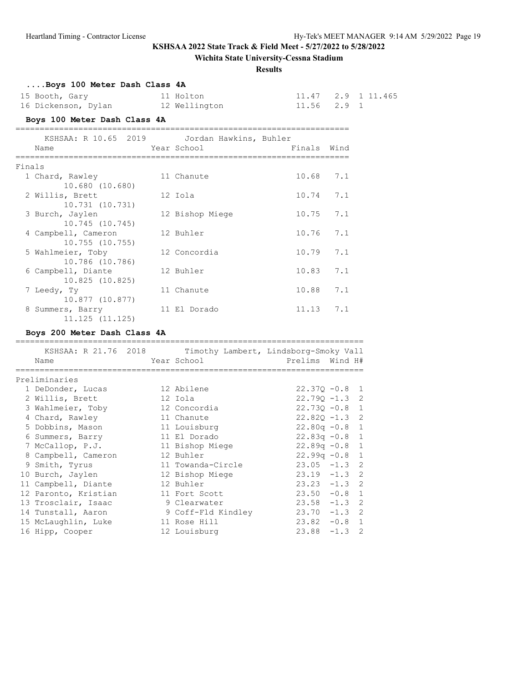## **Wichita State University-Cessna Stadium**

### **Results**

# **....Boys 100 Meter Dash Class 4A**

| 15 Booth, Gary      | 11 Holton     |                 | 11.47 2.9 1 11.465 |
|---------------------|---------------|-----------------|--------------------|
| 16 Dickenson, Dylan | 12 Wellington | $11.56$ $2.9$ 1 |                    |

# **Boys 100 Meter Dash Class 4A**

|        | KSHSAA: R 10.65 2019 | Jordan Hawkins, Buhler |             |     |
|--------|----------------------|------------------------|-------------|-----|
|        | Name                 | Year School            | Finals Wind |     |
| Finals |                      |                        |             |     |
|        | 1 Chard, Rawley      | 11 Chanute             | 10.68       | 7.1 |
|        | 10.680 (10.680)      |                        |             |     |
|        | 2 Willis, Brett      | 12 Iola                | 10.74       | 7.1 |
|        | 10.731 (10.731)      |                        |             |     |
|        | 3 Burch, Jaylen      | 12 Bishop Miege        | 10.75       | 7.1 |
|        | 10.745(10.745)       |                        |             |     |
|        | 4 Campbell, Cameron  | 12 Buhler              | 10.76       | 7.1 |
|        | 10.755(10.755)       |                        |             |     |
|        | 5 Wahlmeier, Toby    | 12 Concordia           | 10.79       | 7.1 |
|        | 10.786 (10.786)      |                        |             |     |
|        | 6 Campbell, Diante   | 12 Buhler              | 10.83       | 7.1 |
|        | 10.825 (10.825)      |                        |             |     |
|        | 7 Leedy, Ty          | 11 Chanute             | 10.88       | 7.1 |
|        | 10.877 (10.877)      |                        |             |     |
| 8      | Summers, Barry       | 11 El Dorado           | 11.13       | 7.1 |
|        | $11.125$ $(11.125)$  |                        |             |     |

## **Boys 200 Meter Dash Class 4A**

| KSHSAA: R 21.76 2018 |  | Timothy Lambert, Lindsborg-Smoky Vall |                  |  |
|----------------------|--|---------------------------------------|------------------|--|
| Name                 |  | Year School                           | Prelims Wind H#  |  |
|                      |  |                                       |                  |  |
| Preliminaries        |  |                                       |                  |  |
| 1 DeDonder, Lucas    |  | 12 Abilene                            | $22.370 - 0.8$ 1 |  |
| 2 Willis, Brett      |  | 12 Iola                               | $22.79Q - 1.3$ 2 |  |
| 3 Wahlmeier, Toby    |  | 12 Concordia                          | $22.730 - 0.8$ 1 |  |
| 4 Chard, Rawley      |  | 11 Chanute                            | $22.82Q - 1.3$ 2 |  |
| 5 Dobbins, Mason     |  | 11 Louisburg                          | $22.80q -0.8$ 1  |  |
| 6 Summers, Barry     |  | 11 El Dorado                          | $22.83q -0.8$ 1  |  |
| 7 McCallop, P.J.     |  | 11 Bishop Miege                       | $22.89q - 0.8$ 1 |  |
| 8 Campbell, Cameron  |  | 12 Buhler                             | $22.99q -0.8$ 1  |  |
| 9 Smith, Tyrus       |  | 11 Towanda-Circle                     | $23.05 -1.3$ 2   |  |
| 10 Burch, Jaylen     |  | 12 Bishop Miege                       | $23.19 - 1.3$ 2  |  |
| 11 Campbell, Diante  |  | 12 Buhler                             | $23.23 -1.3$ 2   |  |
| 12 Paronto, Kristian |  | 11 Fort Scott                         | $23.50 -0.8 1$   |  |
| 13 Trosclair, Isaac  |  | 9 Clearwater                          | $23.58 - 1.3$ 2  |  |
| 14 Tunstall, Aaron   |  | 9 Coff-Fld Kindley                    | $23.70 -1.3$ 2   |  |
| 15 McLaughlin, Luke  |  | 11 Rose Hill                          | $23.82 -0.8$ 1   |  |
| 16 Hipp, Cooper      |  | 12 Louisburg                          | $23.88 - 1.3$ 2  |  |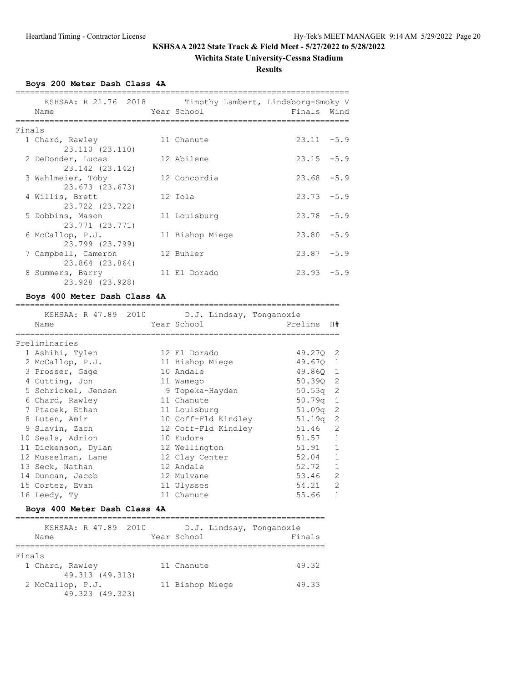## **Wichita State University-Cessna Stadium**

**Results**

**Boys 200 Meter Dash Class 4A**

|        | KSHSAA: R 21.76 2018<br>Name           | Year School     | Timothy Lambert, Lindsborg-Smoky V<br>Finals Wind |
|--------|----------------------------------------|-----------------|---------------------------------------------------|
| Finals |                                        |                 |                                                   |
|        | 1 Chard, Rawley<br>23.110 (23.110)     | 11 Chanute      | $23.11 - 5.9$                                     |
|        | 2 DeDonder, Lucas<br>23.142 (23.142)   | 12 Abilene      | $23.15 - 5.9$                                     |
|        | 3 Wahlmeier, Toby<br>23.673 (23.673)   | 12 Concordia    | $23.68 - 5.9$                                     |
|        | 4 Willis, Brett<br>23.722 (23.722)     | 12 Iola         | $23.73 - 5.9$                                     |
|        | 5 Dobbins, Mason<br>23.771 (23.771)    | 11 Louisburg    | $23.78 - 5.9$                                     |
|        | 6 McCallop, P.J.<br>23.799 (23.799)    | 11 Bishop Miege | $23.80 - 5.9$                                     |
|        | 7 Campbell, Cameron<br>23.864 (23.864) | 12 Buhler       | $23.87 - 5.9$                                     |
|        | 8 Summers, Barry<br>23.928 (23.928)    | 11 El Dorado    | $23.93 - 5.9$                                     |

## **Boys 400 Meter Dash Class 4A**

| KSHSAA: R 47.89 2010 D.J. Lindsay, Tonganoxie |                     |            |                |
|-----------------------------------------------|---------------------|------------|----------------|
| Name                                          | Year School         | Prelims    | H#             |
| =================<br>Preliminaries            |                     |            |                |
| 1 Ashihi, Tylen                               | 12 El Dorado        | 49.270 2   |                |
| 2 McCallop, P.J.                              | 11 Bishop Miege     | 49.670 1   |                |
| 3 Prosser, Gage                               | 10 Andale           | 49.860 1   |                |
| 4 Cutting, Jon                                | 11 Wamego           | 50.390 2   |                |
| 5 Schrickel, Jensen                           | 9 Topeka-Hayden     | $50.53q$ 2 |                |
| 6 Chard, Rawley                               | 11 Chanute          | $50.79q$ 1 |                |
| 7 Ptacek, Ethan                               | 11 Louisburg        | $51.09q$ 2 |                |
| 8 Luten, Amir                                 | 10 Coff-Fld Kindley | $51.19q$ 2 |                |
| 9 Slavin, Zach                                | 12 Coff-Fld Kindley | 51.46      | $\overline{c}$ |
| 10 Seals, Adrion                              | 10 Eudora           | 51.57      | $\mathbf{1}$   |
| 11 Dickenson, Dylan                           | 12 Wellington       | 51.91      | $\mathbf{1}$   |
| 12 Musselman, Lane                            | 12 Clay Center      | 52.04      | $\mathbf{1}$   |
| 13 Seck, Nathan                               | 12 Andale           | 52.72      | $\mathbf{1}$   |
| 14 Duncan, Jacob                              | 12 Mulvane          | 53.46      | $\overline{2}$ |
| 15 Cortez, Evan                               | 11 Ulysses          | 54.21      | $\overline{2}$ |
| 16 Leedy, Ty                                  | 11 Chanute          | 55.66      | $\mathbf{1}$   |

# **Boys 400 Meter Dash Class 4A**

| KSHSAA: R 47.89 2010<br>Name | Year School     | D.J. Lindsay, Tonganoxie<br>Finals |
|------------------------------|-----------------|------------------------------------|
|                              |                 |                                    |
| Finals                       |                 |                                    |
| 1 Chard, Rawley              | 11 Chanute      | 49.32                              |
| 49.313 (49.313)              |                 |                                    |
| 2 McCallop, P.J.             | 11 Bishop Miege | 49.33                              |
| 49.323 (49.323)              |                 |                                    |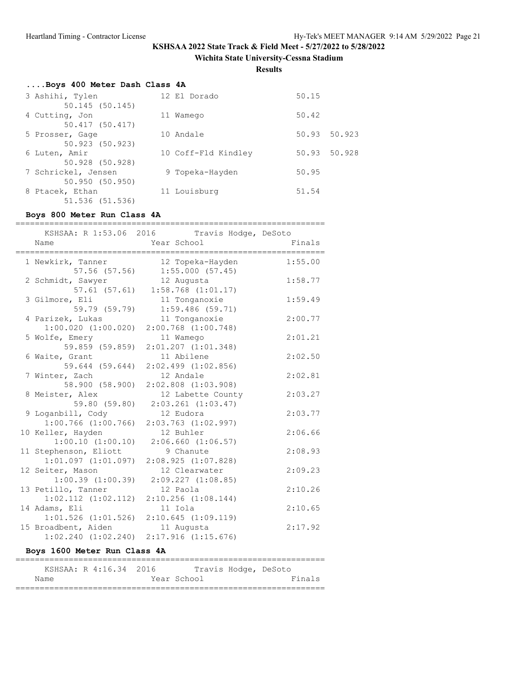**Wichita State University-Cessna Stadium**

**Results**

# **....Boys 400 Meter Dash Class 4A**

| 3 Ashihi, Tylen<br>50.145(50.145)     | 12 El Dorado        | 50.15           |
|---------------------------------------|---------------------|-----------------|
| 4 Cutting, Jon<br>50.417 (50.417)     | 11 Wamego           | 50.42           |
| 5 Prosser, Gage<br>50.923 (50.923)    | 10 Andale           | 50.923<br>50.93 |
| 6 Luten, Amir<br>50.928 (50.928)      | 10 Coff-Fld Kindley | 50.93 50.928    |
| 7 Schrickel, Jensen<br>50.950(50.950) | 9 Topeka-Hayden     | 50.95           |
| 8 Ptacek, Ethan<br>51.536 (51.536)    | 11 Louisburg        | 51.54           |

## **Boys 800 Meter Run Class 4A**

| =======                        | --------------------------------                | .=================== |
|--------------------------------|-------------------------------------------------|----------------------|
|                                | KSHSAA: R 1:53.06 2016 Travis Hodge, DeSoto     |                      |
| Name                           | Year School                                     | Finals               |
| 1 Newkirk, Tanner              | 12 Topeka-Hayden                                | 1:55.00              |
|                                | 57.56 (57.56) 1:55.000 (57.45)                  |                      |
| 2 Schmidt, Sawyer              | 12 Augusta                                      | 1:58.77              |
|                                | $57.61$ (57.61) 1:58.768 (1:01.17)              |                      |
| 3 Gilmore, Eli                 | 11 Tonganoxie                                   | 1:59.49              |
| 59.79 (59.79)                  | $1:59.486$ (59.71)                              |                      |
| 4 Parizek, Lukas               | 11 Tonganoxie                                   | 2:00.77              |
|                                | $1:00.020$ $(1:00.020)$ $2:00.768$ $(1:00.748)$ |                      |
| 5 Wolfe, Emery                 | 11 Wamego                                       | 2:01.21              |
|                                | 59.859 (59.859) 2:01.207 (1:01.348)             |                      |
| 6 Waite, Grant                 | 11 Abilene                                      | 2:02.50              |
|                                | $\frac{11}{2}$ 2:02.499 (1:02.856)              |                      |
| 7 Winter, Zach                 | 12 Andale                                       | 2:02.81              |
|                                | 58.900 (58.900) 2:02.808 (1:03.908)             |                      |
| 8 Meister, Alex                | 12 Labette County                               | 2:03.27              |
|                                | 59.80 (59.80) 2:03.261 (1:03.47)                |                      |
| 9 Loganbill, Cody              | 12 Eudora                                       | 2:03.77              |
|                                | $1:00.766$ (1:00.766) 2:03.763 (1:02.997)       |                      |
| 10 Keller, Hayden              | 12 Buhler                                       | 2:06.66              |
| $1:00.10$ $(1:00.10)$          | $2:06.660$ $(1:06.57)$                          |                      |
| 11 Stephenson, Eliott          | 9 Chanute                                       | 2:08.93              |
|                                | $1:01.097$ $(1:01.097)$ $2:08.925$ $(1:07.828)$ |                      |
| 12 Seiter, Mason               | 12 Clearwater                                   | 2:09.23              |
|                                | $1:00.39$ $(1:00.39)$ $2:09.227$ $(1:08.85)$    |                      |
| 13 Petillo, Tanner             | 12 Paola                                        | 2:10.26              |
|                                | $1:02.112$ $(1:02.112)$ $2:10.256$ $(1:08.144)$ |                      |
| 14 Adams, Eli                  | 11 Iola                                         | 2:10.65              |
|                                | $1:01.526$ $(1:01.526)$ $2:10.645$ $(1:09.119)$ |                      |
| 15 Broadbent, Aiden 11 Augusta |                                                 | 2:17.92              |
| $1:02.240$ $(1:02.240)$        | $2:17.916$ $(1:15.676)$                         |                      |

## **Boys 1600 Meter Run Class 4A**

|      | KSHSAA: R 4:16.34 2016 |             | Travis Hodge, DeSoto |        |
|------|------------------------|-------------|----------------------|--------|
| Name |                        | Year School |                      | Finals |
|      |                        |             |                      |        |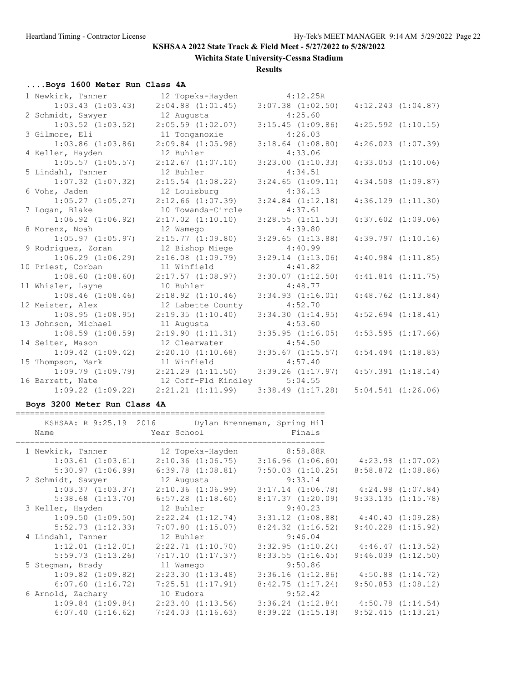**Wichita State University-Cessna Stadium**

### **Results**

# **....Boys 1600 Meter Run Class 4A**

| 1 Newkirk, Tanner     | 12 Topeka-Hayden      | 4:12.25R              |                        |
|-----------------------|-----------------------|-----------------------|------------------------|
| $1:03.43$ $(1:03.43)$ | $2:04.88$ $(1:01.45)$ | $3:07.38$ $(1:02.50)$ | $4:12.243$ $(1:04.87)$ |
| 2 Schmidt, Sawyer     | 12 Augusta            | 4:25.60               |                        |
| $1:03.52$ $(1:03.52)$ | $2:05.59$ $(1:02.07)$ | $3:15.45$ $(1:09.86)$ | $4:25.592$ $(1:10.15)$ |
| 3 Gilmore, Eli        | 11 Tonganoxie         | 4:26.03               |                        |
| $1:03.86$ $(1:03.86)$ | $2:09.84$ $(1:05.98)$ | $3:18.64$ $(1:08.80)$ | $4:26.023$ $(1:07.39)$ |
| 4 Keller, Hayden      | 12 Buhler             | 4:33.06               |                        |
| $1:05.57$ $(1:05.57)$ | $2:12.67$ $(1:07.10)$ | $3:23.00$ $(1:10.33)$ | $4:33.053$ $(1:10.06)$ |
| 5 Lindahl, Tanner     | 12 Buhler             | 4:34.51               |                        |
| $1:07.32$ $(1:07.32)$ | $2:15.54$ $(1:08.22)$ | $3:24.65$ $(1:09.11)$ | $4:34.508$ $(1:09.87)$ |
| 6 Vohs, Jaden         | 12 Louisburg          | 4:36.13               |                        |
| $1:05.27$ $(1:05.27)$ | $2:12.66$ $(1:07.39)$ | $3:24.84$ $(1:12.18)$ | $4:36.129$ $(1:11.30)$ |
| 7 Logan, Blake        | 10 Towanda-Circle     | 4:37.61               |                        |
| $1:06.92$ $(1:06.92)$ | $2:17.02$ $(1:10.10)$ | $3:28.55$ $(1:11.53)$ | $4:37.602$ $(1:09.06)$ |
| 8 Morenz, Noah        | 12 Wamego             | 4:39.80               |                        |
| $1:05.97$ $(1:05.97)$ | $2:15.77$ $(1:09.80)$ | $3:29.65$ $(1:13.88)$ | $4:39.797$ $(1:10.16)$ |
| 9 Rodriguez, Zoran    | 12 Bishop Miege       | 4:40.99               |                        |
| $1:06.29$ $(1:06.29)$ | $2:16.08$ $(1:09.79)$ | $3:29.14$ $(1:13.06)$ | $4:40.984$ $(1:11.85)$ |
| 10 Priest, Corban     | 11 Winfield           | 4:41.82               |                        |
| $1:08.60$ $(1:08.60)$ | $2:17.57$ $(1:08.97)$ | $3:30.07$ $(1:12.50)$ | $4:41.814$ $(1:11.75)$ |
| 11 Whisler, Layne     | 10 Buhler             | 4:48.77               |                        |
| $1:08.46$ $(1:08.46)$ | $2:18.92$ $(1:10.46)$ | $3:34.93$ $(1:16.01)$ | $4:48.762$ $(1:13.84)$ |
| 12 Meister, Alex      | 12 Labette County     | 4:52.70               |                        |
| 1:08.95(1:08.95)      | 2:19.35(1:10.40)      | 3:34.30(1:14.95)      | $4:52.694$ $(1:18.41)$ |
| 13 Johnson, Michael   | 11 Augusta            | 4:53.60               |                        |
| $1:08.59$ $(1:08.59)$ | 2:19.90(1:11.31)      | 3:35.95(1:16.05)      | $4:53.595$ $(1:17.66)$ |
| 14 Seiter, Mason      | 12 Clearwater         | 4:54.50               |                        |
| $1:09.42$ $(1:09.42)$ | 2:20.10(1:10.68)      | $3:35.67$ $(1:15.57)$ | $4:54.494$ $(1:18.83)$ |
| 15 Thompson, Mark     | 11 Winfield           | 4:57.40               |                        |
| $1:09.79$ $(1:09.79)$ | $2:21.29$ $(1:11.50)$ | $3:39.26$ $(1:17.97)$ | $4:57.391$ $(1:18.14)$ |
| 16 Barrett, Nate      | 12 Coff-Fld Kindley   | 5:04.55               |                        |
| $1:09.22$ $(1:09.22)$ | 2:21.21(1:11.99)      | 3:38.49(1:17.28)      | $5:04.541$ $(1:26.06)$ |

# **Boys 3200 Meter Run Class 4A**

|                             | KSHSAA: R 9:25.19 2016 Dylan Brenneman, Spring Hil                                      |                       |                                              |
|-----------------------------|-----------------------------------------------------------------------------------------|-----------------------|----------------------------------------------|
| Name                        | Year School Finals                                                                      |                       |                                              |
|                             | 1 Newkirk, Tanner 12 Topeka-Hayden 8:58.88R                                             |                       |                                              |
|                             | $1:03.61$ (1:03.61) $2:10.36$ (1:06.75) $3:16.96$ (1:06.60) $4:23.98$ (1:07.02)         |                       |                                              |
|                             | $5:30.97$ $(1:06.99)$ $6:39.78$ $(1:08.81)$                                             |                       | $7:50.03$ $(1:10.25)$ $8:58.872$ $(1:08.86)$ |
|                             | 2 Schmidt, Sawyer 12 Augusta 9:33.14                                                    |                       |                                              |
|                             | $1:03.37$ $(1:03.37)$ $2:10.36$ $(1:06.99)$                                             |                       | $3:17.14$ $(1:06.78)$ $4:24.98$ $(1:07.84)$  |
|                             | $5:38.68$ $(1:13.70)$ $6:57.28$ $(1:18.60)$                                             | 8:17.37(1:20.09)      | 9:33.135(1:15.78)                            |
| 3 Keller, Hayden 12 Buhler  |                                                                                         | 9:40.23               |                                              |
|                             | $1:09.50$ $(1:09.50)$ $2:22.24$ $(1:12.74)$                                             |                       | $3:31.12$ $(1:08.88)$ $4:40.40$ $(1:09.28)$  |
| $5:52.73$ $(1:12.33)$       | $7:07.80$ $(1:15.07)$                                                                   | $8:24.32$ $(1:16.52)$ | $9:40.228$ $(1:15.92)$                       |
| 4 Lindahl, Tanner 12 Buhler |                                                                                         | 9:46.04               |                                              |
|                             | $1:12.01$ $(1:12.01)$ $2:22.71$ $(1:10.70)$                                             |                       | $3:32.95$ $(1:10.24)$ $4:46.47$ $(1:13.52)$  |
| 5:59.73(1:13.26)            | 7:17.10(1:17.37)                                                                        | 8:33.55(1:16.45)      | 9:46.039(1:12.50)                            |
| 5 Stegman, Brady 11 Wamego  |                                                                                         | 9:50.86               |                                              |
| $1:09.82$ $(1:09.82)$       | 2:23.30 (1:13.48)                                                                       | 3:36.16(1:12.86)      | $4:50.88$ $(1:14.72)$                        |
|                             | $6:07.60$ $(1:16.72)$ $7:25.51$ $(1:17.91)$                                             | 8:42.75(1:17.24)      | $9:50.853$ $(1:08.12)$                       |
| 6 Arnold, Zachary 10 Eudora |                                                                                         | 9:52.42               |                                              |
|                             | $1:09.84$ $(1:09.84)$ $2:23.40$ $(1:13.56)$ $3:36.24$ $(1:12.84)$ $4:50.78$ $(1:14.54)$ |                       |                                              |
| 6:07.40(1:16.62)            | 7:24.03 (1:16.63)                                                                       |                       | $8:39.22$ $(1:15.19)$ $9:52.415$ $(1:13.21)$ |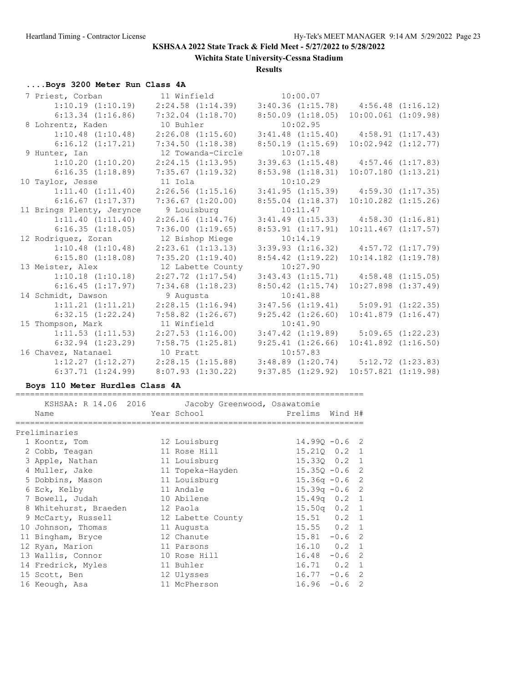**Wichita State University-Cessna Stadium**

**Results**

# **....Boys 3200 Meter Run Class 4A**

| 7 Priest, Corban                                                                        | 11 Winfield 10:00.07                                                                      |                       |                                                                        |
|-----------------------------------------------------------------------------------------|-------------------------------------------------------------------------------------------|-----------------------|------------------------------------------------------------------------|
| $1:10.19$ $(1:10.19)$ $2:24.58$ $(1:14.39)$ $3:40.36$ $(1:15.78)$ $4:56.48$ $(1:16.12)$ |                                                                                           |                       |                                                                        |
|                                                                                         | $6:13.34$ $(1:16.86)$ $7:32.04$ $(1:18.70)$ $8:50.09$ $(1:18.05)$ $10:00.061$ $(1:09.98)$ |                       |                                                                        |
| 8 Lohrentz, Kaden                                                                       | 10 Buhler                                                                                 | 10:02.95              |                                                                        |
| $1:10.48$ $(1:10.48)$                                                                   | $2:26.08$ $(1:15.60)$                                                                     |                       | $3:41.48$ $(1:15.40)$ $4:58.91$ $(1:17.43)$                            |
| $6:16.12$ $(1:17.21)$                                                                   | 7:34.50 (1:18.38)                                                                         | 8:50.19(1:15.69)      | $10:02.942$ $(1:12.77)$                                                |
| 9 Hunter, Ian                                                                           | 12 Towanda-Circle                                                                         | 10:07.18              |                                                                        |
| $1:10.20$ $(1:10.20)$                                                                   | 2:24.15(1:13.95)                                                                          |                       | $3:39.63$ $(1:15.48)$ $4:57.46$ $(1:17.83)$                            |
| 6:16.35(1:18.89)                                                                        | 7:35.67 (1:19.32)                                                                         | $8:53.98$ $(1:18.31)$ | $10:07.180$ $(1:13.21)$                                                |
| 10 Taylor, Jesse                                                                        | 11 Iola                                                                                   | 10:10.29              |                                                                        |
| 1:11.40(1:11.40)                                                                        | $2:26.56$ $(1:15.16)$                                                                     |                       | $3:41.95$ $(1:15.39)$ $4:59.30$ $(1:17.35)$                            |
| $6:16.67$ $(1:17.37)$                                                                   | $7:36.67$ $(1:20.00)$                                                                     | $8:55.04$ $(1:18.37)$ | $10:10.282$ $(1:15.26)$                                                |
| 11 Brings Plenty, Jerynce                                                               | 9 Louisburg                                                                               | 10:11.47              |                                                                        |
| 1:11.40(1:11.40)                                                                        | $2:26.16$ $(1:14.76)$ $3:41.49$ $(1:15.33)$ $4:58.30$ $(1:16.81)$                         |                       |                                                                        |
| 6:16.35(1:18.05)                                                                        | 7:36.00(1:19.65)                                                                          | 8:53.91(1:17.91)      | $10:11.467$ $(1:17.57)$                                                |
|                                                                                         |                                                                                           |                       |                                                                        |
| 12 Rodriguez, Zoran                                                                     | 12 Bishop Miege                                                                           | 10:14.19              |                                                                        |
| $1:10.48$ $(1:10.48)$                                                                   | $2:23.61$ $(1:13.13)$                                                                     |                       | $3:39.93$ $(1:16.32)$ $4:57.72$ $(1:17.79)$                            |
| 6:15.80(1:18.08)                                                                        | 7:35.20(1:19.40)                                                                          | $8:54.42$ $(1:19.22)$ | $10:14.182$ $(1:19.78)$                                                |
| 13 Meister, Alex                                                                        | 12 Labette County                                                                         | 10:27.90              |                                                                        |
| $1:10.18$ $(1:10.18)$                                                                   | $2:27.72$ $(1:17.54)$                                                                     |                       | $3:43.43$ $(1:15.71)$ $4:58.48$ $(1:15.05)$                            |
| 6:16.45(1:17.97)                                                                        | $7:34.68$ $(1:18.23)$                                                                     | $8:50.42$ $(1:15.74)$ | $10:27.898$ $(1:37.49)$                                                |
| 14 Schmidt, Dawson                                                                      | 9 Augusta                                                                                 | 10:41.88              |                                                                        |
| $1:11.21$ $(1:11.21)$                                                                   | 2:28.15(1:16.94)                                                                          |                       | $3:47.56$ $(1:19.41)$ $5:09.91$ $(1:22.35)$                            |
| 6:32.15(1:22.24)                                                                        | $7:58.82$ $(1:26.67)$                                                                     | $9:25.42$ $(1:26.60)$ | 10:41.879(1:16.47)                                                     |
| 15 Thompson, Mark                                                                       | 11 Winfield                                                                               | 10:41.90              |                                                                        |
| $1:11.53$ $(1:11.53)$                                                                   | 2:27.53(1:16.00)                                                                          |                       | $3:47.42$ $(1:19.89)$ $5:09.65$ $(1:22.23)$                            |
| $6:32.94$ $(1:23.29)$                                                                   | 7:58.75(1:25.81)                                                                          | 9:25.41(1:26.66)      | $10:41.892$ $(1:16.50)$                                                |
| 16 Chavez, Natanael                                                                     | 10 Pratt                                                                                  | 10:57.83              |                                                                        |
| $6:37.71$ $(1:24.99)$                                                                   | $1:12.27$ $(1:12.27)$ $2:28.15$ $(1:15.88)$<br>$8:07.93$ $(1:30.22)$                      | 9:37.85(1:29.92)      | $3:48.89$ $(1:20.74)$ $5:12.72$ $(1:23.83)$<br>$10:57.821$ $(1:19.98)$ |

## **Boys 110 Meter Hurdles Class 4A**

========================================================================

| KSHSAA: R 14.06 2016 Jacoby Greenwood, Osawatomie<br>Name | Year School       | Prelims             | Wind H# |    |
|-----------------------------------------------------------|-------------------|---------------------|---------|----|
| Preliminaries                                             |                   |                     |         |    |
|                                                           |                   |                     |         |    |
| 1 Koontz, Tom                                             | 12 Louisburg      | $14.990 - 0.6$ 2    |         |    |
| 2 Cobb, Teagan                                            | 11 Rose Hill      | 15.210 0.2 1        |         |    |
| 3 Apple, Nathan                                           | 11 Louisburg      | 15.330 0.2 1        |         |    |
| 4 Muller, Jake                                            | 11 Topeka-Hayden  | $15.350 - 0.6$ 2    |         |    |
| 5 Dobbins, Mason                                          | 11 Louisburg      | $15.36q -0.6$ 2     |         |    |
| 6 Eck, Kelby                                              | 11 Andale         | $15.39q - 0.6$ 2    |         |    |
| 7 Bowell, Judah                                           | 10 Abilene        | $15.49q$ 0.2 1      |         |    |
| 8 Whitehurst, Braeden                                     | 12 Paola          | $15.50q$ 0.2 1      |         |    |
| 9 McCarty, Russell                                        | 12 Labette County | $15.51$ 0.2 1       |         |    |
| 10 Johnson, Thomas                                        | 11 Augusta        | $15.55$ 0.2 1       |         |    |
| 11 Bingham, Bryce                                         | 12 Chanute        | $15.81 - 0.6$ 2     |         |    |
| 12 Ryan, Marion                                           | 11 Parsons        | $16.10 \t 0.2 \t 1$ |         |    |
| 13 Wallis, Connor                                         | 10 Rose Hill      | $16.48 - 0.6$       |         | -2 |
| 14 Fredrick, Myles                                        | 11 Buhler         | $16.71$ 0.2 1       |         |    |
| 15 Scott, Ben                                             | 12 Ulysses        | $16.77 - 0.6$ 2     |         |    |
| 16 Keough, Asa                                            | 11 McPherson      | $16.96 - 0.6$       |         | 2  |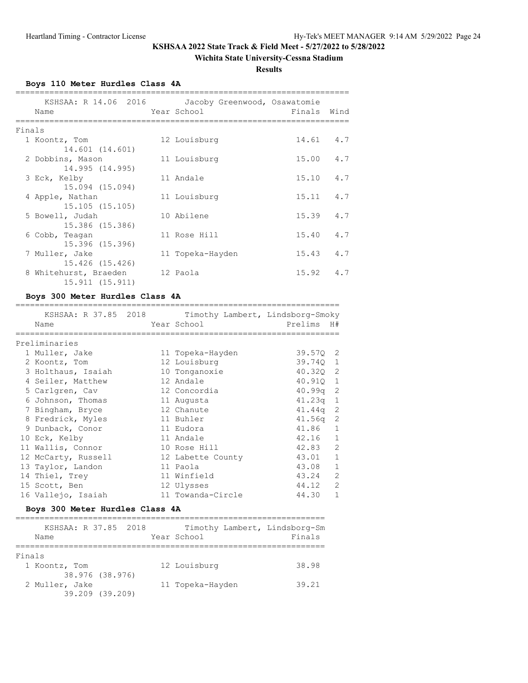## **Wichita State University-Cessna Stadium**

**Results**

**Boys 110 Meter Hurdles Class 4A**

|        | KSHSAA: R 14.06 2016 Jacoby Greenwood, Osawatomie<br>Name | Year School      | Finals Wind       |  |
|--------|-----------------------------------------------------------|------------------|-------------------|--|
| Finals |                                                           |                  |                   |  |
|        | 1 Koontz, Tom                                             | 12 Louisburg     | 14.61 4.7         |  |
|        | 14.601 (14.601)                                           |                  |                   |  |
|        | 2 Dobbins, Mason                                          | 11 Louisburg     | $15.00 \t 4.7$    |  |
|        | 14.995 (14.995)                                           |                  |                   |  |
|        | 3 Eck, Kelby                                              | 11 Andale        | $15.10 \t 4.7$    |  |
|        | 15.094 (15.094)                                           |                  |                   |  |
|        | 4 Apple, Nathan                                           | 11 Louisburg     | $15.11$ $4.7$     |  |
|        | 15.105 (15.105)                                           |                  |                   |  |
|        | 5 Bowell, Judah                                           | 10 Abilene       | $15.39$ $4.7$     |  |
|        | 15.386 (15.386)                                           |                  |                   |  |
|        | 6 Cobb, Teagan                                            | 11 Rose Hill     | $15.40 \quad 4.7$ |  |
|        | 15.396 (15.396)                                           |                  |                   |  |
|        | 7 Muller, Jake                                            | 11 Topeka-Hayden | $15.43 \t 4.7$    |  |
|        | 15.426 (15.426)                                           |                  |                   |  |
|        | 8 Whitehurst, Braeden                                     | 12 Paola         | $15.92 \quad 4.7$ |  |
|        | 15.911 (15.911)                                           |                  |                   |  |

## **Boys 300 Meter Hurdles Class 4A**

| Name<br>================ |  | KSHSAA: R 37.85 2018 Timothy Lambert, Lindsborg-Smoky<br>Year School | Prelims    | H#             |
|--------------------------|--|----------------------------------------------------------------------|------------|----------------|
| Preliminaries            |  |                                                                      |            |                |
| 1 Muller, Jake           |  | 11 Topeka-Hayden                                                     | 39.570 2   |                |
| 2 Koontz, Tom            |  | 12 Louisburg                                                         | 39.740 1   |                |
| 3 Holthaus, Isaiah       |  | 10 Tonganoxie                                                        | 40.320 2   |                |
| 4 Seiler, Matthew        |  | 12 Andale                                                            | 40.910 1   |                |
| 5 Carlgren, Cav          |  | 12 Concordia                                                         | 40.99q     | -2             |
| 6 Johnson, Thomas        |  | 11 Augusta                                                           | $41.23q$ 1 |                |
| 7 Bingham, Bryce         |  | 12 Chanute                                                           | $41.44q$ 2 |                |
| 8 Fredrick, Myles        |  | 11 Buhler                                                            | $41.56q$ 2 |                |
| 9 Dunback, Conor         |  | 11 Eudora                                                            | 41.86      | $\mathbf{1}$   |
| 10 Eck, Kelby            |  | 11 Andale                                                            | $42.16$ 1  |                |
| 11 Wallis, Connor        |  | 10 Rose Hill                                                         | 42.83      | 2              |
| 12 McCarty, Russell      |  | 12 Labette County                                                    | 43.01      | $\mathbf{1}$   |
| 13 Taylor, Landon        |  | 11 Paola                                                             | 43.08      | $\mathbf{1}$   |
| 14 Thiel, Trey           |  | 11 Winfield                                                          | 43.24      | $\overline{2}$ |
| 15 Scott, Ben            |  | 12 Ulysses                                                           | 44.12      | $\overline{2}$ |
| 16 Vallejo, Isaiah       |  | 11 Towanda-Circle                                                    | 44.30      | $\mathbf 1$    |

## **Boys 300 Meter Hurdles Class 4A**

| KSHSAA: R 37.85 2018<br>Name |                 | Year School      | Timothy Lambert, Lindsborg-Sm<br>Finals |
|------------------------------|-----------------|------------------|-----------------------------------------|
|                              |                 |                  |                                         |
| Finals                       |                 |                  |                                         |
| 1 Koontz, Tom                |                 | 12 Louisburg     | 38.98                                   |
|                              | 38.976 (38.976) |                  |                                         |
| 2 Muller, Jake               |                 | 11 Topeka-Hayden | 39.21                                   |
|                              | 39.209 (39.209) |                  |                                         |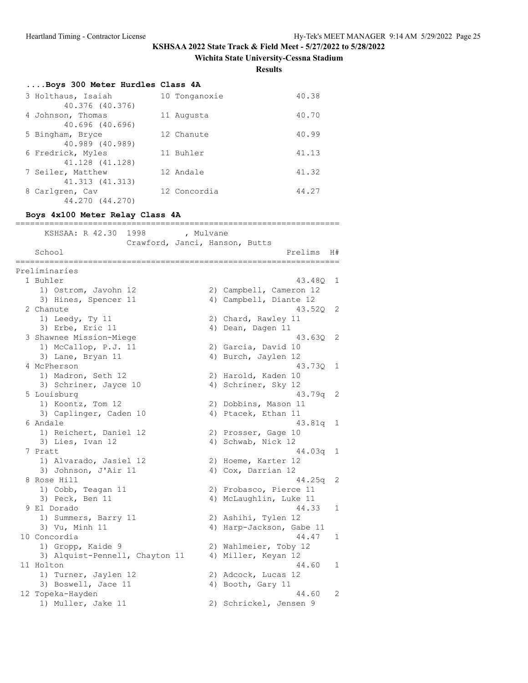**Wichita State University-Cessna Stadium**

**Results**

| Boys 300 Meter Hurdles Class 4A |               |       |
|---------------------------------|---------------|-------|
| 3 Holthaus, Isaiah              | 10 Tonganoxie | 40.38 |
| 40.376 (40.376)                 |               |       |
| 4 Johnson, Thomas               | 11 Augusta    | 40.70 |
| 40.696 (40.696)                 |               |       |
| 5 Bingham, Bryce                | 12 Chanute    | 40.99 |
| 40.989 (40.989)                 |               |       |
| 6 Fredrick, Myles               | 11 Buhler     | 41.13 |
| 41.128 (41.128)                 |               |       |
| 7 Seiler, Matthew               | 12 Andale     | 41.32 |
| 41.313 (41.313)                 |               |       |
| 8 Carlgren, Cav                 | 12 Concordia  | 44.27 |
| 44.270 (44.270)                 |               |       |

# **Boys 4x100 Meter Relay Class 4A**

| KSHSAA: R 42.30<br>1998<br>School           | , Mulvane<br>Crawford, Janci, Hanson, Butts<br>H#<br>Prelims |   |
|---------------------------------------------|--------------------------------------------------------------|---|
|                                             |                                                              |   |
| Preliminaries                               |                                                              |   |
| 1 Buhler                                    | 43.480                                                       | 1 |
| 1) Ostrom, Javohn 12                        | 2) Campbell, Cameron 12                                      |   |
| 3) Hines, Spencer 11                        | 4) Campbell, Diante 12                                       |   |
| 2 Chanute                                   | 43.520                                                       | 2 |
| 1) Leedy, Ty 11                             | 2) Chard, Rawley 11                                          |   |
| 3) Erbe, Eric 11                            | 4) Dean, Dagen 11                                            |   |
| 3 Shawnee Mission-Miege                     | 43.630                                                       | 2 |
| 1) McCallop, P.J. 11                        | 2) Garcia, David 10                                          |   |
| 3) Lane, Bryan 11                           | 4) Burch, Jaylen 12                                          |   |
| 4 McPherson                                 | 43.730                                                       | 1 |
| 1) Madron, Seth 12                          | 2) Harold, Kaden 10                                          |   |
| 3) Schriner, Jayce 10                       | 4) Schriner, Sky 12                                          |   |
| 5 Louisburg                                 | 43.79q                                                       | 2 |
| 1) Koontz, Tom 12                           | 2) Dobbins, Mason 11                                         |   |
| 3) Caplinger, Caden 10                      | 4) Ptacek, Ethan 11                                          |   |
| 6 Andale                                    | 43.81q                                                       | 1 |
| 1) Reichert, Daniel 12                      | 2) Prosser, Gage 10                                          |   |
| 3) Lies, Ivan 12                            | 4) Schwab, Nick 12                                           |   |
| 7 Pratt                                     | 44.03q                                                       | 1 |
| 1) Alvarado, Jasiel 12                      | 2) Hoeme, Karter 12                                          |   |
| 3) Johnson, J'Air 11                        | 4) Cox, Darrian 12                                           |   |
| 8 Rose Hill                                 | 44.25g                                                       | 2 |
| 1) Cobb, Teagan 11                          | 2) Probasco, Pierce 11                                       |   |
| 3) Peck, Ben 11                             | 4) McLaughlin, Luke 11                                       |   |
| 9 El Dorado                                 | 44.33                                                        | 1 |
| 1) Summers, Barry 11                        | 2) Ashihi, Tylen 12                                          |   |
| 3) Vu, Minh 11                              | 4) Harp-Jackson, Gabe 11<br>44.47                            |   |
| 10 Concordia                                |                                                              | 1 |
| 1) Gropp, Kaide 9                           | 2) Wahlmeier, Toby 12<br>4) Miller, Keyan 12                 |   |
| 3) Alquist-Pennell, Chayton 11<br>11 Holton | 44.60                                                        | 1 |
| 1) Turner, Jaylen 12                        |                                                              |   |
|                                             | 2) Adcock, Lucas 12                                          |   |
| 3) Boswell, Jace 11<br>12 Topeka-Hayden     | 4) Booth, Gary 11<br>44.60                                   | 2 |
| 1) Muller, Jake 11                          | 2) Schrickel, Jensen 9                                       |   |
|                                             |                                                              |   |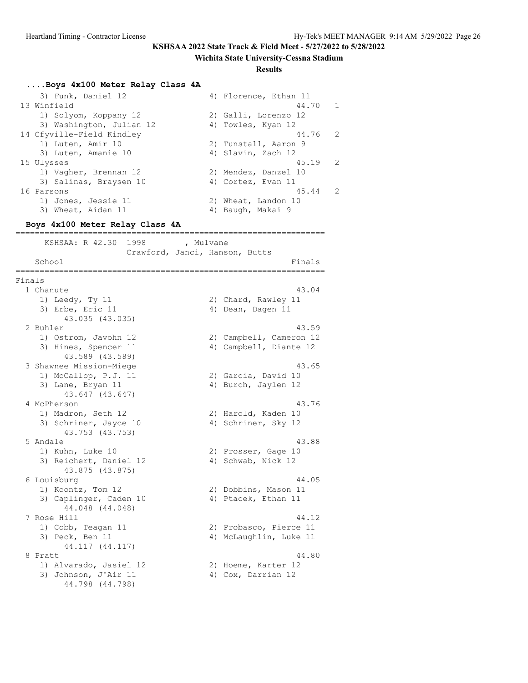#### **Wichita State University-Cessna Stadium**

#### **Results**

#### **....Boys 4x100 Meter Relay Class 4A**

| 3) Funk, Daniel 12        | 4) Florence, Ethan 11   |
|---------------------------|-------------------------|
| 13 Winfield               | 44.70 1                 |
| 1) Solyom, Koppany 12     | 2) Galli, Lorenzo 12    |
| 3) Washington, Julian 12  | 4) Towles, Kyan 12      |
| 14 Cfyville-Field Kindley | 44.76 2                 |
| 1) Luten, Amir 10         | 2) Tunstall, Aaron 9    |
| 3) Luten, Amanie 10       | 4) Slavin, Zach 12      |
| 15 Ulysses                | $45.19$ 2               |
| 1) Vagher, Brennan 12     | 2) Mendez, Danzel 10    |
| 3) Salinas, Braysen 10    | 4) Cortez, Evan 11      |
| 16 Parsons                | 45.44<br>$\overline{2}$ |
| 1) Jones, Jessie 11       | 2) Wheat, Landon 10     |
| 3) Wheat, Aidan 11        | 4) Baugh, Makai 9       |

================================================================

#### **Boys 4x100 Meter Relay Class 4A**

KSHSAA: R 42.30 1998 , Mulvane Crawford, Janci, Hanson, Butts School Finals ================================================================ Finals 1 Chanute 43.04 1) Leedy, Ty 11 2) Chard, Rawley 11 3) Erbe, Eric 11 (a) 4) Dean, Dagen 11 43.035 (43.035) 2 Buhler 43.59 1) Ostrom, Javohn 12 2) Campbell, Cameron 12 3) Hines, Spencer 11 4) Campbell, Diante 12 43.589 (43.589) 3 Shawnee Mission-Miege 43.65<br>
1) McCallop, P.J. 11 (2) Garcia, David 10<br>
3) Lane, Bryan 11 (4) Burch, Jaylen 12 1) McCallop, P.J. 11 2) Garcia, David 10 3) Lane, Bryan 11 (4) Burch, Jaylen 12 43.647 (43.647) 4 McPherson 43.76 1) Madron, Seth 12 2) Harold, Kaden 10 3) Schriner, Jayce 10 4) Schriner, Sky 12 43.753 (43.753) 5 Andale 43.88 1) Kuhn, Luke 10 2) Prosser, Gage 10 3) Reichert, Daniel 12 (4) Schwab, Nick 12 43.875 (43.875) 6 Louisburg 44.05 1) Koontz, Tom 12 2) Dobbins, Mason 11 3) Caplinger, Caden 10 4) Ptacek, Ethan 11 44.048 (44.048) 7 Rose Hill 44.12 1) Cobb, Teagan 11 2) Probasco, Pierce 11 3) Peck, Ben 11 (4) McLaughlin, Luke 11 44.117 (44.117) 8 Pratt 44.80 1) Alvarado, Jasiel 12 2) Hoeme, Karter 12 3) Johnson, J'Air 11 (4) Cox, Darrian 12 44.798 (44.798)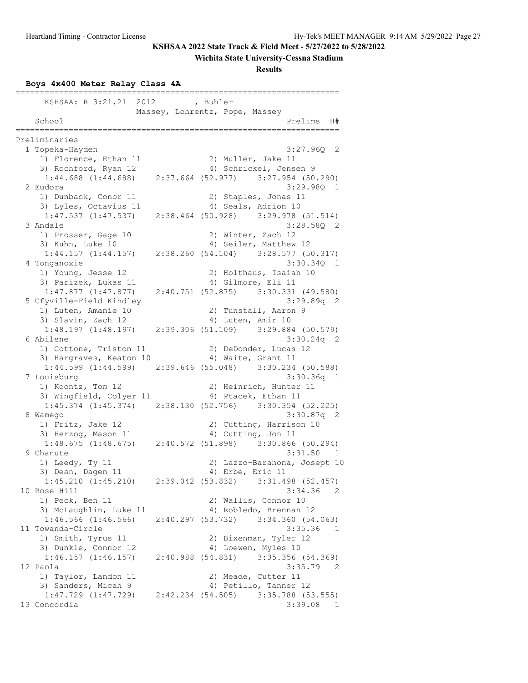# **Wichita State University-Cessna Stadium**

### **Results**

# **Boys 4x400 Meter Relay Class 4A**

| KSHSAA: R 3:21.21 2012   | , Buhler                                                            |              |
|--------------------------|---------------------------------------------------------------------|--------------|
|                          | Massey, Lohrentz, Pope, Massey                                      |              |
| School                   | Prelims                                                             | H#           |
| Preliminaries            |                                                                     |              |
| 1 Topeka-Hayden          | $3:27.96Q$ 2                                                        |              |
| 1) Florence, Ethan 11    | 2) Muller, Jake 11                                                  |              |
| 3) Rochford, Ryan 12     | 4) Schrickel, Jensen 9                                              |              |
| $1:44.688$ $(1:44.688)$  | $2:37.664$ (52.977) 3:27.954 (50.290)                               |              |
| 2 Eudora                 | $3:29.98Q$ 1                                                        |              |
| 1) Dunback, Conor 11     | 2) Staples, Jonas 11                                                |              |
| 3) Lyles, Octavius 11    | 4) Seals, Adrion 10                                                 |              |
|                          | $1:47.537$ $(1:47.537)$ $2:38.464$ $(50.928)$ $3:29.978$ $(51.514)$ |              |
| 3 Andale                 | $3:28.58Q$ 2                                                        |              |
| 1) Prosser, Gage 10      | 2) Winter, Zach 12                                                  |              |
| 3) Kuhn, Luke 10         | 4) Seiler, Matthew 12                                               |              |
|                          | $1:44.157$ (1:44.157) $2:38.260$ (54.104) $3:28.577$ (50.317)       |              |
|                          | 3:30.340 1                                                          |              |
| 4 Tonganoxie             | 2) Holthaus, Isaiah 10                                              |              |
| 1) Young, Jesse 12       |                                                                     |              |
| 3) Parizek, Lukas 11     | 4) Gilmore, Eli 11                                                  |              |
| $1:47.877$ $(1:47.877)$  | $2:40.751$ (52.875) 3:30.331 (49.580)                               |              |
| 5 Cfyville-Field Kindley | $3:29.89q$ 2<br>2) Tunstall, Aaron 9                                |              |
| 1) Luten, Amanie 10      |                                                                     |              |
| 3) Slavin, Zach 12       | 4) Luten, Amir 10                                                   |              |
|                          | $1:48.197$ (1:48.197) $2:39.306$ (51.109) $3:29.884$ (50.579)       |              |
| 6 Abilene                | $3:30.24q$ 2                                                        |              |
| 1) Cottone, Triston 11   | 2) DeDonder, Lucas 12                                               |              |
| 3) Hargraves, Keaton 10  | 4) Waite, Grant 11                                                  |              |
|                          | $1:44.599$ (1:44.599) $2:39.646$ (55.048) $3:30.234$ (50.588)       |              |
| 7 Louisburg              | $3:30.36q$ 1                                                        |              |
| 1) Koontz, Tom 12        | 2) Heinrich, Hunter 11                                              |              |
| 3) Wingfield, Colyer 11  | 4) Ptacek, Ethan 11                                                 |              |
|                          | $1:45.374$ $(1:45.374)$ $2:38.130$ $(52.756)$ $3:30.354$ $(52.225)$ |              |
| 8 Wamego                 | $3:30.87q$ 2                                                        |              |
| 1) Fritz, Jake 12        | 2) Cutting, Harrison 10                                             |              |
| 3) Herzog, Mason 11      | 4) Cutting, Jon 11                                                  |              |
|                          | $1:48.675$ (1:48.675) $2:40.572$ (51.898) 3:30.866 (50.294)         |              |
| 9 Chanute                | 3:31.50 1                                                           |              |
| 1) Leedy, Ty 11          | 2) Lazzo-Barahona, Josept 10                                        |              |
| 3) Dean, Dagen 11        | 4) Erbe, Eric 11                                                    |              |
|                          | $1:45.210$ (1:45.210) $2:39.042$ (53.832) $3:31.498$ (52.457)       |              |
| 10 Rose Hill             | 3:34.36                                                             | -2           |
| 1) Peck, Ben 11          | 2) Wallis, Connor 10                                                |              |
| 3) McLaughlin, Luke 11   | 4) Robledo, Brennan 12                                              |              |
| $1:46.566$ $(1:46.566)$  | 2:40.297(53.732)<br>3:34.360(54.063)                                |              |
| 11 Towanda-Circle        | 3:35.36                                                             | 1            |
| 1) Smith, Tyrus 11       | 2) Bixenman, Tyler 12                                               |              |
| 3) Dunkle, Connor 12     | 4) Loewen, Myles 10                                                 |              |
| $1:46.157$ $(1:46.157)$  | 2:40.988(54.831)<br>3:35.356(54.369)                                |              |
| 12 Paola                 | 3:35.79                                                             | - 2          |
| 1) Taylor, Landon 11     | 2) Meade, Cutter 11                                                 |              |
| 3) Sanders, Micah 9      | 4) Petillo, Tanner 12                                               |              |
| $1:47.729$ $(1:47.729)$  | 2:42.234 (54.505)<br>$3:35.788$ (53.555)                            |              |
| 13 Concordia             | 3:39.08                                                             | $\mathbf{1}$ |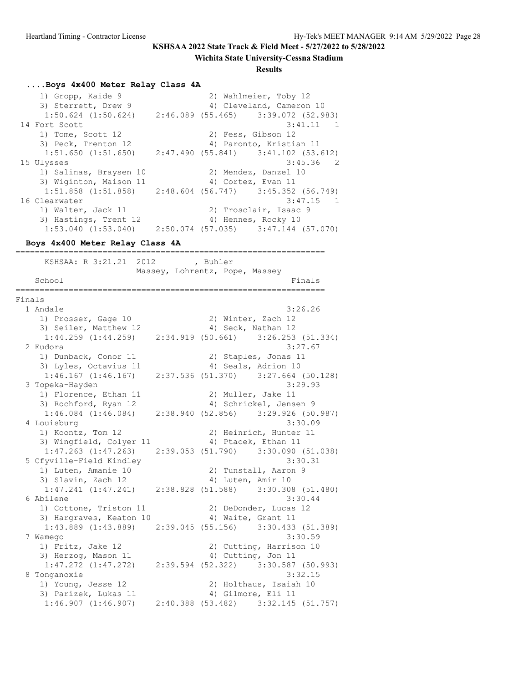#### **Wichita State University-Cessna Stadium**

#### **Results**

#### **....Boys 4x400 Meter Relay Class 4A**

 1) Gropp, Kaide 9 2) Wahlmeier, Toby 12 3) Sterrett, Drew 9 4) Cleveland, Cameron 10 1:50.624 (1:50.624) 2:46.089 (55.465) 3:39.072 (52.983) 14 Fort Scott 3:41.11 1 1) Tome, Scott 12 2) Fess, Gibson 12 3) Peck, Trenton 12 (4) Paronto, Kristian 11 1:51.650 (1:51.650) 2:47.490 (55.841) 3:41.102 (53.612) 15 Ulysses 3:45.36 2 1) Salinas, Braysen 10 2) Mendez, Danzel 10 3) Wiginton, Maison 11 4) Cortez, Evan 11 1:51.858 (1:51.858) 2:48.604 (56.747) 3:45.352 (56.749) 16 Clearwater 3:47.15 1 1) Walter, Jack 11 2) Trosclair, Isaac 9 3) Hastings, Trent 12 (4) Hennes, Rocky 10 1:53.040 (1:53.040) 2:50.074 (57.035) 3:47.144 (57.070)

#### **Boys 4x400 Meter Relay Class 4A**

================================================================ KSHSAA: R 3:21.21 2012 , Buhler Massey, Lohrentz, Pope, Massey School Finals ================================================================ Finals 1 Andale 3:26.26 1) Prosser, Gage 10 2) Winter, Zach 12 3) Seiler, Matthew 12 4) Seck, Nathan 12 1:44.259 (1:44.259) 2:34.919 (50.661) 3:26.253 (51.334) 2 Eudora 3:27.67 1) Dunback, Conor 11 2) Staples, Jonas 11 3) Lyles, Octavius 11 4) Seals, Adrion 10 1:46.167 (1:46.167) 2:37.536 (51.370) 3:27.664 (50.128) 3 Topeka-Hayden 3:29.93 1) Florence, Ethan 11 2) Muller, Jake 11 3) Rochford, Ryan 12 4) Schrickel, Jensen 9 1:46.084 (1:46.084) 2:38.940 (52.856) 3:29.926 (50.987) 4 Louisburg 3:30.09 1) Koontz, Tom 12 2) Heinrich, Hunter 11 3) Wingfield, Colyer 11 (4) Ptacek, Ethan 11 1:47.263 (1:47.263) 2:39.053 (51.790) 3:30.090 (51.038) 5 Cfyville-Field Kindley 3:30.31 1) Luten, Amanie 10 10 2) Tunstall, Aaron 9 3) Slavin, Zach 12 (4) Luten, Amir 10 1:47.241 (1:47.241) 2:38.828 (51.588) 3:30.308 (51.480) 6 Abilene 3:30.44 1) Cottone, Triston 11 2) DeDonder, Lucas 12 3) Hargraves, Keaton 10 (4) Waite, Grant 11 1:43.889 (1:43.889) 2:39.045 (55.156) 3:30.433 (51.389) 7 Wamego 3:30.59 1) Fritz, Jake 12 2) Cutting, Harrison 10 3) Herzog, Mason 11 4) Cutting, Jon 11 1:47.272 (1:47.272) 2:39.594 (52.322) 3:30.587 (50.993) 8 Tonganoxie 3:32.15 1) Young, Jesse 12 2) Holthaus, Isaiah 10 3) Parizek, Lukas 11 4) Gilmore, Eli 11 1:46.907 (1:46.907) 2:40.388 (53.482) 3:32.145 (51.757)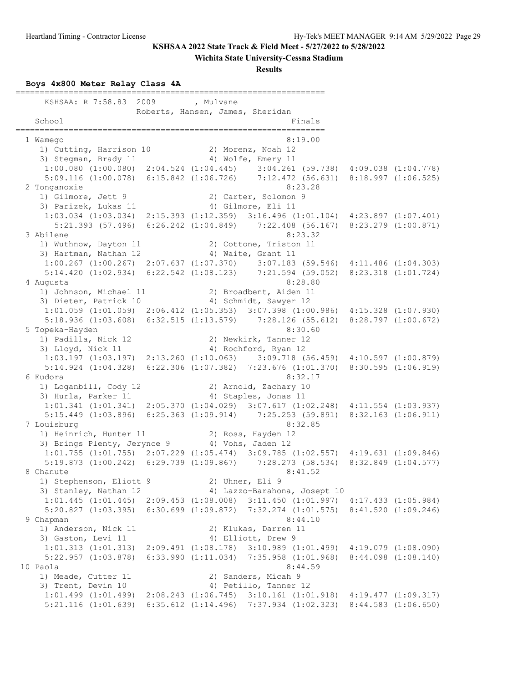#### **Wichita State University-Cessna Stadium**

**Results**

#### **Boys 4x800 Meter Relay Class 4A**

================================================================ KSHSAA: R 7:58.83 2009 , Mulvane Roberts, Hansen, James, Sheridan School Finals ================================================================ 1 Wamego 8:19.00 1) Cutting, Harrison 10 2) Morenz, Noah 12 3) Stegman, Brady 11 4) Wolfe, Emery 11 1:00.080 (1:00.080) 2:04.524 (1:04.445) 3:04.261 (59.738) 4:09.038 (1:04.778) 5:09.116 (1:00.078) 6:15.842 (1:06.726) 7:12.472 (56.631) 8:18.997 (1:06.525) 2 Tonganoxie 8:23.28 1) Gilmore, Jett 9 2) Carter, Solomon 9 3) Parizek, Lukas 11 (4) Gilmore, Eli 11 1:03.034 (1:03.034) 2:15.393 (1:12.359) 3:16.496 (1:01.104) 4:23.897 (1:07.401) 5:21.393 (57.496) 6:26.242 (1:04.849) 7:22.408 (56.167) 8:23.279 (1:00.871) 3 Abilene 8:23.32 1) Wuthnow, Dayton 11 2) Cottone, Triston 11 3) Hartman, Nathan 12 (4) Waite, Grant 11 1:00.267 (1:00.267) 2:07.637 (1:07.370) 3:07.183 (59.546) 4:11.486 (1:04.303) 5:14.420 (1:02.934) 6:22.542 (1:08.123) 7:21.594 (59.052) 8:23.318 (1:01.724) 4 Augusta 8:28.80 1) Johnson, Michael 11 2) Broadbent, Aiden 11 3) Dieter, Patrick 10 4) Schmidt, Sawyer 12 1:01.059 (1:01.059) 2:06.412 (1:05.353) 3:07.398 (1:00.986) 4:15.328 (1:07.930) 5:18.936 (1:03.608) 6:32.515 (1:13.579) 7:28.126 (55.612) 8:28.797 (1:00.672) 5 Topeka-Hayden 8:30.60 1) Padilla, Nick 12 2) Newkirk, Tanner 12 3) Lloyd, Nick 11 4) Rochford, Ryan 12 1:03.197 (1:03.197) 2:13.260 (1:10.063) 3:09.718 (56.459) 4:10.597 (1:00.879) 5:14.924 (1:04.328) 6:22.306 (1:07.382) 7:23.676 (1:01.370) 8:30.595 (1:06.919) 6 Eudora 8:32.17 1) Loganbill, Cody 12 2) Arnold, Zachary 10 3) Hurla, Parker 11 (4) Staples, Jonas 11 1:01.341 (1:01.341) 2:05.370 (1:04.029) 3:07.617 (1:02.248) 4:11.554 (1:03.937) 5:15.449 (1:03.896) 6:25.363 (1:09.914) 7:25.253 (59.891) 8:32.163 (1:06.911) 7 Louisburg 8:32.85 1) Heinrich, Hunter 11 and 2) Ross, Hayden 12 3) Brings Plenty, Jerynce 9 (4) Vohs, Jaden 12 1:01.755 (1:01.755) 2:07.229 (1:05.474) 3:09.785 (1:02.557) 4:19.631 (1:09.846) 5:19.873 (1:00.242) 6:29.739 (1:09.867) 7:28.273 (58.534) 8:32.849 (1:04.577) 8 Chanute 8:41.52 1) Stephenson, Eliott 9 2) Uhner, Eli 9 3) Stanley, Nathan 12 4) Lazzo-Barahona, Josept 10 1:01.445 (1:01.445) 2:09.453 (1:08.008) 3:11.450 (1:01.997) 4:17.433 (1:05.984) 5:20.827 (1:03.395) 6:30.699 (1:09.872) 7:32.274 (1:01.575) 8:41.520 (1:09.246) 9 Chapman 8:44.10 1) Anderson, Nick 11 2) Klukas, Darren 11 3) Gaston, Levi 11 4) Elliott, Drew 9 1:01.313 (1:01.313) 2:09.491 (1:08.178) 3:10.989 (1:01.499) 4:19.079 (1:08.090) 5:22.957 (1:03.878) 6:33.990 (1:11.034) 7:35.958 (1:01.968) 8:44.098 (1:08.140) 10 Paola 8:44.59 1) Meade, Cutter 11 2) Sanders, Micah 9 3) Trent, Devin 10 4) Petillo, Tanner 12 1:01.499 (1:01.499) 2:08.243 (1:06.745) 3:10.161 (1:01.918) 4:19.477 (1:09.317) 5:21.116 (1:01.639) 6:35.612 (1:14.496) 7:37.934 (1:02.323) 8:44.583 (1:06.650)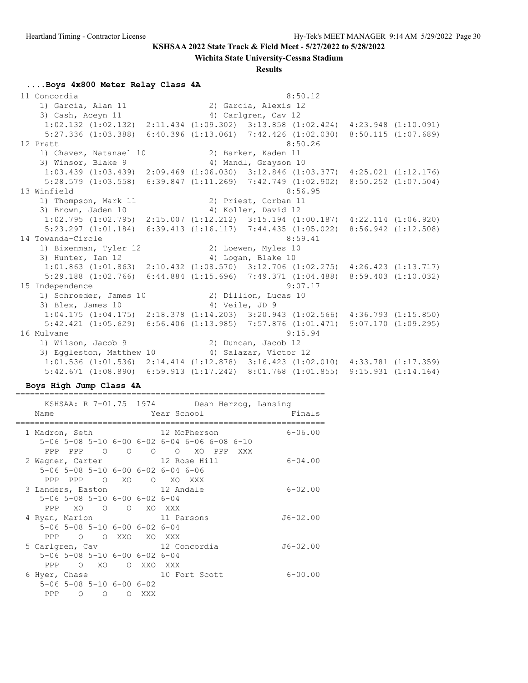**Wichita State University-Cessna Stadium**

#### **Results**

#### **....Boys 4x800 Meter Relay Class 4A**

 11 Concordia 8:50.12 1) Garcia, Alan 11 2) Garcia, Alexis 12 3) Cash, Aceyn 11 4) Carlgren, Cav 12 1:02.132 (1:02.132) 2:11.434 (1:09.302) 3:13.858 (1:02.424) 4:23.948 (1:10.091) 5:27.336 (1:03.388) 6:40.396 (1:13.061) 7:42.426 (1:02.030) 8:50.115 (1:07.689) 12 Pratt 8:50.26 1) Chavez, Natanael 10  $\frac{3}{2}$  Minsor, Blake 9 1) Chavez, Natanael 10 (2) Barker, Kaden 11<br>3) Winsor, Blake 9 (4) Mandl, Grayson 10 1:03.439 (1:03.439) 2:09.469 (1:06.030) 3:12.846 (1:03.377) 4:25.021 (1:12.176) 5:28.579 (1:03.558) 6:39.847 (1:11.269) 7:42.749 (1:02.902) 8:50.252 (1:07.504) 13 Winfield 8:56.95 1) Thompson, Mark 11 2) Priest, Corban 11 3) Brown, Jaden 10 4) Koller, David 12 1:02.795 (1:02.795) 2:15.007 (1:12.212) 3:15.194 (1:00.187) 4:22.114 (1:06.920) 5:23.297 (1:01.184) 6:39.413 (1:16.117) 7:44.435 (1:05.022) 8:56.942 (1:12.508) 14 Towanda-Circle 8:59.41 1) Bixenman, Tyler 12 2) Loewen, Myles 10 3) Hunter, Ian 12 4) Logan, Blake 10 1:01.863 (1:01.863) 2:10.432 (1:08.570) 3:12.706 (1:02.275) 4:26.423 (1:13.717) 5:29.188 (1:02.766) 6:44.884 (1:15.696) 7:49.371 (1:04.488) 8:59.403 (1:10.032) 15 Independence 9:07.17 1) Schroeder, James 10 2) Dillion, Lucas 10 3) Blex, James 10 (4) Veile, JD 9 1:04.175 (1:04.175) 2:18.378 (1:14.203) 3:20.943 (1:02.566) 4:36.793 (1:15.850) 5:42.421 (1:05.629) 6:56.406 (1:13.985) 7:57.876 (1:01.471) 9:07.170 (1:09.295) 16 Mulvane 9:15.94 1) Wilson, Jacob 9 2) Duncan, Jacob 12 3) Eggleston, Matthew 10 4) Salazar, Victor 12 1:01.536 (1:01.536) 2:14.414 (1:12.878) 3:16.423 (1:02.010) 4:33.781 (1:17.359) 5:42.671 (1:08.890) 6:59.913 (1:17.242) 8:01.768 (1:01.855) 9:15.931 (1:14.164)

#### **Boys High Jump Class 4A**

|                |         |                                              |           |     | KSHSAA: R 7-01.75 1974 Dean Herzog, Lansing  |
|----------------|---------|----------------------------------------------|-----------|-----|----------------------------------------------|
| Name           |         |                                              |           |     | Year School<br>Finals                        |
| 1 Madron, Seth |         |                                              |           |     | 12 McPherson<br>$6 - 06.00$                  |
|                |         |                                              |           |     | 5-06 5-08 5-10 6-00 6-02 6-04 6-06 6-08 6-10 |
|                |         | PPP PPP 0 0                                  |           |     | O O XO PPP XXX                               |
|                |         |                                              |           |     | 2 Wagner, Carter 12 Rose Hill<br>$6 - 04.00$ |
|                |         |                                              |           |     | 5-06 5-08 5-10 6-00 6-02 6-04 6-06           |
|                |         | PPP PPP 0 XO                                 |           |     | O XO XXX                                     |
|                |         |                                              |           |     | 3 Landers, Easton 12 Andale<br>$6 - 02.00$   |
|                |         | 5-06 5-08 5-10 6-00 6-02 6-04                |           |     |                                              |
|                |         | PPP XO O O XO XXX                            |           |     |                                              |
|                |         |                                              |           |     | 4 Ryan, Marion 11 Parsons<br>$J6 - 02.00$    |
|                |         | 5-06 5-08 5-10 6-00 6-02 6-04                |           |     |                                              |
| PPP            |         | O OXXO XOXXX                                 |           |     |                                              |
|                |         |                                              |           |     | 5 Carlgren, Cav 12 Concordia<br>$J6 - 02.00$ |
|                |         | 5-06 5-08 5-10 6-00 6-02 6-04                |           |     |                                              |
| PPP            |         | O XO                                         | O XXO XXX |     |                                              |
| 6 Hyer, Chase  |         |                                              |           |     | 10 Fort Scott<br>$6 - 00.00$                 |
|                |         | $5 - 06$ $5 - 08$ $5 - 10$ $6 - 00$ $6 - 02$ |           |     |                                              |
| PPP            | $\circ$ | $\circ$                                      | $\Omega$  | XXX |                                              |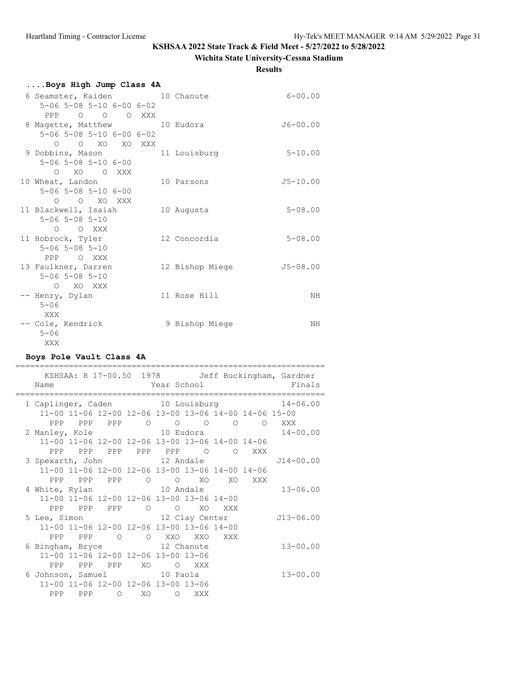# **Wichita State University-Cessna Stadium**

**Results**

| Boys High Jump Class 4A                      |                 |              |
|----------------------------------------------|-----------------|--------------|
| 6 Seamster, Kaiden 10 Chanute                |                 | $6 - 00.00$  |
| $5 - 06$ $5 - 08$ $5 - 10$ $6 - 00$ $6 - 02$ |                 |              |
| PPP 0 0 0 XXX                                |                 |              |
| 8 Magette, Matthew 10 Eudora                 |                 | $J6 - 00.00$ |
| $5 - 06$ $5 - 08$ $5 - 10$ $6 - 00$ $6 - 02$ |                 |              |
| O O XO XO XXX                                |                 |              |
| 9 Dobbins, Mason                             | 11 Louisburg    | $5 - 10.00$  |
| $5 - 06$ $5 - 08$ $5 - 10$ $6 - 00$          |                 |              |
| O XO O XXX                                   |                 |              |
| 10 Wheat, Landon                             | 10 Parsons      | $J5 - 10.00$ |
| $5 - 06$ $5 - 08$ $5 - 10$ $6 - 00$          |                 |              |
| $O$ $O$ $XO$ $XXX$                           |                 |              |
| 11 Blackwell, Isaiah                         | 10 Augusta      | $5 - 08.00$  |
| $5 - 06$ $5 - 08$ $5 - 10$<br>O O XXX        |                 |              |
|                                              | 12 Concordia    | $5 - 08.00$  |
| 11 Hobrock, Tyler<br>$5 - 06$ 5-08 5-10      |                 |              |
| PPP OXXX                                     |                 |              |
| 13 Faulkner, Darren                          | 12 Bishop Miege | $J5 - 08.00$ |
| $5 - 06$ $5 - 08$ $5 - 10$                   |                 |              |
| O XO XXX                                     |                 |              |
| -- Henry, Dylan                              | 11 Rose Hill    | NΗ           |
| $5 - 06$                                     |                 |              |
| XXX                                          |                 |              |
| -- Cole, Kendrick                            | 9 Bishop Miege  | NH           |
| $5 - 06$                                     |                 |              |
| XXX                                          |                 |              |

### **Boys Pole Vault Class 4A**

| Name                        |                |           |                | Year School Theory                                    |                |     | KSHSAA: R 17-00.50 1978 Jeff Buckingham, Gardner<br>Finals |
|-----------------------------|----------------|-----------|----------------|-------------------------------------------------------|----------------|-----|------------------------------------------------------------|
|                             |                |           |                |                                                       |                |     | 1 Caplinger, Caden 10 Louisburg 14-06.00                   |
|                             |                |           |                | 11-00 11-06 12-00 12-06 13-00 13-06 14-00 14-06 15-00 |                |     |                                                            |
|                             |                |           |                | PPP PPP PPP 0 0 0 0 0 XXX                             |                |     |                                                            |
|                             |                |           |                |                                                       |                |     |                                                            |
|                             |                |           |                | 11-00 11-06 12-00 12-06 13-00 13-06 14-00 14-06       |                |     |                                                            |
|                             |                |           |                | PPP PPP PPP PPP PPP 0                                 | $\overline{O}$ | XXX |                                                            |
| 3 Spexarth, John 12 Andale  |                |           |                |                                                       |                |     | $J14 - 00.00$                                              |
|                             |                |           |                | 11-00 11-06 12-00 12-06 13-00 13-06 14-00 14-06       |                |     |                                                            |
|                             |                |           |                | PPP PPP PPP 0 0 XO XO XXX                             |                |     |                                                            |
| 4 White, Rylan              |                | 10 Andale |                |                                                       |                |     | $13 - 06.00$                                               |
|                             |                |           |                | 11-00 11-06 12-00 12-06 13-00 13-06 14-00             |                |     |                                                            |
|                             | PPP PPP PPP O  |           | $\overline{O}$ | XO                                                    | XXX            |     |                                                            |
| 5 Lee, Simon 12 Clay Center |                |           |                |                                                       |                |     | J13-06.00                                                  |
|                             |                |           |                | 11-00 11-06 12-00 12-06 13-00 13-06 14-00             |                |     |                                                            |
|                             |                |           |                | PPP PPP 0 0 XXO XXO                                   | XXX            |     |                                                            |
| 6 Bingham, Bryce 12 Chanute |                |           |                |                                                       |                |     | $13 - 00.00$                                               |
|                             |                |           |                | 11-00 11-06 12-00 12-06 13-00 13-06                   |                |     |                                                            |
|                             | PPP PPP PPP XO |           |                | O XXX                                                 |                |     |                                                            |
| 6 Johnson, Samuel 10 Paola  |                |           |                |                                                       |                |     | $13 - 00.00$                                               |
|                             |                |           |                | 11-00 11-06 12-00 12-06 13-00 13-06                   |                |     |                                                            |
|                             | PPP PPP 0 XO   |           |                | O XXX                                                 |                |     |                                                            |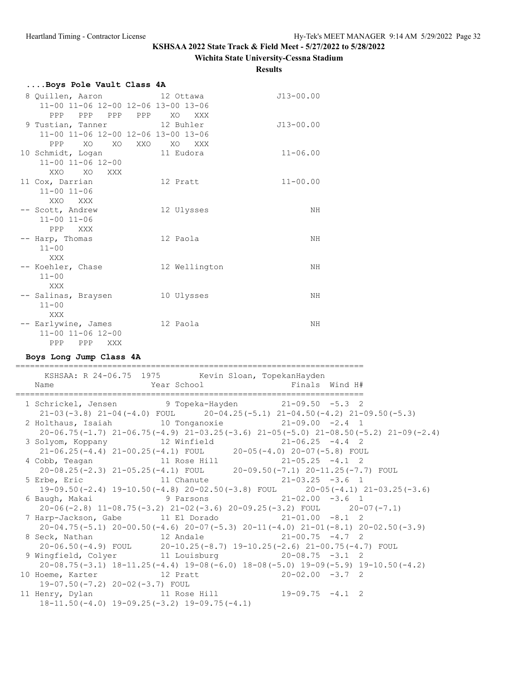#### **Wichita State University-Cessna Stadium**

**Results**

| Boys Pole Vault Class 4A                                                    |                            |                                                                                                                                            |  |
|-----------------------------------------------------------------------------|----------------------------|--------------------------------------------------------------------------------------------------------------------------------------------|--|
| 8 Quillen, Aaron<br>11-00 11-06 12-00 12-06 13-00 13-06<br>PPP PPP<br>PPP   | 12 Ottawa<br>PPP XO<br>XXX | $J13 - 00.00$                                                                                                                              |  |
| 9 Tustian, Tanner<br>11-00 11-06 12-00 12-06 13-00 13-06<br>PPP<br>XO<br>XO | 12 Buhler<br>XXO XO<br>XXX | $J13 - 00.00$                                                                                                                              |  |
| 10 Schmidt, Logan<br>11-00 11-06 12-00<br>XXO<br>XO<br>XXX                  | 11 Eudora                  | $11 - 06.00$                                                                                                                               |  |
| 11 Cox, Darrian<br>$11 - 00$ $11 - 06$<br>XXO XXX                           | 12 Pratt                   | $11 - 00.00$                                                                                                                               |  |
| -- Scott, Andrew<br>$11 - 00$ $11 - 06$<br>PPP<br>XXX                       | 12 Ulysses                 | NH                                                                                                                                         |  |
| -- Harp, Thomas<br>$11 - 00$<br>XXX                                         | 12 Paola                   | ΝH                                                                                                                                         |  |
| -- Koehler, Chase<br>$11 - 00$<br>XXX                                       | 12 Wellington              | ΝH                                                                                                                                         |  |
| -- Salinas, Braysen<br>$11 - 00$<br>XXX                                     | 10 Ulysses                 | NΗ                                                                                                                                         |  |
| -- Earlywine, James 12 Paola<br>11-00 11-06 12-00<br>PPP PPP XXX            |                            | NH                                                                                                                                         |  |
| Boys Long Jump Class 4A                                                     |                            |                                                                                                                                            |  |
| KSHSAA: R 24-06.75 1975<br>Name                                             | Year School                | Kevin Sloan, TopekanHayden<br>Finals Wind H#                                                                                               |  |
|                                                                             |                            | 1 Schrickel, Jensen 9 Topeka-Hayden 21-09.50 -5.3 2<br>$21-03(-3.8)$ $21-04(-4.0)$ FOUL $20-04.25(-5.1)$ $21-04.50(-4.2)$ $21-09.50(-5.3)$ |  |
| 2 Holthaus, Isaiah                                                          | 10 Tonganoxie              | $21-09.00 -2.4$ 1<br>$20-06.75(-1.7)$ $21-06.75(-4.9)$ $21-03.25(-3.6)$ $21-05(-5.0)$ $21-08.50(-5.2)$ $21-09(-2.4)$                       |  |
| 3 Solyom, Koppany                                                           | 12 Winfield                | $21 - 06.25 - 4.4$ 2<br>21-06.25(-4.4) 21-00.25(-4.1) FOUL 20-05(-4.0) 20-07(-5.8) FOUL                                                    |  |
| 4 Cobb, Teagan                                                              |                            | Obb, Teagan 11 Rose Hill 21-05.25 -4.1 2<br>20-08.25(-2.3) 21-05.25(-4.1) FOUL 20-09.50(-7.1) 20-11.25(-7.7) FOUL                          |  |
| 5 Erbe, Eric<br>19-09.50(-2.4) 19-10.50(-4.8) 20-02.50(-3.8) FOUL           | 11 Chanute                 | $21 - 03.25 - 3.6$ 1                                                                                                                       |  |
| 6 Baugh, Makai                                                              | 9 Parsons                  | $20 - 05(-4.1)$ $21 - 03.25(-3.6)$<br>$21 - 02.00 - 3.6$ 1<br>$20-06(-2.8)$ 11-08.75(-3.2) 21-02(-3.6) 20-09.25(-3.2) FOUL 20-07(-7.1)     |  |

 7 Harp-Jackson, Gabe 11 El Dorado 21-01.00 -8.1 2 20-04.75(-5.1) 20-00.50(-4.6) 20-07(-5.3) 20-11(-4.0) 21-01(-8.1) 20-02.50(-3.9) 8 Seck, Nathan 12 Andale 21-00.75 -4.7 2 20-06.50(-4.9) FOUL 20-10.25(-8.7) 19-10.25(-2.6) 21-00.75(-4.7) FOUL 9 Wingfield, Colyer 11 Louisburg 20-08.75 -3.1 2 20-08.75(-3.1) 18-11.25(-4.4) 19-08(-6.0) 18-08(-5.0) 19-09(-5.9) 19-10.50(-4.2) 10 Hoeme, Karter 19-07.50(-7.2) 20-02(-3.7) FOUL

 11 Henry, Dylan 11 Rose Hill 19-09.75 -4.1 2 18-11.50(-4.0) 19-09.25(-3.2) 19-09.75(-4.1)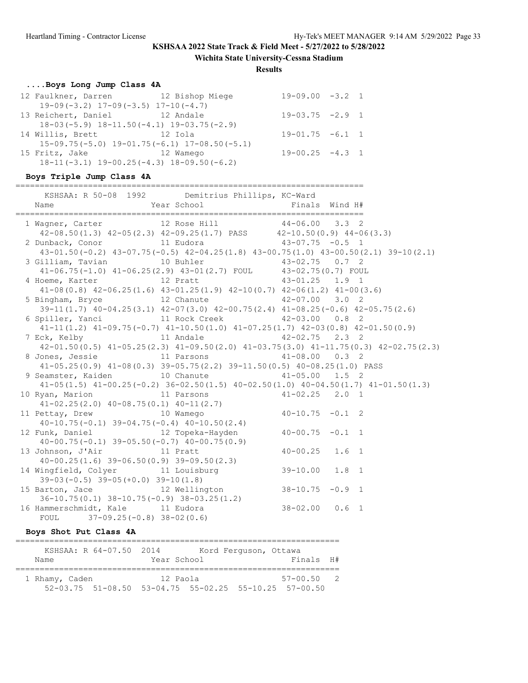**Wichita State University-Cessna Stadium**

**Results**

# **....Boys Long Jump Class 4A**

|                  |                                           | 12 Faulkner, Darren 12 Bishop Miege                | $19-09.00 -3.2 1$    |  |
|------------------|-------------------------------------------|----------------------------------------------------|----------------------|--|
|                  | $19-09(-3.2)$ $17-09(-3.5)$ $17-10(-4.7)$ |                                                    |                      |  |
|                  | 13 Reichert, Daniel 12 Andale             |                                                    | $19-03.75 -2.9$ 1    |  |
|                  |                                           | $18-03(-5.9)$ $18-11.50(-4.1)$ $19-03.75(-2.9)$    |                      |  |
| 14 Willis, Brett | era de 12 Iola                            |                                                    | $19-01.75 -6.1 1$    |  |
|                  |                                           | $15-09.75(-5.0)$ $19-01.75(-6.1)$ $17-08.50(-5.1)$ |                      |  |
| 15 Fritz, Jake   | 12 Wamego                                 |                                                    | $19 - 00.25 - 4.3 1$ |  |
|                  |                                           | $18-11(-3.1)$ $19-00.25(-4.3)$ $18-09.50(-6.2)$    |                      |  |
|                  |                                           |                                                    |                      |  |

## **Boys Triple Jump Class 4A**

| KSHSAA: R 50-08 1992 Demitrius Phillips, KC-Ward                                                                                             |                                                                                     |                                                                                                 |
|----------------------------------------------------------------------------------------------------------------------------------------------|-------------------------------------------------------------------------------------|-------------------------------------------------------------------------------------------------|
| 1 Wagner, Carter 12 Rose Hill 44-06.00 3.3 2                                                                                                 | $42-08.50(1.3)$ $42-05(2.3)$ $42-09.25(1.7)$ PASS $42-10.50(0.9)$ $44-06(3.3)$      |                                                                                                 |
| 2 Dunback, Conor 11 Eudora 11 43-07.75 -0.5 1                                                                                                |                                                                                     | $43-01.50(-0.2)$ $43-07.75(-0.5)$ $42-04.25(1.8)$ $43-00.75(1.0)$ $43-00.50(2.1)$ $39-10(2.1)$  |
| 3 Gilliam, Tavian 10 Buhler 10 43-02.75 0.7 2                                                                                                | 41-06.75(-1.0) 41-06.25(2.9) 43-01(2.7) FOUL 43-02.75(0.7) FOUL                     |                                                                                                 |
| 4 Hoeme, Karter 12 Pratt 43-01.25 1.9 1                                                                                                      | $41-08(0.8)$ $42-06.25(1.6)$ $43-01.25(1.9)$ $42-10(0.7)$ $42-06(1.2)$ $41-00(3.6)$ |                                                                                                 |
| 5 Bingham, Bryce 12 Chanute 42-07.00 3.0 2                                                                                                   |                                                                                     | $39-11(1.7)$ $40-04.25(3.1)$ $42-07(3.0)$ $42-00.75(2.4)$ $41-08.25(-0.6)$ $42-05.75(2.6)$      |
| 6 Spiller, Yanci 11 Rock Creek 42-03.00 0.8 2                                                                                                |                                                                                     | $41-11(1.2)$ $41-09.75(-0.7)$ $41-10.50(1.0)$ $41-07.25(1.7)$ $42-03(0.8)$ $42-01.50(0.9)$      |
| 7 Eck, Kelby 11 Andale 42-02.75 2.3 2                                                                                                        |                                                                                     | $42-01.50(0.5)$ $41-05.25(2.3)$ $41-09.50(2.0)$ $41-03.75(3.0)$ $41-11.75(0.3)$ $42-02.75(2.3)$ |
| 8 Jones, Jessie 11 Parsons 11 + 41-08.00 0.3 2                                                                                               | $41-05.25(0.9)$ $41-08(0.3)$ $39-05.75(2.2)$ $39-11.50(0.5)$ $40-08.25(1.0)$ PASS   |                                                                                                 |
| 9 Seamster, Kaiden 10 Chanute 11-05.00 1.5 2                                                                                                 |                                                                                     | $41-05(1.5)$ $41-00.25(-0.2)$ $36-02.50(1.5)$ $40-02.50(1.0)$ $40-04.50(1.7)$ $41-01.50(1.3)$   |
| 10 Ryan, Marion 11 Parsons 41-02.25 2.0 1                                                                                                    |                                                                                     |                                                                                                 |
| $41-02.25(2.0)$ $40-08.75(0.1)$ $40-11(2.7)$<br>11 Pettay, Drew 10 Wamego $40-10.75$ -0.1 2<br>$40-10.75(-0.1)$ 39-04.75(-0.4) 40-10.50(2.4) |                                                                                     |                                                                                                 |
| 12 Funk, Daniel 12 Topeka-Hayden 40-00.75 -0.1 1<br>$40-00.75(-0.1)$ 39-05.50(-0.7) 40-00.75(0.9)                                            |                                                                                     |                                                                                                 |
| 13 Johnson, J'Air 11 Pratt<br>$40-00.25(1.6)$ 39-06.50(0.9) 39-09.50(2.3)                                                                    |                                                                                     | $40 - 00.25$ 1.6 1                                                                              |
| 14 Wingfield, Colyer 11 Louisburg 39-10.00 1.8 1<br>$39-03(-0.5)$ $39-05(+0.0)$ $39-10(1.8)$                                                 |                                                                                     |                                                                                                 |
| 15 Barton, Jace 12 Wellington 38-10.75 -0.9 1<br>$36-10.75(0.1)$ $38-10.75(-0.9)$ $38-03.25(1.2)$                                            |                                                                                     |                                                                                                 |
| 16 Hammerschmidt, Kale 11 Eudora<br>FOUL $37-09.25(-0.8) 38-02(0.6)$                                                                         |                                                                                     | $38-02.00$ 0.6 1                                                                                |

## **Boys Shot Put Class 4A**

|                | KSHSAA: R 64-07.50 2014 |             | Kord Ferquson, Ottawa |                                                                   |  |
|----------------|-------------------------|-------------|-----------------------|-------------------------------------------------------------------|--|
| Name           |                         | Year School |                       | Finals H#                                                         |  |
| 1 Rhamy, Caden |                         | 12 Paola    |                       | $57 - 00.50$ 2                                                    |  |
|                |                         |             |                       | $52-03.75$ $51-08.50$ $53-04.75$ $55-02.25$ $55-10.25$ $57-00.50$ |  |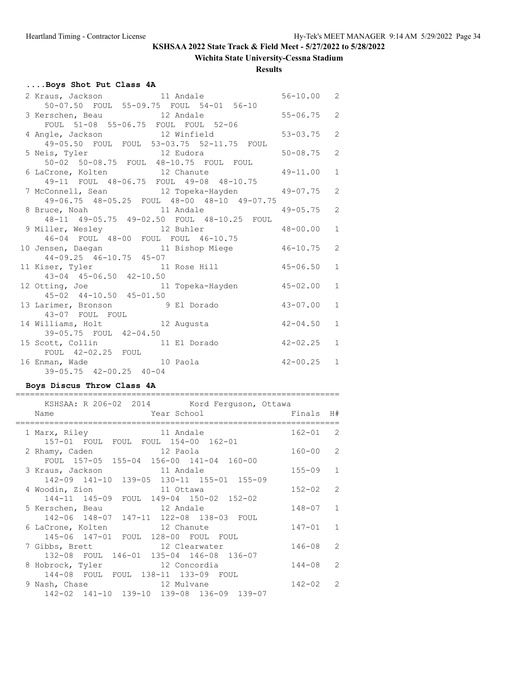# **Wichita State University-Cessna Stadium**

### **Results**

# **....Boys Shot Put Class 4A**

| 2 Kraus, Jackson 11 Andale 56-10.00 2                                      |              |                |
|----------------------------------------------------------------------------|--------------|----------------|
| 50-07.50 FOUL 55-09.75 FOUL 54-01 56-10                                    |              |                |
| 3 Kerschen, Beau 12 Andale 55-06.75<br>FOUL 51-08 55-06.75 FOUL FOUL 52-06 |              | 2              |
|                                                                            |              |                |
| 4 Angle, Jackson 12 Winfield 53-03.75                                      |              | 2              |
| 49-05.50 FOUL FOUL 53-03.75 52-11.75 FOUL                                  |              |                |
| 5 Neis, Tyler 12 Eudora 50-08.75                                           |              | $\overline{2}$ |
| 50-02 50-08.75 FOUL 48-10.75 FOUL FOUL                                     |              |                |
| 6 LaCrone, Kolten 12 Chanute 49-11.00                                      |              | $\mathbf{1}$   |
| 49-11 FOUL 48-06.75 FOUL 49-08 48-10.75                                    |              |                |
| 7 McConnell, Sean 12 Topeka-Hayden 49-07.75                                |              | 2              |
| 49-06.75 48-05.25 FOUL 48-00 48-10 49-07.75                                |              |                |
| 8 Bruce, Noah 11 Andale                                                    | $49 - 05.75$ | 2              |
| 48-11 49-05.75 49-02.50 FOUL 48-10.25 FOUL                                 |              |                |
| 9 Miller, Wesley 12 Buhler 48-00.00                                        |              | 1              |
| 46-04 FOUL 48-00 FOUL FOUL 46-10.75                                        |              |                |
| 10 Jensen, Daegan 11 Bishop Miege 46-10.75                                 |              | 2              |
| 44-09.25 46-10.75 45-07                                                    |              |                |
| 11 Kiser, Tyler 11 Rose Hill 45-06.50                                      |              | $\mathbf{1}$   |
| 43-04 45-06.50 42-10.50                                                    |              |                |
| 11 Topeka-Hayden 45-02.00<br>12 Otting, Joe                                |              | $\mathbf{1}$   |
| 45-02 44-10.50 45-01.50                                                    |              |                |
| 13 Larimer, Bronson 9 El Dorado 43-07.00                                   |              | $\mathbf{1}$   |
| 43-07 FOUL FOUL<br>14 Williams, Holt 12 Augusta 12 42-04.50                |              |                |
|                                                                            |              | $\mathbf{1}$   |
| 39-05.75 FOUL 42-04.50                                                     |              |                |
| 15 Scott, Collin 11 El Dorado 42-02.25                                     |              | $\mathbf{1}$   |
| FOUL 42-02.25 FOUL                                                         |              |                |
| $42 - 00.25$ 1<br>16 Enman, Wade 10 Paola                                  |              |                |
| 39-05.75 42-00.25 40-04                                                    |              |                |

## **Boys Discus Throw Class 4A**

| KSHSAA: R 206-02 2014 Kord Ferguson, Ottawa                                |              |   |
|----------------------------------------------------------------------------|--------------|---|
| Year School Theory<br>Name                                                 | Finals H#    |   |
| 1 Marx, Riley 11 Andale<br>157-01 FOUL FOUL FOUL 154-00 162-01             | $162 - 01$ 2 |   |
| 2 Rhamy, Caden 12 Paola<br>FOUL 157-05 155-04 156-00 141-04 160-00         | $160 - 00$ 2 |   |
| 3 Kraus, Jackson 11 Andale<br>142-09 141-10 139-05 130-11 155-01 155-09    | $155 - 09$ 1 |   |
| 4 Woodin, Zion 11 Ottawa<br>144-11 145-09 FOUL 149-04 150-02 152-02        | $152 - 02$ 2 |   |
| 5 Kerschen, Beau 12 Andale<br>142-06 148-07 147-11 122-08 138-03 FOUL      | $148 - 07$ 1 |   |
| 6 LaCrone, Kolten 12 Chanute<br>145-06 147-01 FOUL 128-00 FOUL FOUL        | $147 - 01$ 1 |   |
| 12 Clearwater<br>7 Gibbs, Brett<br>132-08 FOUL 146-01 135-04 146-08 136-07 | 146-08       | 2 |
| 8 Hobrock, Tyler 12 Concordia<br>144-08 FOUL FOUL 138-11 133-09 FOUL       | $144 - 08$ 2 |   |
| 9 Nash, Chase 22 Mulvane<br>142-02 141-10 139-10 139-08 136-09 139-07      | $142 - 02$ 2 |   |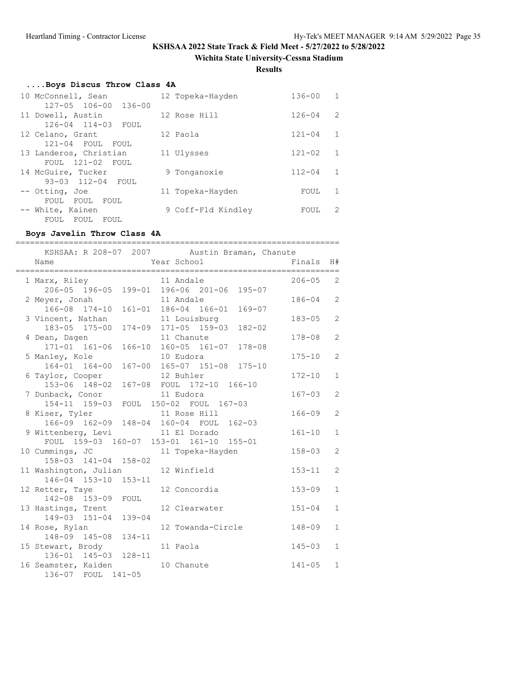**Wichita State University-Cessna Stadium**

**Results**

# **....Boys Discus Throw Class 4A**

| 10 McConnell, Sean                        | 12 Topeka-Hayden   | $136 - 00$ | $\overline{1}$ |
|-------------------------------------------|--------------------|------------|----------------|
| 127-05 106-00 136-00<br>11 Dowell, Austin | 12 Rose Hill       | $126 - 04$ | $\mathcal{L}$  |
| 126-04 114-03 FOUL                        |                    |            |                |
| 12 Celano, Grant<br>121-04 FOUL FOUL      | 12 Paola           | $121 - 04$ | $\mathbf{1}$   |
| 13 Landeros, Christian                    | 11 Ulysses         | $121 - 02$ | $\mathbf{1}$   |
| FOUL 121-02<br>FOUL<br>14 McGuire, Tucker | 9 Tonganoxie       | $112 - 04$ | -1.            |
| 93-03 112-04 FOUL                         |                    |            |                |
| -- Otting, Joe                            | 11 Topeka-Hayden   | FOUL       | -1.            |
| FOUL FOUL<br>FOUL                         |                    |            |                |
| -- White, Kainen<br>FOUL<br>FOUL<br>FOUL  | 9 Coff-Fld Kindley | FOUL       | 2              |
|                                           |                    |            |                |

## **Boys Javelin Throw Class 4A**

| ============                                                                                                | KSHSAA: R 208-07 2007 Austin Braman, Chanute | ================== |                |
|-------------------------------------------------------------------------------------------------------------|----------------------------------------------|--------------------|----------------|
| Name                                                                                                        | Year School                                  | Finals             | H#             |
| 1 Marx, Riley<br>206-05 196-05 199-01 196-06 201-06 195-07                                                  | 11 Andale                                    | $206 - 05$         | 2              |
| 2 Meyer, Jonah                                                                                              | 11 Andale                                    | $186 - 04$         | $\overline{2}$ |
| 166-08 174-10 161-01 186-04 166-01 169-07<br>3 Vincent, Nathan<br>183-05 175-00 174-09 171-05 159-03 182-02 | 11 Louisburg                                 | $183 - 05$         | 2              |
| 4 Dean, Dagen<br>171-01 161-06                                                                              | 11 Chanute<br>166-10 160-05 161-07 178-08    | $178 - 08$         | $\overline{2}$ |
| 5 Manley, Kole                                                                                              | 10 Eudora                                    | $175 - 10$         | 2              |
| 164-01 164-00<br>6 Taylor, Cooper                                                                           | 167-00 165-07 151-08 175-10<br>12 Buhler     | $172 - 10$         | $\mathbf{1}$   |
| 153-06 148-02<br>7 Dunback, Conor                                                                           | 167-08 FOUL 172-10 166-10<br>11 Eudora       | $167 - 03$         | 2              |
| 154-11 159-03<br>8 Kiser, Tyler                                                                             | FOUL 150-02 FOUL 167-03<br>11 Rose Hill      | $166 - 09$         | 2              |
| 166-09 162-09 148-04 160-04 FOUL 162-03<br>9 Wittenberg, Levi 11 El Dorado                                  |                                              | $161 - 10$         | $\mathbf{1}$   |
| FOUL 159-03 160-07 153-01 161-10 155-01<br>10 Cummings, JC                                                  | 11 Topeka-Hayden                             | $158 - 03$         | $\overline{2}$ |
| 158-03 141-04 158-02<br>11 Washington, Julian                                                               | 12 Winfield                                  | $153 - 11$         | 2              |
| 146-04 153-10 153-11<br>12 Retter, Taye                                                                     | 12 Concordia                                 | $153 - 09$         | $\mathbf{1}$   |
| 142-08 153-09 FOUL<br>13 Hastings, Trent                                                                    | 12 Clearwater                                | $151 - 04$         | $\mathbf{1}$   |
| 149-03 151-04 139-04<br>14 Rose, Rylan                                                                      | 12 Towanda-Circle                            | $148 - 09$         | $\mathbf{1}$   |
| 148-09 145-08 134-11<br>15 Stewart, Brody                                                                   | 11 Paola                                     | $145 - 03$         | $\mathbf{1}$   |
| 136-01 145-03 128-11<br>16 Seamster, Kaiden                                                                 | 10 Chanute                                   | $141 - 05$         | $\mathbf{1}$   |
| 136-07 FOUL 141-05                                                                                          |                                              |                    |                |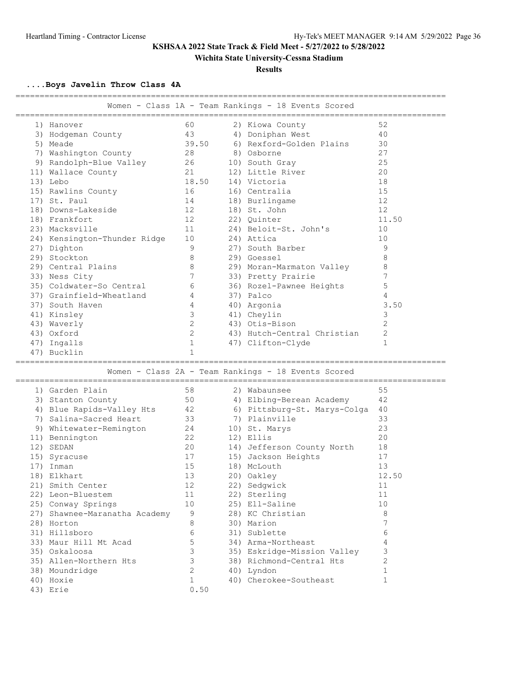**Wichita State University-Cessna Stadium**

### **Results**

**....Boys Javelin Throw Class 4A**

| ____________________          |                | Women - Class 1A - Team Rankings - 18 Events Scored                                          |                |
|-------------------------------|----------------|----------------------------------------------------------------------------------------------|----------------|
| ============================  |                |                                                                                              |                |
| 1) Hanover                    | 60             | 2) Kiowa County                                                                              | 52             |
| 3) Hodgeman County            | 43             | 4) Doniphan West<br>6) Rexford-Golden Plains                                                 | 40             |
| 5) Meade                      | 39.50          | 8) Osborne                                                                                   | 30<br>27       |
| 7) Washington County          | 28             |                                                                                              |                |
| 9) Randolph-Blue Valley       | 26             | 10) South Gray                                                                               | 25             |
| 11) Wallace County            | 21             | 12) Little River                                                                             | 20             |
| 13) Lebo                      | 18.50          | 14) Victoria                                                                                 | 18             |
| 15) Rawlins County            | 16             | 16) Centralia                                                                                | 15             |
| 17) St. Paul                  | 14             | 18) Burlingame                                                                               | 12             |
| 18) Downs-Lakeside            | 12             | 18) St. John                                                                                 | 12             |
| 18) Frankfort                 | 12             | 22) Ouinter                                                                                  | 11.50          |
| 23) Macksville                | 11             | 24) Beloit-St. John's                                                                        | 10             |
| 24) Kensington-Thunder Ridge  | 10             | 24) Attica                                                                                   | 10             |
| 27) Dighton                   | 9              | 27) South Barber                                                                             | 9              |
| 29) Stockton                  | 8              | 29) Goessel                                                                                  | 8              |
| 29) Central Plains            | 8              | 29) Moran-Marmaton Valley                                                                    | 8              |
| 33) Ness City                 | 7              | 33) Pretty Prairie                                                                           | 7              |
| 35) Coldwater-So Central      | 6              | 36) Rozel-Pawnee Heights                                                                     | 5              |
| 37) Grainfield-Wheatland      | 4              | 37) Palco                                                                                    | 4              |
| 37) South Haven               | 4              | 40) Argonia                                                                                  | 3.50           |
| 41) Kinsley                   | 3              | 41) Cheylin                                                                                  | 3              |
| 43) Waverly                   | $\mathbf{2}$   | 43) Otis-Bison                                                                               | $\overline{2}$ |
| 43) Oxford                    | 2              | 43) Hutch-Central Christian                                                                  | $\mathbf{2}$   |
| 47) Ingalls                   | $\mathbf{1}$   | 47) Clifton-Clyde                                                                            | $\mathbf{1}$   |
| 47) Bucklin                   | 1              |                                                                                              |                |
|                               |                | =====================================<br>Women - Class 2A - Team Rankings - 18 Events Scored |                |
|                               |                |                                                                                              |                |
| 1) Garden Plain               | 58             | 2) Wabaunsee                                                                                 | 55             |
| 3) Stanton County             | 50             | 4) Elbing-Berean Academy                                                                     | 42             |
| 4) Blue Rapids-Valley Hts     | 42             | 6) Pittsburg-St. Marys-Colga                                                                 | 40             |
| 7) Salina-Sacred Heart        | 33             | 7) Plainville                                                                                | 33             |
| 9) Whitewater-Remington       | 24             | 10) St. Marys                                                                                | 23             |
| 11) Bennington                | 22             | 12) Ellis                                                                                    | 20             |
| 12) SEDAN                     | 20             | 14) Jefferson County North                                                                   | 18             |
| 15) Syracuse                  | 17             | 15) Jackson Heights                                                                          | 17             |
| 17) Inman                     | 15             | 18) McLouth                                                                                  | 13             |
| 18) Elkhart                   | 13             | 20) Oakley                                                                                   | 12.50          |
| 21) Smith Center              | 12             | 22) Sedgwick                                                                                 | 11             |
| 22) Leon-Bluestem             | 11             | 22) Sterling                                                                                 | 11             |
| 25) Conway Springs            | 10             | 25) Ell-Saline                                                                               | 10             |
| 27) Shawnee-Maranatha Academy | 9              | 28) KC Christian                                                                             | 8              |
| 28) Horton                    | 8              | 30) Marion                                                                                   | 7              |
| 31) Hillsboro                 | 6              | 31) Sublette                                                                                 | 6              |
| 33) Maur Hill Mt Acad         | 5              | 34) Arma-Northeast                                                                           | 4              |
| 35) Oskaloosa                 | 3              | 35) Eskridge-Mission Valley                                                                  | 3              |
| 35) Allen-Northern Hts        | 3              | 38) Richmond-Central Hts                                                                     | $\mathbf{2}$   |
| 38) Moundridge                | $\overline{2}$ | 40) Lyndon                                                                                   | $\mathbf{1}$   |
| 40) Hoxie                     | $\mathbf 1$    | 40) Cherokee-Southeast                                                                       | $\mathbf{1}$   |
| 43) Erie                      | 0.50           |                                                                                              |                |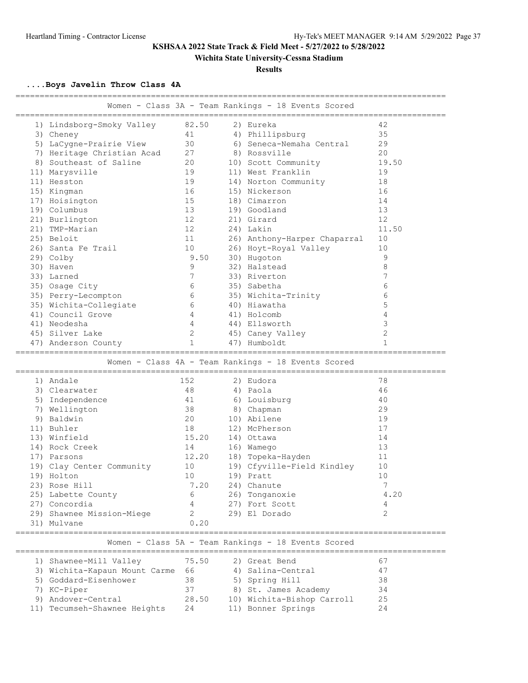## **Wichita State University-Cessna Stadium**

### **Results**

**....Boys Javelin Throw Class 4A**

| Women - Class 3A - Team Rankings - 18 Events Scored |                                                        |       |  |                                                     |              |  |
|-----------------------------------------------------|--------------------------------------------------------|-------|--|-----------------------------------------------------|--------------|--|
|                                                     | 1) Lindsborg-Smoky Valley                              | 82.50 |  | 2) Eureka                                           | 42           |  |
|                                                     | 3) Cheney                                              | 41    |  | 4) Phillipsburg                                     | 35           |  |
|                                                     | 5) LaCygne-Prairie View                                | 30    |  | 6) Seneca-Nemaha Central                            | 29           |  |
|                                                     | 7) Heritage Christian Acad                             | 27    |  | 8) Rossville                                        | 20           |  |
|                                                     | 8) Southeast of Saline                                 | 20    |  | 10) Scott Community                                 | 19.50        |  |
|                                                     | 11) Marysville                                         | 19    |  | 11) West Franklin                                   | 19           |  |
|                                                     | 11) Hesston                                            | 19    |  | 14) Norton Community                                | 18           |  |
|                                                     | 15) Kingman                                            | 16    |  | 15) Nickerson                                       | 16           |  |
|                                                     | 17) Hoisington                                         | 15    |  | 18) Cimarron                                        | 14           |  |
|                                                     | 19) Columbus                                           | 13    |  | 19) Goodland                                        | 13           |  |
|                                                     | 21) Burlington                                         | 12    |  | 21) Girard                                          | 12           |  |
|                                                     | 21) TMP-Marian                                         | 12    |  | 24) Lakin                                           | 11.50        |  |
|                                                     | 25) Beloit                                             | 11    |  | 26) Anthony-Harper Chaparral                        | 10           |  |
|                                                     | 26) Santa Fe Trail                                     | 10    |  | 26) Hoyt-Royal Valley                               | 10           |  |
|                                                     | 29) Colby                                              | 9.50  |  | 30) Hugoton                                         | 9            |  |
|                                                     | 30) Haven                                              | 9     |  | 32) Halstead                                        | 8            |  |
|                                                     | 33) Larned                                             | 7     |  | 33) Riverton                                        | 7            |  |
|                                                     | 35) Osage City                                         | 6     |  | 35) Sabetha                                         | 6            |  |
|                                                     | 35) Perry-Lecompton                                    | 6     |  | 35) Wichita-Trinity                                 | 6            |  |
|                                                     | 35) Wichita-Collegiate                                 | 6     |  | 40) Hiawatha                                        | 5            |  |
|                                                     | 41) Council Grove                                      | 4     |  | 41) Holcomb                                         | 4            |  |
|                                                     | 41) Neodesha                                           | 4     |  | 44) Ellsworth                                       | 3            |  |
|                                                     | 45) Silver Lake                                        | 2     |  | 45) Caney Valley                                    | $\mathbf{2}$ |  |
|                                                     | 47) Anderson County                                    | 1     |  | 47) Humboldt                                        | 1            |  |
| Women - Class 4A - Team Rankings - 18 Events Scored |                                                        |       |  |                                                     |              |  |
|                                                     |                                                        |       |  |                                                     |              |  |
|                                                     | 1) Andale                                              | 152   |  | 2) Eudora                                           | 78           |  |
|                                                     | 3) Clearwater                                          | 48    |  | 4) Paola                                            | 46           |  |
|                                                     | 5) Independence                                        | 41    |  | 6) Louisburg                                        | 40           |  |
|                                                     | 7) Wellington                                          | 38    |  | 8) Chapman                                          | 29           |  |
|                                                     | 9) Baldwin                                             | 20    |  | 10) Abilene                                         | 19           |  |
|                                                     | 11) Buhler                                             | 18    |  | 12) McPherson                                       | 17           |  |
|                                                     | 13) Winfield                                           | 15.20 |  | 14) Ottawa                                          | 14           |  |
|                                                     | 14) Rock Creek                                         | 14    |  | 16) Wamego                                          | 13           |  |
|                                                     | 17) Parsons                                            | 12.20 |  | 18) Topeka-Hayden                                   | 11           |  |
|                                                     | 19) Clay Center Community                              | 10    |  | 19) Cfyville-Field Kindley                          | 10           |  |
|                                                     | 19) Holton                                             | 10    |  | 19) Pratt                                           | 10           |  |
|                                                     | 23) Rose Hill                                          | 7.20  |  | 24) Chanute                                         | 7            |  |
|                                                     | 25) Labette County                                     | 6     |  | 26) Tonganoxie                                      | 4.20         |  |
|                                                     | 27) Concordia                                          |       |  | 27) Fort Scott                                      | 4            |  |
|                                                     | 29) Shawnee Mission-Miege                              | 2     |  | 29) El Dorado                                       | 2            |  |
|                                                     | 31) Mulvane                                            | 0.20  |  |                                                     |              |  |
|                                                     |                                                        |       |  | Women - Class 5A - Team Rankings - 18 Events Scored |              |  |
|                                                     | 1) Shawnee-Mill Valley                                 | 75.50 |  | 2) Great Bend                                       | 67           |  |
|                                                     |                                                        | 66    |  | 4) Salina-Central                                   | 47           |  |
|                                                     | 3) Wichita-Kapaun Mount Carme<br>5) Goddard-Eisenhower | 38    |  |                                                     | 38           |  |
|                                                     |                                                        | 37    |  | 5) Spring Hill                                      | 34           |  |
|                                                     | 7) KC-Piper<br>9) Andover-Central                      | 28.50 |  | 8) St. James Academy<br>10) Wichita-Bishop Carroll  | 25           |  |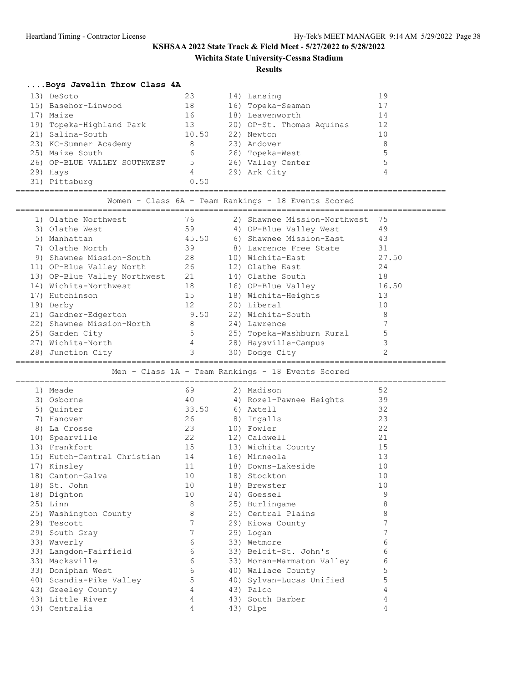## **Wichita State University-Cessna Stadium**

#### **Results**

## **....Boys Javelin Throw Class 4A**

| 13) DeSoto                   | 23    | 14) Lansing               | 19 |
|------------------------------|-------|---------------------------|----|
| 15) Basehor-Linwood          | 18    | 16) Topeka-Seaman         |    |
| 17) Maize                    | 16    | 18) Leavenworth           | 14 |
| 19) Topeka-Highland Park     | 13    | 20) OP-St. Thomas Aquinas | 12 |
| 21) Salina-South             | 10.50 | 22) Newton                | 10 |
| 23) KC-Sumner Academy        | 8     | 23) Andover               | 8  |
| 25) Maize South              | 6     | 26) Topeka-West           |    |
| 26) OP-BLUE VALLEY SOUTHWEST | 5     | 26) Valley Center         | 5  |
| 29) Hays                     | 4     | 29) Ark City              | 4  |
| 31) Pittsburg                | 0.50  |                           |    |

========================================================================================= Women - Class 6A - Team Rankings - 18 Events Scored

| 1) Olathe Northwest          | 76                | 2) Shawnee Mission-Northwest | -75   |
|------------------------------|-------------------|------------------------------|-------|
| 3) Olathe West               | 59                | 4) OP-Blue Valley West       | 49    |
| 5) Manhattan                 | 45.50             | 6) Shawnee Mission-East      | 43    |
| 7) Olathe North              | 39                | 8) Lawrence Free State       | 31    |
| 9) Shawnee Mission-South     | 28                | 10) Wichita-East             | 27.50 |
| 11) OP-Blue Valley North     | 26                | 12) Olathe East              | 24    |
| 13) OP-Blue Valley Northwest | 21                | 14) Olathe South             | 18    |
| 14) Wichita-Northwest        | 18                | 16) OP-Blue Valley           | 16.50 |
| 17) Hutchinson               | 15                | 18) Wichita-Heights          | 13    |
| 19) Derby                    | $12 \overline{ }$ | 20) Liberal                  | 10    |
| 21) Gardner-Edgerton         | 9.50              | 22) Wichita-South            | 8     |
| 22) Shawnee Mission-North    | 8                 | 24) Lawrence                 |       |
| 25) Garden City              | 5                 | 25) Topeka-Washburn Rural    |       |
| 27) Wichita-North            | 4                 | 28) Haysville-Campus         |       |
| 28) Junction City            | 3                 | 30) Dodge City               |       |

### ========================================================================================= Men - Class 1A - Team Rankings - 18 Events Scored

|    | 1) Meade                       | 69              | 2) Madison                    | 52 |
|----|--------------------------------|-----------------|-------------------------------|----|
|    | 3) Osborne                     |                 | 40 		 4) Rozel-Pawnee Heights | 39 |
|    | 5) Quinter                     | 33.50           | 6) Axtell                     | 32 |
| 7) | Hanover                        | 26              | 8) Ingalls                    | 23 |
|    | 8) La Crosse                   | 23              | 10) Fowler                    | 22 |
|    | 10) Spearville                 | 22              | 12) Caldwell                  | 21 |
|    | 13) Frankfort                  | 15              | 13) Wichita County            | 15 |
|    | 15) Hutch-Central Christian 14 |                 | 16) Minneola                  | 13 |
|    | 17) Kinsley                    | 11              | 18) Downs-Lakeside            | 10 |
|    | 18) Canton-Galva               | 10              | 18) Stockton                  | 10 |
|    | 18) St. John                   | 10              | 18) Brewster                  | 10 |
|    | 18) Dighton                    | 10              | 24) Goessel                   | 9  |
|    | 25) Linn                       | 8               | 25) Burlingame                | 8  |
|    | 25) Washington County          | 8               | 25) Central Plains            | 8  |
|    | 29) Tescott                    | $7\phantom{.0}$ | 29) Kiowa County              | 7  |
|    | 29) South Gray                 | $7\phantom{.0}$ | 29) Logan                     |    |
|    | 33) Waverly                    | 6               | 33) Wetmore                   | 6  |
|    | 33) Langdon-Fairfield          | 6               | 33) Beloit-St. John's         | 6  |
|    | 33) Macksville                 | 6               | 33) Moran-Marmaton Valley     | 6  |
|    | 33) Doniphan West              | 6               | 40) Wallace County            | 5  |
|    | 40) Scandia-Pike Valley        | 5               | 40) Sylvan-Lucas Unified      | 5  |
|    | 43) Greeley County             | $\overline{4}$  | 43) Palco                     | 4  |
|    | 43) Little River               | 4               | 43) South Barber              | 4  |
|    | 43) Centralia                  | 4               | 43) Olpe                      | 4  |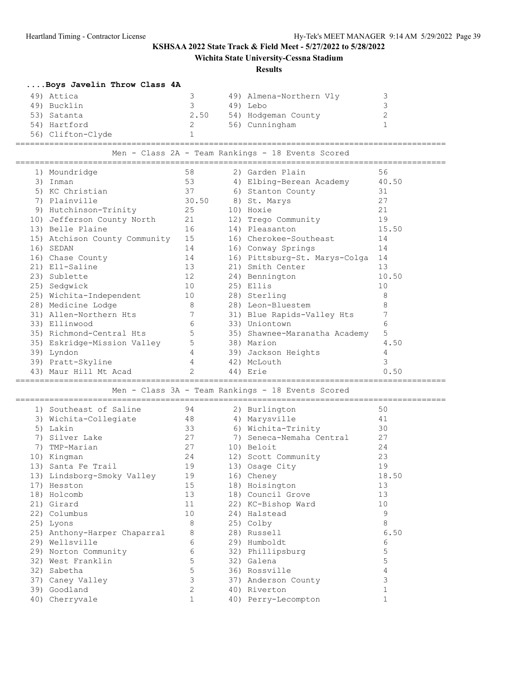# **Wichita State University-Cessna Stadium**

### **Results**

| Boys Javelin Throw Class 4A |                               |             |  |                                                   |              |  |
|-----------------------------|-------------------------------|-------------|--|---------------------------------------------------|--------------|--|
|                             | 49) Attica                    | 3           |  | 49) Almena-Northern Vly                           | 3            |  |
|                             | 49) Bucklin                   | 3           |  | 49) Lebo                                          | 3            |  |
|                             | 53) Satanta                   | 2.50        |  | 54) Hodgeman County                               | $\mathbf{2}$ |  |
|                             | 54) Hartford                  | 2           |  | 56) Cunningham                                    | $\mathbf{1}$ |  |
|                             | 56) Clifton-Clyde             |             |  |                                                   |              |  |
|                             |                               |             |  |                                                   |              |  |
|                             |                               |             |  | Men - Class 2A - Team Rankings - 18 Events Scored |              |  |
|                             | 1) Moundridge                 | 58          |  | 2) Garden Plain                                   | 56           |  |
|                             | 3) Inman                      | 53          |  | 4) Elbing-Berean Academy                          | 40.50        |  |
|                             | 5) KC Christian               | 37          |  | 6) Stanton County                                 | 31           |  |
|                             | 7) Plainville                 | 30.50       |  | 8) St. Marys                                      | 27           |  |
|                             | 9) Hutchinson-Trinity         | 25          |  | 10) Hoxie                                         | 21           |  |
|                             | 10) Jefferson County North    | 21          |  | 12) Trego Community                               | 19           |  |
|                             | 13) Belle Plaine              | 16          |  | 14) Pleasanton                                    | 15.50        |  |
|                             | 15) Atchison County Community | 15          |  | 16) Cherokee-Southeast                            | 14           |  |
|                             | 16) SEDAN                     | 14          |  | 16) Conway Springs                                | 14           |  |
|                             | 16) Chase County              | 14          |  | 16) Pittsburg-St. Marys-Colga                     | 14           |  |
|                             | 21) Ell-Saline                | 13          |  | 21) Smith Center                                  | 13           |  |
|                             | 23) Sublette                  | 12          |  | 24) Bennington                                    | 10.50        |  |
|                             | 25) Sedgwick                  | 10          |  | 25) Ellis                                         | 10           |  |
|                             | 25) Wichita-Independent       | 10          |  | 28) Sterling                                      | 8            |  |
|                             | 28) Medicine Lodge            | 8           |  | 28) Leon-Bluestem                                 | 8            |  |
|                             | 31) Allen-Northern Hts        | 7           |  | 31) Blue Rapids-Valley Hts                        | 7            |  |
|                             | 33) Ellinwood                 | 6           |  | 33) Uniontown                                     | 6            |  |
|                             | 35) Richmond-Central Hts      | 5           |  | 35) Shawnee-Maranatha Academy                     | 5            |  |
|                             | 35) Eskridge-Mission Valley   | 5           |  | 38) Marion                                        | 4.50         |  |
|                             | 39) Lyndon                    | 4           |  | 39) Jackson Heights                               | 4            |  |
|                             | 39) Pratt-Skyline             | 4           |  | 42) McLouth                                       | 3            |  |
|                             | 43) Maur Hill Mt Acad         | 2           |  | 44) Erie                                          | 0.50         |  |
|                             |                               |             |  | Men - Class 3A - Team Rankings - 18 Events Scored |              |  |
|                             |                               |             |  |                                                   |              |  |
|                             | 1) Southeast of Saline        | 94          |  | 2) Burlington                                     | 50           |  |
|                             | 3) Wichita-Collegiate         | 48          |  | 4) Marysville                                     | 41           |  |
|                             | 5) Lakin                      | 33          |  | 6) Wichita-Trinity                                | 30           |  |
|                             | 7) Silver Lake                | 27          |  | 7) Seneca-Nemaha Central                          | 27           |  |
|                             | 7) TMP-Marian                 | 27          |  | 10) Beloit                                        | 24           |  |
|                             | 10) Kingman                   | 24          |  | 12) Scott Community                               | 23           |  |
|                             | 13) Santa Fe Trail            | 19          |  | 13) Osage City                                    | 19           |  |
|                             | 13) Lindsborg-Smoky Valley    | 19          |  | 16) Cheney                                        | 18.50        |  |
|                             | 17) Hesston                   | 15          |  | 18) Hoisington                                    | 13           |  |
|                             | 18) Holcomb                   | 13          |  | 18) Council Grove                                 | 13           |  |
|                             | 21) Girard                    | 11          |  | 22) KC-Bishop Ward                                | 10           |  |
|                             | 22) Columbus                  | 10          |  | 24) Halstead                                      | 9            |  |
|                             | 25) Lyons                     | 8           |  | 25) Colby                                         | 8            |  |
|                             | 25) Anthony-Harper Chaparral  | 8           |  | 28) Russell                                       | 6.50         |  |
|                             | 29) Wellsville                | 6           |  | 29) Humboldt                                      | 6            |  |
|                             | 29) Norton Community          | 6           |  | 32) Phillipsburg                                  | 5            |  |
|                             | 32) West Franklin             | 5           |  | 32) Galena                                        | 5            |  |
|                             | 32) Sabetha                   | 5           |  | 36) Rossville                                     | 4            |  |
|                             | 37) Caney Valley              | 3           |  | 37) Anderson County                               | 3            |  |
|                             | 39) Goodland                  | 2           |  | 40) Riverton                                      | $\mathbf{1}$ |  |
|                             | 40) Cherryvale                | $\mathbf 1$ |  | 40) Perry-Lecompton                               | $\mathbf{1}$ |  |